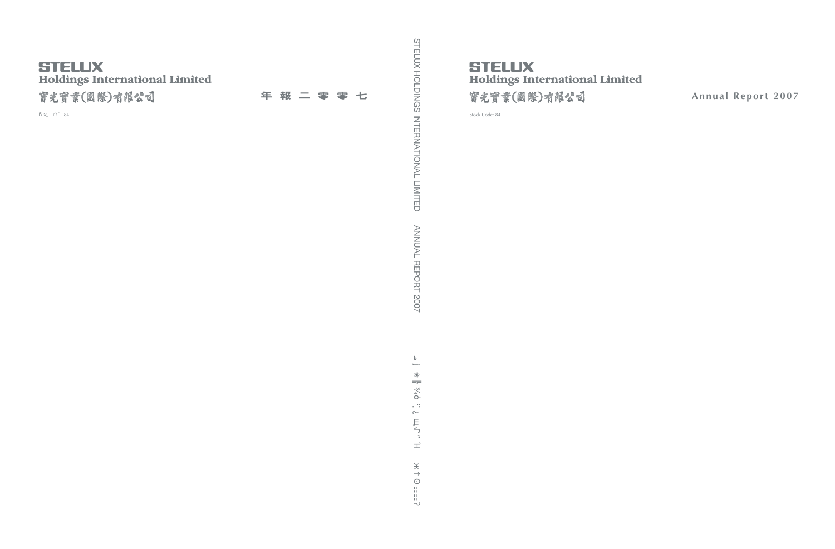# **STELUX**<br>Holdings International Limited

# 實光實業(國際)有限公司

**A n n u a l R e p o r t 2 0 0 7**

Sto ck Code: 84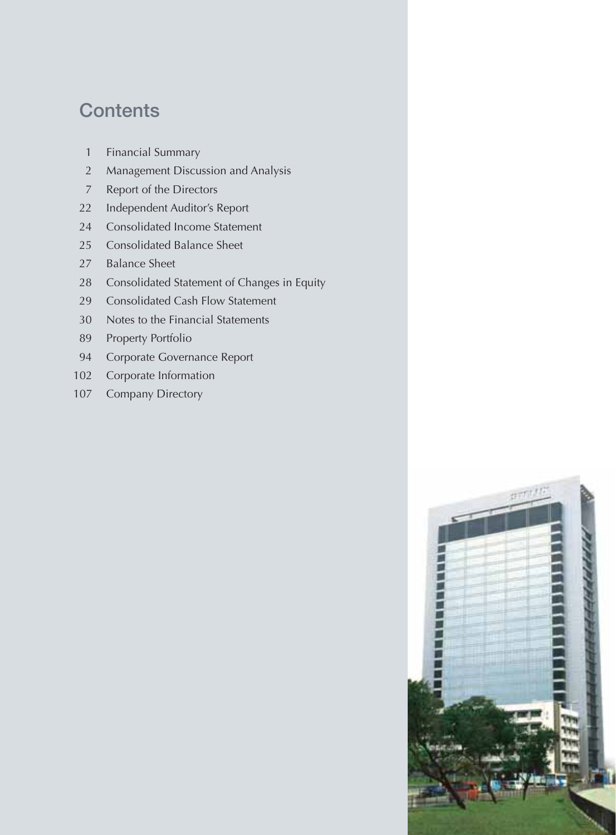# **Contents**

- 1 Financial Summary
- 2 Management Discussion and Analysis
- 7 Report of the Directors
- 22 Independent Auditor's Report
- 24 Consolidated Income Statement
- 25 Consolidated Balance Sheet
- 27 Balance Sheet
- 28 Consolidated Statement of Changes in Equity
- 29 Consolidated Cash Flow Statement
- 30 Notes to the Financial Statements
- 89 Property Portfolio
- 94 Corporate Governance Report
- 102 Corporate Information
- 107 Company Directory

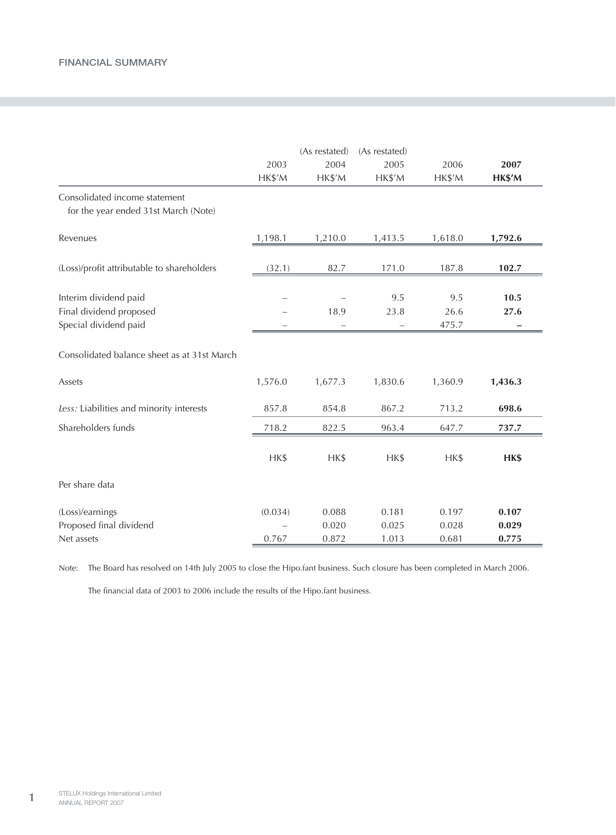| Consolidated income statement                                             | 2003<br>HK\$'M   | (As restated)<br>2004<br>HK\$'M | (As restated)<br>2005<br>HK\$'M | 2006<br>HK\$'M          | 2007<br>HK\$'M          |
|---------------------------------------------------------------------------|------------------|---------------------------------|---------------------------------|-------------------------|-------------------------|
| for the year ended 31st March (Note)                                      |                  |                                 |                                 |                         |                         |
| Revenues                                                                  | 1,198.1          | 1,210.0                         | 1,413.5                         | 1,618.0                 | 1,792.6                 |
| (Loss)/profit attributable to shareholders                                | (32.1)           | 82.7                            | 171.0                           | 187.8                   | 102.7                   |
| Interim dividend paid<br>Final dividend proposed<br>Special dividend paid |                  | 18.9                            | 9.5<br>23.8                     | 9.5<br>26.6<br>475.7    | 10.5<br>27.6            |
| Consolidated balance sheet as at 31st March                               |                  |                                 |                                 |                         |                         |
| Assets                                                                    | 1,576.0          | 1,677.3                         | 1,830.6                         | 1,360.9                 | 1,436.3                 |
| Less: Liabilities and minority interests                                  | 857.8            | 854.8                           | 867.2                           | 713.2                   | 698.6                   |
| Shareholders funds                                                        | 718.2            | 822.5                           | 963.4                           | 647.7                   | 737.7                   |
|                                                                           | HK\$             | HK\$                            | HK\$                            | HK\$                    | HK\$                    |
| Per share data                                                            |                  |                                 |                                 |                         |                         |
| (Loss)/earnings<br>Proposed final dividend<br>Net assets                  | (0.034)<br>0.767 | 0.088<br>0.020<br>0.872         | 0.181<br>0.025<br>1.013         | 0.197<br>0.028<br>0.681 | 0.107<br>0.029<br>0.775 |

Note: The Board has resolved on 14th July 2005 to close the Hipo.fant business. Such closure has been completed in March 2006.

The financial data of 2003 to 2006 include the results of the Hipo.fant business.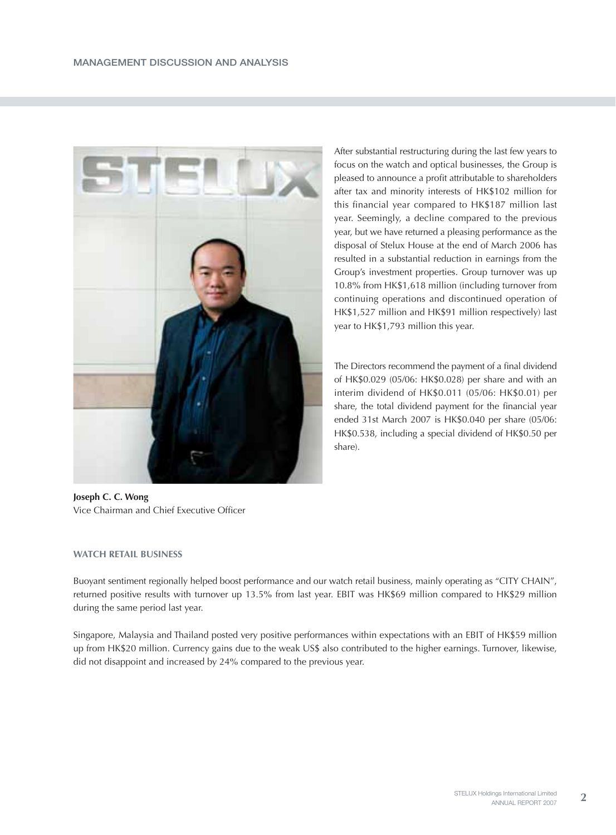

After substantial restructuring during the last few years to focus on the watch and optical businesses, the Group is pleased to announce a profit attributable to shareholders after tax and minority interests of HK\$102 million for this financial year compared to HK\$187 million last year. Seemingly, a decline compared to the previous year, but we have returned a pleasing performance as the disposal of Stelux House at the end of March 2006 has resulted in a substantial reduction in earnings from the Group's investment properties. Group turnover was up 10.8% from HK\$1,618 million (including turnover from continuing operations and discontinued operation of HK\$1,527 million and HK\$91 million respectively) last year to HK\$1,793 million this year.

The Directors recommend the payment of a final dividend of HK\$0.029 (05/06: HK\$0.028) per share and with an interim dividend of HK\$0.011 (05/06: HK\$0.01) per share, the total dividend payment for the financial year ended 31st March 2007 is HK\$0.040 per share (05/06: HK\$0.538, including a special dividend of HK\$0.50 per share).

**Joseph C. C. Wong**  Vice Chairman and Chief Executive Officer

#### **WATCH RETAIL BUSINESS**

Buoyant sentiment regionally helped boost performance and our watch retail business, mainly operating as "CITY CHAIN", returned positive results with turnover up 13.5% from last year. EBIT was HK\$69 million compared to HK\$29 million during the same period last year.

Singapore, Malaysia and Thailand posted very positive performances within expectations with an EBIT of HK\$59 million up from HK\$20 million. Currency gains due to the weak US\$ also contributed to the higher earnings. Turnover, likewise, did not disappoint and increased by 24% compared to the previous year.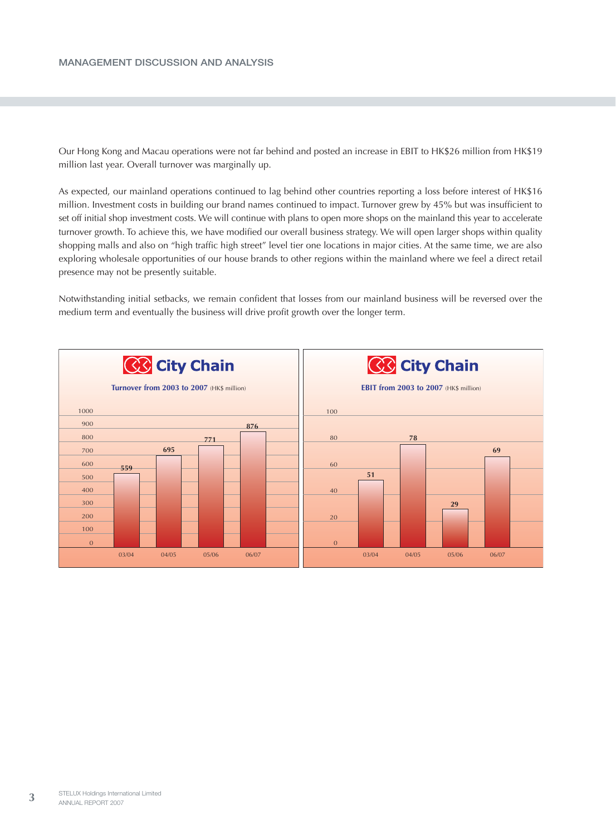Our Hong Kong and Macau operations were not far behind and posted an increase in EBIT to HK\$26 million from HK\$19 million last year. Overall turnover was marginally up.

As expected, our mainland operations continued to lag behind other countries reporting a loss before interest of HK\$16 million. Investment costs in building our brand names continued to impact. Turnover grew by 45% but was insufficient to set off initial shop investment costs. We will continue with plans to open more shops on the mainland this year to accelerate turnover growth. To achieve this, we have modified our overall business strategy. We will open larger shops within quality shopping malls and also on "high traffic high street" level tier one locations in major cities. At the same time, we are also exploring wholesale opportunities of our house brands to other regions within the mainland where we feel a direct retail presence may not be presently suitable.

Notwithstanding initial setbacks, we remain confident that losses from our mainland business will be reversed over the medium term and eventually the business will drive profit growth over the longer term.

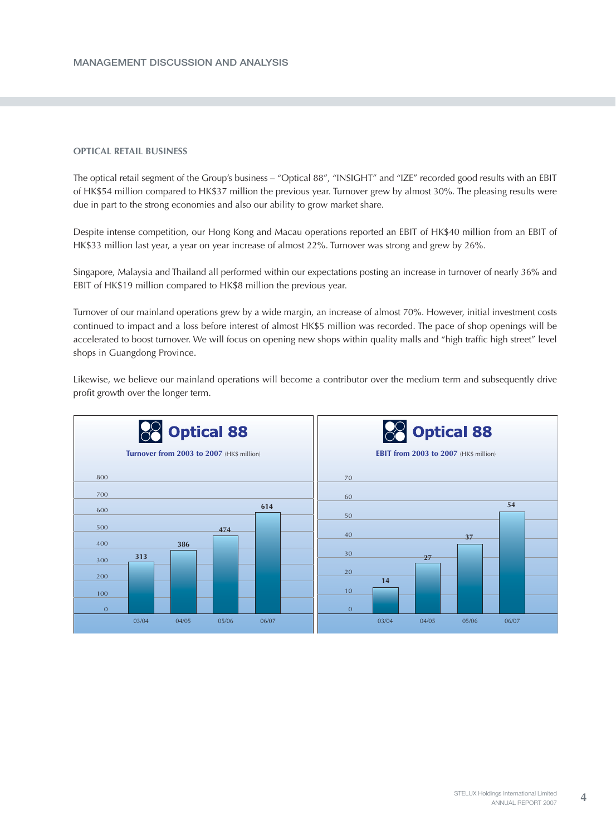#### **OPTICAL RETAIL BUSINESS**

The optical retail segment of the Group's business – "Optical 88", "INSIGHT" and "IZE" recorded good results with an EBIT of HK\$54 million compared to HK\$37 million the previous year. Turnover grew by almost 30%. The pleasing results were due in part to the strong economies and also our ability to grow market share.

Despite intense competition, our Hong Kong and Macau operations reported an EBIT of HK\$40 million from an EBIT of HK\$33 million last year, a year on year increase of almost 22%. Turnover was strong and grew by 26%.

Singapore, Malaysia and Thailand all performed within our expectations posting an increase in turnover of nearly 36% and EBIT of HK\$19 million compared to HK\$8 million the previous year.

Turnover of our mainland operations grew by a wide margin, an increase of almost 70%. However, initial investment costs continued to impact and a loss before interest of almost HK\$5 million was recorded. The pace of shop openings will be accelerated to boost turnover. We will focus on opening new shops within quality malls and "high traffic high street" level shops in Guangdong Province.

Likewise, we believe our mainland operations will become a contributor over the medium term and subsequently drive profit growth over the longer term.

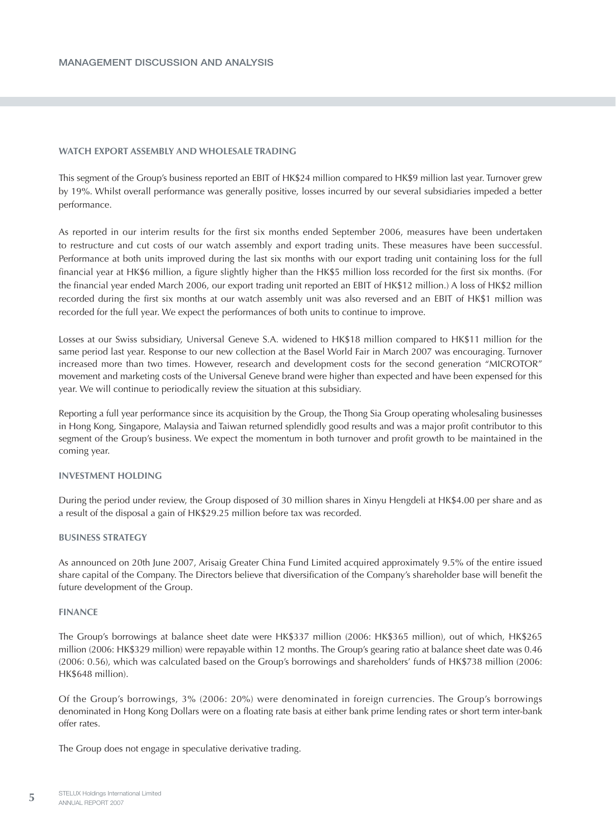#### **WATCH EXPORT ASSEMBLY AND WHOLESALE TRADING**

This segment of the Group's business reported an EBIT of HK\$24 million compared to HK\$9 million last year. Turnover grew by 19%. Whilst overall performance was generally positive, losses incurred by our several subsidiaries impeded a better performance.

As reported in our interim results for the first six months ended September 2006, measures have been undertaken to restructure and cut costs of our watch assembly and export trading units. These measures have been successful. Performance at both units improved during the last six months with our export trading unit containing loss for the full financial year at HK\$6 million, a figure slightly higher than the HK\$5 million loss recorded for the first six months. (For the financial year ended March 2006, our export trading unit reported an EBIT of HK\$12 million.) A loss of HK\$2 million recorded during the first six months at our watch assembly unit was also reversed and an EBIT of HK\$1 million was recorded for the full year. We expect the performances of both units to continue to improve.

Losses at our Swiss subsidiary, Universal Geneve S.A. widened to HK\$18 million compared to HK\$11 million for the same period last year. Response to our new collection at the Basel World Fair in March 2007 was encouraging. Turnover increased more than two times. However, research and development costs for the second generation "MICROTOR" movement and marketing costs of the Universal Geneve brand were higher than expected and have been expensed for this year. We will continue to periodically review the situation at this subsidiary.

Reporting a full year performance since its acquisition by the Group, the Thong Sia Group operating wholesaling businesses in Hong Kong, Singapore, Malaysia and Taiwan returned splendidly good results and was a major profit contributor to this segment of the Group's business. We expect the momentum in both turnover and profit growth to be maintained in the coming year.

#### **INVESTMENT HOLDING**

During the period under review, the Group disposed of 30 million shares in Xinyu Hengdeli at HK\$4.00 per share and as a result of the disposal a gain of HK\$29.25 million before tax was recorded.

#### **BUSINESS STRATEGY**

As announced on 20th June 2007, Arisaig Greater China Fund Limited acquired approximately 9.5% of the entire issued share capital of the Company. The Directors believe that diversification of the Company's shareholder base will benefit the future development of the Group.

#### **FINANCE**

The Group's borrowings at balance sheet date were HK\$337 million (2006: HK\$365 million), out of which, HK\$265 million (2006: HK\$329 million) were repayable within 12 months. The Group's gearing ratio at balance sheet date was 0.46 (2006: 0.56), which was calculated based on the Group's borrowings and shareholders' funds of HK\$738 million (2006: HK\$648 million).

Of the Group's borrowings, 3% (2006: 20%) were denominated in foreign currencies. The Group's borrowings denominated in Hong Kong Dollars were on a floating rate basis at either bank prime lending rates or short term inter-bank offer rates.

The Group does not engage in speculative derivative trading.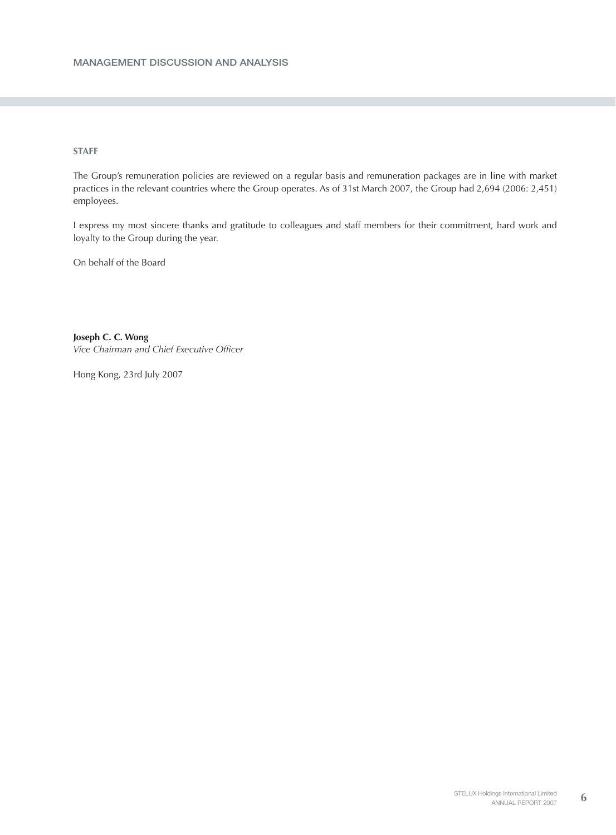### **STAFF**

The Group's remuneration policies are reviewed on a regular basis and remuneration packages are in line with market practices in the relevant countries where the Group operates. As of 31st March 2007, the Group had 2,694 (2006: 2,451) employees.

I express my most sincere thanks and gratitude to colleagues and staff members for their commitment, hard work and loyalty to the Group during the year.

On behalf of the Board

**Joseph C. C. Wong** Vice Chairman and Chief Executive Officer

Hong Kong, 23rd July 2007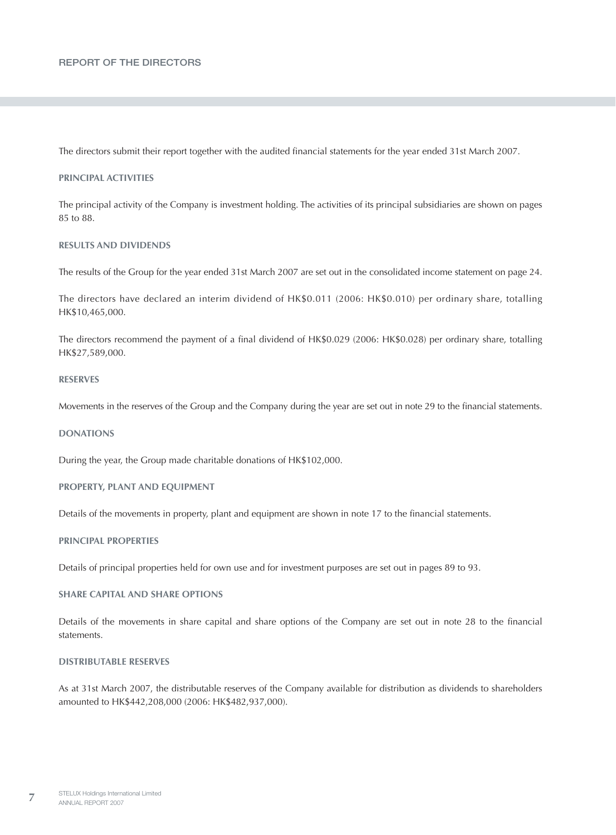The directors submit their report together with the audited financial statements for the year ended 31st March 2007.

#### **PRINCIPAL ACTIVITIES**

The principal activity of the Company is investment holding. The activities of its principal subsidiaries are shown on pages 85 to 88.

#### **RESULTS AND DIVIDENDS**

The results of the Group for the year ended 31st March 2007 are set out in the consolidated income statement on page 24.

The directors have declared an interim dividend of HK\$0.011 (2006: HK\$0.010) per ordinary share, totalling HK\$10,465,000.

The directors recommend the payment of a final dividend of HK\$0.029 (2006: HK\$0.028) per ordinary share, totalling HK\$27,589,000.

#### **RESERVES**

Movements in the reserves of the Group and the Company during the year are set out in note 29 to the financial statements.

#### **DONATIONS**

During the year, the Group made charitable donations of HK\$102,000.

#### **PROPERTY, PLANT AND EQUIPMENT**

Details of the movements in property, plant and equipment are shown in note 17 to the financial statements.

#### **PRINCIPAL PROPERTIES**

Details of principal properties held for own use and for investment purposes are set out in pages 89 to 93.

#### **SHARE CAPITAL AND SHARE OPTIONS**

Details of the movements in share capital and share options of the Company are set out in note 28 to the financial statements.

#### **DISTRIBUTABLE RESERVES**

As at 31st March 2007, the distributable reserves of the Company available for distribution as dividends to shareholders amounted to HK\$442,208,000 (2006: HK\$482,937,000).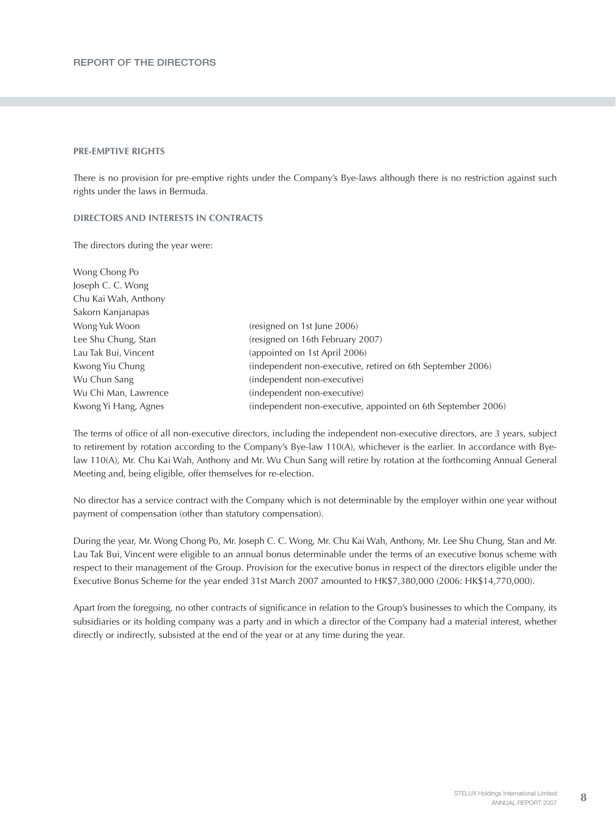#### **PRE-EMPTIVE RIGHTS**

There is no provision for pre-emptive rights under the Company's Bye-laws although there is no restriction against such rights under the laws in Bermuda.

#### **DIRECTORS AND INTERESTS IN CONTRACTS**

The directors during the year were:

| Wong Chong Po        |                                                              |
|----------------------|--------------------------------------------------------------|
| Joseph C. C. Wong    |                                                              |
| Chu Kai Wah, Anthony |                                                              |
| Sakorn Kanjanapas    |                                                              |
| Wong Yuk Woon        | (resigned on 1st June 2006)                                  |
| Lee Shu Chung, Stan  | (resigned on 16th February 2007)                             |
| Lau Tak Bui, Vincent | (appointed on 1st April 2006)                                |
| Kwong Yiu Chung      | (independent non-executive, retired on 6th September 2006)   |
| Wu Chun Sang         | (independent non-executive)                                  |
| Wu Chi Man, Lawrence | (independent non-executive)                                  |
| Kwong Yi Hang, Agnes | (independent non-executive, appointed on 6th September 2006) |

The terms of office of all non-executive directors, including the independent non-executive directors, are 3 years, subject to retirement by rotation according to the Company's Bye-law 110(A), whichever is the earlier. In accordance with Byelaw 110(A), Mr. Chu Kai Wah, Anthony and Mr. Wu Chun Sang will retire by rotation at the forthcoming Annual General Meeting and, being eligible, offer themselves for re-election.

No director has a service contract with the Company which is not determinable by the employer within one year without payment of compensation (other than statutory compensation).

During the year, Mr. Wong Chong Po, Mr. Joseph C. C. Wong, Mr. Chu Kai Wah, Anthony, Mr. Lee Shu Chung, Stan and Mr. Lau Tak Bui, Vincent were eligible to an annual bonus determinable under the terms of an executive bonus scheme with respect to their management of the Group. Provision for the executive bonus in respect of the directors eligible under the Executive Bonus Scheme for the year ended 31st March 2007 amounted to HK\$7,380,000 (2006: HK\$14,770,000).

Apart from the foregoing, no other contracts of significance in relation to the Group's businesses to which the Company, its subsidiaries or its holding company was a party and in which a director of the Company had a material interest, whether directly or indirectly, subsisted at the end of the year or at any time during the year.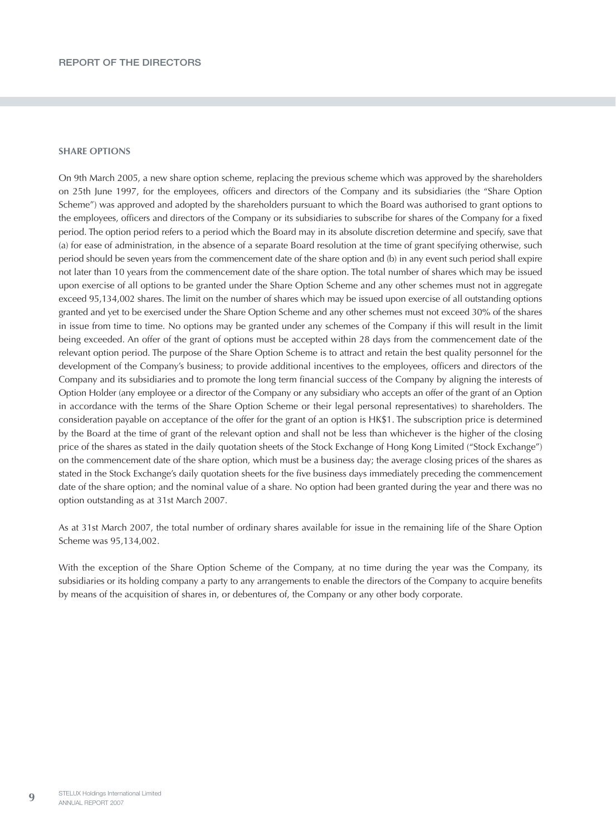#### **SHARE OPTIONS**

On 9th March 2005, a new share option scheme, replacing the previous scheme which was approved by the shareholders on 25th June 1997, for the employees, officers and directors of the Company and its subsidiaries (the "Share Option Scheme") was approved and adopted by the shareholders pursuant to which the Board was authorised to grant options to the employees, officers and directors of the Company or its subsidiaries to subscribe for shares of the Company for a fixed period. The option period refers to a period which the Board may in its absolute discretion determine and specify, save that (a) for ease of administration, in the absence of a separate Board resolution at the time of grant specifying otherwise, such period should be seven years from the commencement date of the share option and (b) in any event such period shall expire not later than 10 years from the commencement date of the share option. The total number of shares which may be issued upon exercise of all options to be granted under the Share Option Scheme and any other schemes must not in aggregate exceed 95,134,002 shares. The limit on the number of shares which may be issued upon exercise of all outstanding options granted and yet to be exercised under the Share Option Scheme and any other schemes must not exceed 30% of the shares in issue from time to time. No options may be granted under any schemes of the Company if this will result in the limit being exceeded. An offer of the grant of options must be accepted within 28 days from the commencement date of the relevant option period. The purpose of the Share Option Scheme is to attract and retain the best quality personnel for the development of the Company's business; to provide additional incentives to the employees, officers and directors of the Company and its subsidiaries and to promote the long term financial success of the Company by aligning the interests of Option Holder (any employee or a director of the Company or any subsidiary who accepts an offer of the grant of an Option in accordance with the terms of the Share Option Scheme or their legal personal representatives) to shareholders. The consideration payable on acceptance of the offer for the grant of an option is HK\$1. The subscription price is determined by the Board at the time of grant of the relevant option and shall not be less than whichever is the higher of the closing price of the shares as stated in the daily quotation sheets of the Stock Exchange of Hong Kong Limited ("Stock Exchange") on the commencement date of the share option, which must be a business day; the average closing prices of the shares as stated in the Stock Exchange's daily quotation sheets for the five business days immediately preceding the commencement date of the share option; and the nominal value of a share. No option had been granted during the year and there was no option outstanding as at 31st March 2007.

As at 31st March 2007, the total number of ordinary shares available for issue in the remaining life of the Share Option Scheme was 95,134,002.

With the exception of the Share Option Scheme of the Company, at no time during the year was the Company, its subsidiaries or its holding company a party to any arrangements to enable the directors of the Company to acquire benefits by means of the acquisition of shares in, or debentures of, the Company or any other body corporate.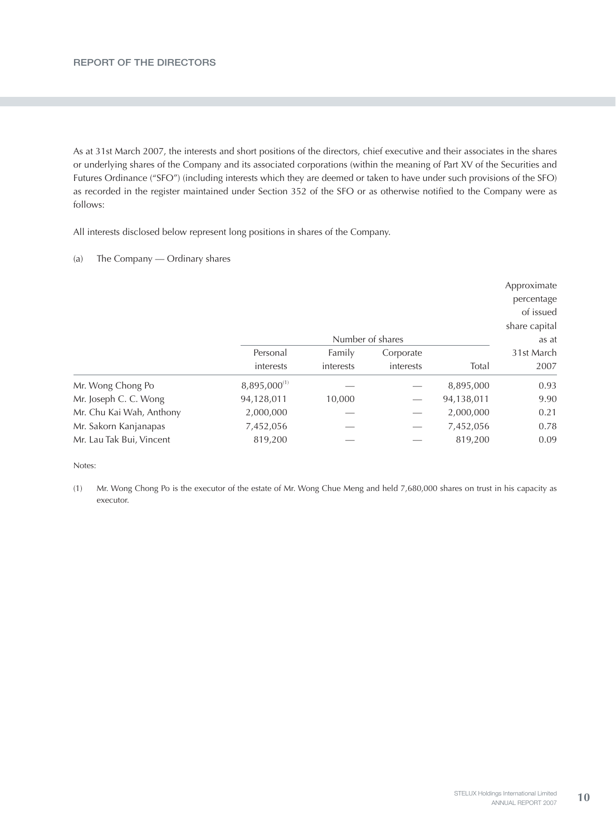As at 31st March 2007, the interests and short positions of the directors, chief executive and their associates in the shares or underlying shares of the Company and its associated corporations (within the meaning of Part XV of the Securities and Futures Ordinance ("SFO") (including interests which they are deemed or taken to have under such provisions of the SFO) as recorded in the register maintained under Section 352 of the SFO or as otherwise notified to the Company were as follows:

All interests disclosed below represent long positions in shares of the Company.

#### (a) The Company — Ordinary shares

|                          |                          |                  |           |            | Approximate<br>percentage<br>of issued<br>share capital |
|--------------------------|--------------------------|------------------|-----------|------------|---------------------------------------------------------|
|                          |                          | Number of shares |           |            | as at                                                   |
|                          | Personal                 | Family           | Corporate |            | 31st March                                              |
|                          | interests                | interests        | interests | Total      | 2007                                                    |
| Mr. Wong Chong Po        | 8,895,000 <sup>(1)</sup> |                  |           | 8,895,000  | 0.93                                                    |
| Mr. Joseph C. C. Wong    | 94,128,011               | 10,000           |           | 94,138,011 | 9.90                                                    |
| Mr. Chu Kai Wah, Anthony | 2,000,000                |                  |           | 2,000,000  | 0.21                                                    |
| Mr. Sakorn Kanjanapas    | 7,452,056                |                  |           | 7,452,056  | 0.78                                                    |
| Mr. Lau Tak Bui, Vincent | 819,200                  |                  |           | 819,200    | 0.09                                                    |
|                          |                          |                  |           |            |                                                         |

Notes:

(1) Mr. Wong Chong Po is the executor of the estate of Mr. Wong Chue Meng and held 7,680,000 shares on trust in his capacity as executor.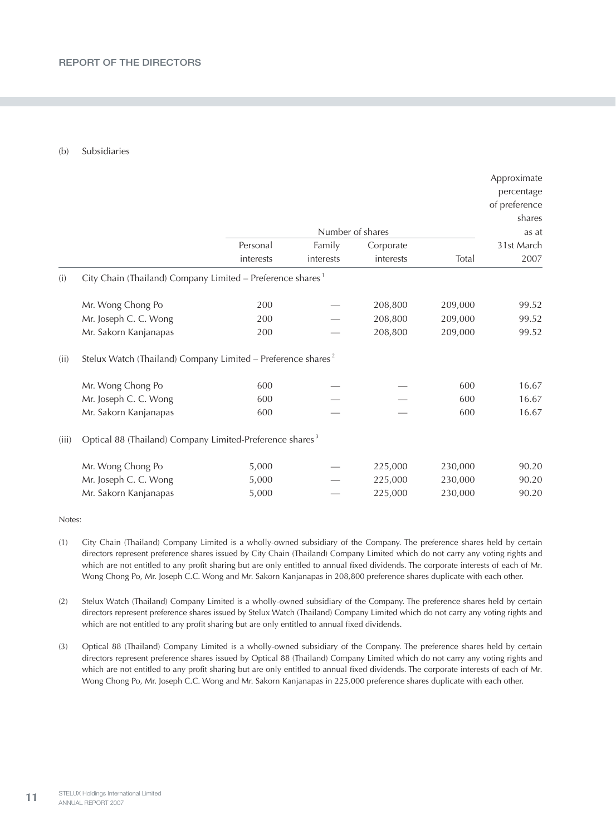### (b) Subsidiaries

|       |                                                                          |           |           |                  |         | Approximate   |
|-------|--------------------------------------------------------------------------|-----------|-----------|------------------|---------|---------------|
|       |                                                                          |           |           |                  |         | percentage    |
|       |                                                                          |           |           |                  |         | of preference |
|       |                                                                          |           |           |                  |         | shares        |
|       |                                                                          |           |           | Number of shares |         | as at         |
|       |                                                                          | Personal  | Family    | Corporate        |         | 31st March    |
|       |                                                                          | interests | interests | interests        | Total   | 2007          |
| (i)   | City Chain (Thailand) Company Limited - Preference shares <sup>1</sup>   |           |           |                  |         |               |
|       | Mr. Wong Chong Po                                                        | 200       |           | 208,800          | 209,000 | 99.52         |
|       | Mr. Joseph C. C. Wong                                                    | 200       |           | 208,800          | 209,000 | 99.52         |
|       | Mr. Sakorn Kanjanapas                                                    | 200       |           | 208,800          | 209,000 | 99.52         |
| (ii)  | Stelux Watch (Thailand) Company Limited - Preference shares <sup>2</sup> |           |           |                  |         |               |
|       | Mr. Wong Chong Po                                                        | 600       |           |                  | 600     | 16.67         |
|       | Mr. Joseph C. C. Wong                                                    | 600       |           |                  | 600     | 16.67         |
|       | Mr. Sakorn Kanjanapas                                                    | 600       |           |                  | 600     | 16.67         |
| (iii) | Optical 88 (Thailand) Company Limited-Preference shares <sup>3</sup>     |           |           |                  |         |               |
|       | Mr. Wong Chong Po                                                        | 5,000     |           | 225,000          | 230,000 | 90.20         |
|       | Mr. Joseph C. C. Wong                                                    | 5,000     |           | 225,000          | 230,000 | 90.20         |
|       | Mr. Sakorn Kanjanapas                                                    | 5,000     |           | 225,000          | 230,000 | 90.20         |

Notes:

- (1) City Chain (Thailand) Company Limited is a wholly-owned subsidiary of the Company. The preference shares held by certain directors represent preference shares issued by City Chain (Thailand) Company Limited which do not carry any voting rights and which are not entitled to any profit sharing but are only entitled to annual fixed dividends. The corporate interests of each of Mr. Wong Chong Po, Mr. Joseph C.C. Wong and Mr. Sakorn Kanjanapas in 208,800 preference shares duplicate with each other.
- (2) Stelux Watch (Thailand) Company Limited is a wholly-owned subsidiary of the Company. The preference shares held by certain directors represent preference shares issued by Stelux Watch (Thailand) Company Limited which do not carry any voting rights and which are not entitled to any profit sharing but are only entitled to annual fixed dividends.
- (3) Optical 88 (Thailand) Company Limited is a wholly-owned subsidiary of the Company. The preference shares held by certain directors represent preference shares issued by Optical 88 (Thailand) Company Limited which do not carry any voting rights and which are not entitled to any profit sharing but are only entitled to annual fixed dividends. The corporate interests of each of Mr. Wong Chong Po, Mr. Joseph C.C. Wong and Mr. Sakorn Kanjanapas in 225,000 preference shares duplicate with each other.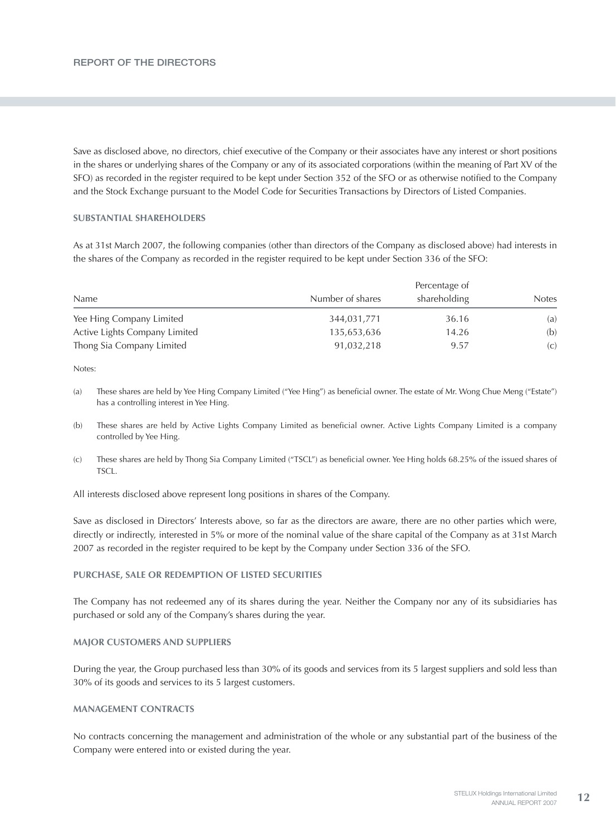Save as disclosed above, no directors, chief executive of the Company or their associates have any interest or short positions in the shares or underlying shares of the Company or any of its associated corporations (within the meaning of Part XV of the SFO) as recorded in the register required to be kept under Section 352 of the SFO or as otherwise notified to the Company and the Stock Exchange pursuant to the Model Code for Securities Transactions by Directors of Listed Companies.

#### **SUBSTANTIAL SHAREHOLDERS**

As at 31st March 2007, the following companies (other than directors of the Company as disclosed above) had interests in the shares of the Company as recorded in the register required to be kept under Section 336 of the SFO:

|                               | Percentage of    |              |              |  |  |
|-------------------------------|------------------|--------------|--------------|--|--|
| Name                          | Number of shares | shareholding | <b>Notes</b> |  |  |
| Yee Hing Company Limited      | 344,031,771      | 36.16        | (a)          |  |  |
| Active Lights Company Limited | 135,653,636      | 14.26        | (b)          |  |  |
| Thong Sia Company Limited     | 91,032,218       | 9.57         | (c)          |  |  |

Notes:

- (a) These shares are held by Yee Hing Company Limited ("Yee Hing") as beneficial owner. The estate of Mr. Wong Chue Meng ("Estate") has a controlling interest in Yee Hing.
- (b) These shares are held by Active Lights Company Limited as beneficial owner. Active Lights Company Limited is a company controlled by Yee Hing.
- (c) These shares are held by Thong Sia Company Limited ("TSCL") as beneficial owner. Yee Hing holds 68.25% of the issued shares of TSCL.

All interests disclosed above represent long positions in shares of the Company.

Save as disclosed in Directors' Interests above, so far as the directors are aware, there are no other parties which were, directly or indirectly, interested in 5% or more of the nominal value of the share capital of the Company as at 31st March 2007 as recorded in the register required to be kept by the Company under Section 336 of the SFO.

#### **PURCHASE, SALE OR REDEMPTION OF LISTED SECURITIES**

The Company has not redeemed any of its shares during the year. Neither the Company nor any of its subsidiaries has purchased or sold any of the Company's shares during the year.

#### **MAJOR CUSTOMERS AND SUPPLIERS**

During the year, the Group purchased less than 30% of its goods and services from its 5 largest suppliers and sold less than 30% of its goods and services to its 5 largest customers.

#### **MANAGEMENT CONTRACTS**

No contracts concerning the management and administration of the whole or any substantial part of the business of the Company were entered into or existed during the year.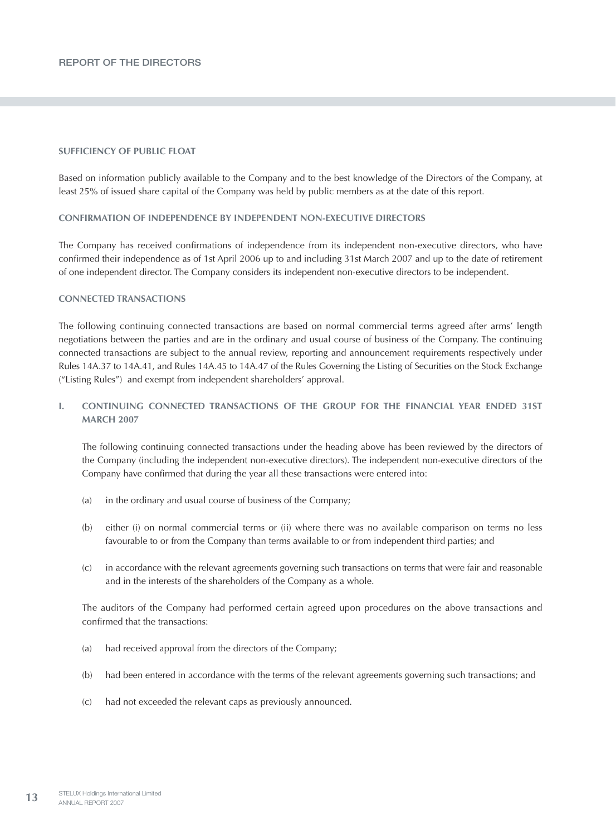#### **SUFFICIENCY OF PUBLIC FLOAT**

Based on information publicly available to the Company and to the best knowledge of the Directors of the Company, at least 25% of issued share capital of the Company was held by public members as at the date of this report.

#### **CONFIRMATION OF INDEPENDENCE BY INDEPENDENT NON-EXECUTIVE DIRECTORS**

The Company has received confirmations of independence from its independent non-executive directors, who have confirmed their independence as of 1st April 2006 up to and including 31st March 2007 and up to the date of retirement of one independent director. The Company considers its independent non-executive directors to be independent.

#### **CONNECTED TRANSACTIONS**

The following continuing connected transactions are based on normal commercial terms agreed after arms' length negotiations between the parties and are in the ordinary and usual course of business of the Company. The continuing connected transactions are subject to the annual review, reporting and announcement requirements respectively under Rules 14A.37 to 14A.41, and Rules 14A.45 to 14A.47 of the Rules Governing the Listing of Securities on the Stock Exchange ("Listing Rules") and exempt from independent shareholders' approval.

### **I. CONTINUING CONNECTED TRANSACTIONS OF THE GROUP FOR THE FINANCIAL YEAR ENDED 31ST MARCH 2007**

The following continuing connected transactions under the heading above has been reviewed by the directors of the Company (including the independent non-executive directors). The independent non-executive directors of the Company have confirmed that during the year all these transactions were entered into:

- (a) in the ordinary and usual course of business of the Company;
- (b) either (i) on normal commercial terms or (ii) where there was no available comparison on terms no less favourable to or from the Company than terms available to or from independent third parties; and
- (c) in accordance with the relevant agreements governing such transactions on terms that were fair and reasonable and in the interests of the shareholders of the Company as a whole.

The auditors of the Company had performed certain agreed upon procedures on the above transactions and confirmed that the transactions:

- (a) had received approval from the directors of the Company;
- (b) had been entered in accordance with the terms of the relevant agreements governing such transactions; and
- (c) had not exceeded the relevant caps as previously announced.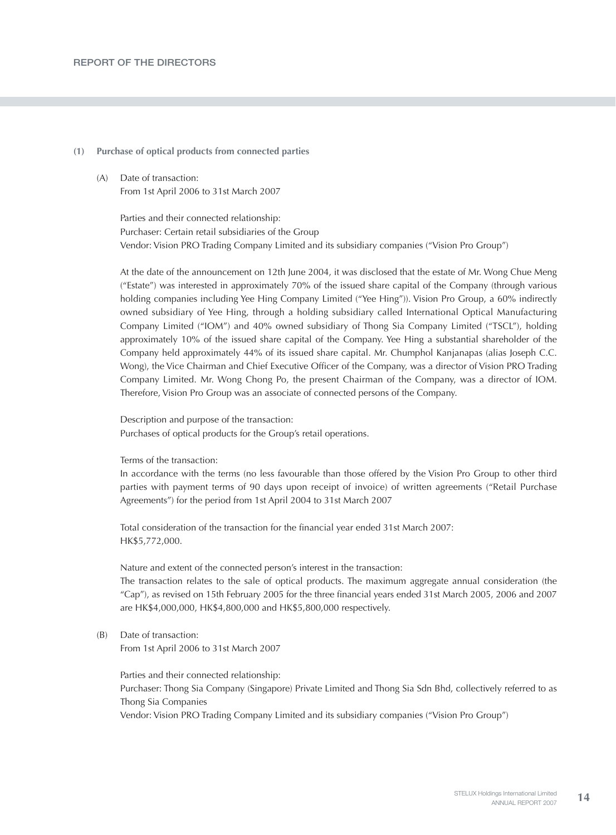#### **(1) Purchase of optical products from connected parties**

(A) Date of transaction: From 1st April 2006 to 31st March 2007

> Parties and their connected relationship: Purchaser: Certain retail subsidiaries of the Group Vendor: Vision PRO Trading Company Limited and its subsidiary companies ("Vision Pro Group")

At the date of the announcement on 12th June 2004, it was disclosed that the estate of Mr. Wong Chue Meng ("Estate") was interested in approximately 70% of the issued share capital of the Company (through various holding companies including Yee Hing Company Limited ("Yee Hing")). Vision Pro Group, a 60% indirectly owned subsidiary of Yee Hing, through a holding subsidiary called International Optical Manufacturing Company Limited ("IOM") and 40% owned subsidiary of Thong Sia Company Limited ("TSCL"), holding approximately 10% of the issued share capital of the Company. Yee Hing a substantial shareholder of the Company held approximately 44% of its issued share capital. Mr. Chumphol Kanjanapas (alias Joseph C.C. Wong), the Vice Chairman and Chief Executive Officer of the Company, was a director of Vision PRO Trading Company Limited. Mr. Wong Chong Po, the present Chairman of the Company, was a director of IOM. Therefore, Vision Pro Group was an associate of connected persons of the Company.

Description and purpose of the transaction: Purchases of optical products for the Group's retail operations.

Terms of the transaction:

In accordance with the terms (no less favourable than those offered by the Vision Pro Group to other third parties with payment terms of 90 days upon receipt of invoice) of written agreements ("Retail Purchase Agreements") for the period from 1st April 2004 to 31st March 2007

Total consideration of the transaction for the financial year ended 31st March 2007: HK\$5,772,000.

Nature and extent of the connected person's interest in the transaction:

The transaction relates to the sale of optical products. The maximum aggregate annual consideration (the "Cap"), as revised on 15th February 2005 for the three financial years ended 31st March 2005, 2006 and 2007 are HK\$4,000,000, HK\$4,800,000 and HK\$5,800,000 respectively.

(B) Date of transaction:

From 1st April 2006 to 31st March 2007

Parties and their connected relationship:

Purchaser: Thong Sia Company (Singapore) Private Limited and Thong Sia Sdn Bhd, collectively referred to as Thong Sia Companies

Vendor: Vision PRO Trading Company Limited and its subsidiary companies ("Vision Pro Group")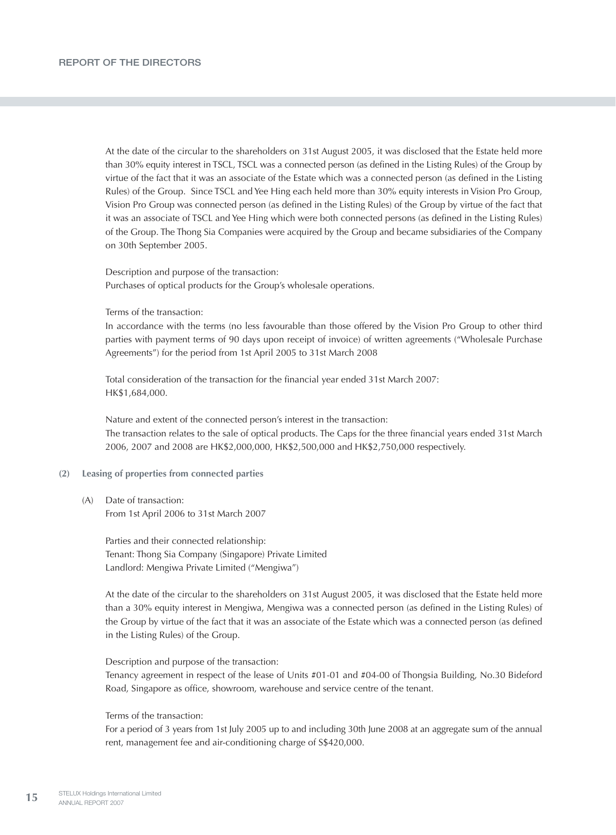At the date of the circular to the shareholders on 31st August 2005, it was disclosed that the Estate held more than 30% equity interest in TSCL, TSCL was a connected person (as defined in the Listing Rules) of the Group by virtue of the fact that it was an associate of the Estate which was a connected person (as defined in the Listing Rules) of the Group. Since TSCL and Yee Hing each held more than 30% equity interests in Vision Pro Group, Vision Pro Group was connected person (as defined in the Listing Rules) of the Group by virtue of the fact that it was an associate of TSCL and Yee Hing which were both connected persons (as defined in the Listing Rules) of the Group. The Thong Sia Companies were acquired by the Group and became subsidiaries of the Company on 30th September 2005.

Description and purpose of the transaction: Purchases of optical products for the Group's wholesale operations.

Terms of the transaction:

In accordance with the terms (no less favourable than those offered by the Vision Pro Group to other third parties with payment terms of 90 days upon receipt of invoice) of written agreements ("Wholesale Purchase Agreements") for the period from 1st April 2005 to 31st March 2008

Total consideration of the transaction for the financial year ended 31st March 2007: HK\$1,684,000.

Nature and extent of the connected person's interest in the transaction: The transaction relates to the sale of optical products. The Caps for the three financial years ended 31st March 2006, 2007 and 2008 are HK\$2,000,000, HK\$2,500,000 and HK\$2,750,000 respectively.

#### **(2) Leasing of properties from connected parties**

(A) Date of transaction: From 1st April 2006 to 31st March 2007

> Parties and their connected relationship: Tenant: Thong Sia Company (Singapore) Private Limited Landlord: Mengiwa Private Limited ("Mengiwa")

At the date of the circular to the shareholders on 31st August 2005, it was disclosed that the Estate held more than a 30% equity interest in Mengiwa, Mengiwa was a connected person (as defined in the Listing Rules) of the Group by virtue of the fact that it was an associate of the Estate which was a connected person (as defined in the Listing Rules) of the Group.

Description and purpose of the transaction:

Tenancy agreement in respect of the lease of Units #01-01 and #04-00 of Thongsia Building, No.30 Bideford Road, Singapore as office, showroom, warehouse and service centre of the tenant.

Terms of the transaction:

For a period of 3 years from 1st July 2005 up to and including 30th June 2008 at an aggregate sum of the annual rent, management fee and air-conditioning charge of S\$420,000.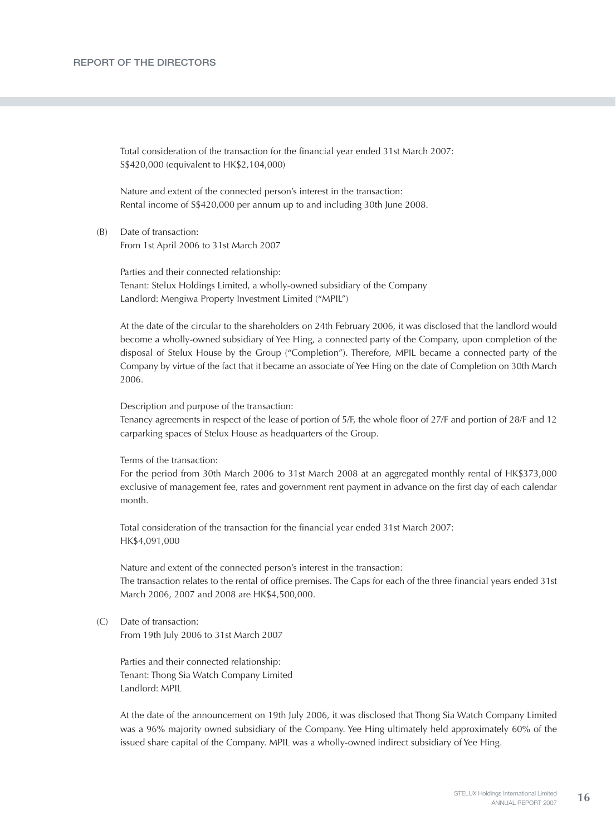Total consideration of the transaction for the financial year ended 31st March 2007: S\$420,000 (equivalent to HK\$2,104,000)

Nature and extent of the connected person's interest in the transaction: Rental income of S\$420,000 per annum up to and including 30th June 2008.

(B) Date of transaction: From 1st April 2006 to 31st March 2007

> Parties and their connected relationship: Tenant: Stelux Holdings Limited, a wholly-owned subsidiary of the Company Landlord: Mengiwa Property Investment Limited ("MPIL")

At the date of the circular to the shareholders on 24th February 2006, it was disclosed that the landlord would become a wholly-owned subsidiary of Yee Hing, a connected party of the Company, upon completion of the disposal of Stelux House by the Group ("Completion"). Therefore, MPIL became a connected party of the Company by virtue of the fact that it became an associate of Yee Hing on the date of Completion on 30th March 2006.

Description and purpose of the transaction:

Tenancy agreements in respect of the lease of portion of 5/F, the whole floor of 27/F and portion of 28/F and 12 carparking spaces of Stelux House as headquarters of the Group.

Terms of the transaction:

For the period from 30th March 2006 to 31st March 2008 at an aggregated monthly rental of HK\$373,000 exclusive of management fee, rates and government rent payment in advance on the first day of each calendar month.

Total consideration of the transaction for the financial year ended 31st March 2007: HK\$4,091,000

Nature and extent of the connected person's interest in the transaction: The transaction relates to the rental of office premises. The Caps for each of the three financial years ended 31st March 2006, 2007 and 2008 are HK\$4,500,000.

(C) Date of transaction: From 19th July 2006 to 31st March 2007

> Parties and their connected relationship: Tenant: Thong Sia Watch Company Limited Landlord: MPIL

At the date of the announcement on 19th July 2006, it was disclosed that Thong Sia Watch Company Limited was a 96% majority owned subsidiary of the Company. Yee Hing ultimately held approximately 60% of the issued share capital of the Company. MPIL was a wholly-owned indirect subsidiary of Yee Hing.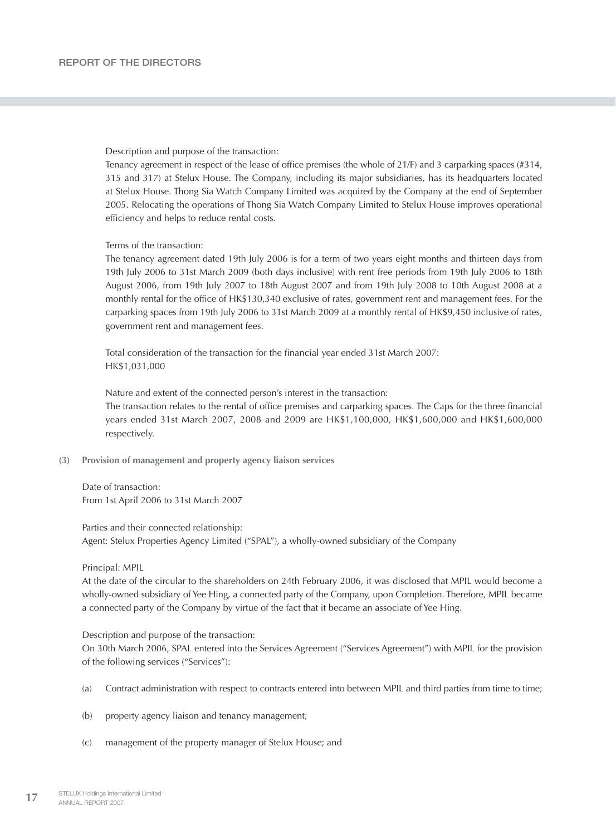Description and purpose of the transaction:

Tenancy agreement in respect of the lease of office premises (the whole of 21/F) and 3 carparking spaces (#314, 315 and 317) at Stelux House. The Company, including its major subsidiaries, has its headquarters located at Stelux House. Thong Sia Watch Company Limited was acquired by the Company at the end of September 2005. Relocating the operations of Thong Sia Watch Company Limited to Stelux House improves operational efficiency and helps to reduce rental costs.

Terms of the transaction:

The tenancy agreement dated 19th July 2006 is for a term of two years eight months and thirteen days from 19th July 2006 to 31st March 2009 (both days inclusive) with rent free periods from 19th July 2006 to 18th August 2006, from 19th July 2007 to 18th August 2007 and from 19th July 2008 to 10th August 2008 at a monthly rental for the office of HK\$130,340 exclusive of rates, government rent and management fees. For the carparking spaces from 19th July 2006 to 31st March 2009 at a monthly rental of HK\$9,450 inclusive of rates, government rent and management fees.

Total consideration of the transaction for the financial year ended 31st March 2007: HK\$1,031,000

Nature and extent of the connected person's interest in the transaction:

The transaction relates to the rental of office premises and carparking spaces. The Caps for the three financial years ended 31st March 2007, 2008 and 2009 are HK\$1,100,000, HK\$1,600,000 and HK\$1,600,000 respectively.

**(3) Provision of management and property agency liaison services**

Date of transaction: From 1st April 2006 to 31st March 2007

Parties and their connected relationship: Agent: Stelux Properties Agency Limited ("SPAL"), a wholly-owned subsidiary of the Company

Principal: MPIL

At the date of the circular to the shareholders on 24th February 2006, it was disclosed that MPIL would become a wholly-owned subsidiary of Yee Hing, a connected party of the Company, upon Completion. Therefore, MPIL became a connected party of the Company by virtue of the fact that it became an associate of Yee Hing.

Description and purpose of the transaction:

On 30th March 2006, SPAL entered into the Services Agreement ("Services Agreement") with MPIL for the provision of the following services ("Services"):

- (a) Contract administration with respect to contracts entered into between MPIL and third parties from time to time;
- (b) property agency liaison and tenancy management;
- (c) management of the property manager of Stelux House; and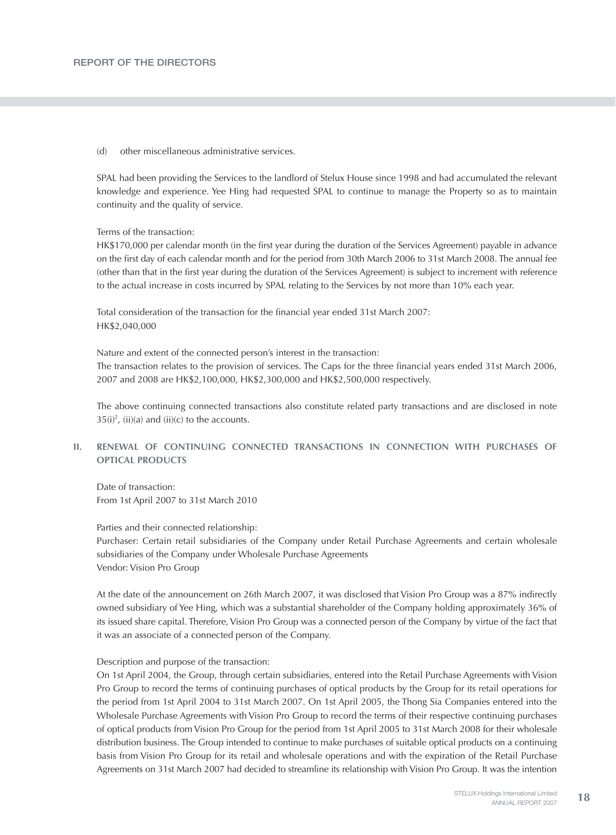(d) other miscellaneous administrative services.

SPAL had been providing the Services to the landlord of Stelux House since 1998 and had accumulated the relevant knowledge and experience. Yee Hing had requested SPAL to continue to manage the Property so as to maintain continuity and the quality of service.

Terms of the transaction:

HK\$170,000 per calendar month (in the first year during the duration of the Services Agreement) payable in advance on the first day of each calendar month and for the period from 30th March 2006 to 31st March 2008. The annual fee (other than that in the first year during the duration of the Services Agreement) is subject to increment with reference to the actual increase in costs incurred by SPAL relating to the Services by not more than 10% each year.

Total consideration of the transaction for the financial year ended 31st March 2007: HK\$2,040,000

Nature and extent of the connected person's interest in the transaction: The transaction relates to the provision of services. The Caps for the three financial years ended 31st March 2006, 2007 and 2008 are HK\$2,100,000, HK\$2,300,000 and HK\$2,500,000 respectively.

The above continuing connected transactions also constitute related party transactions and are disclosed in note  $35(i)^2$ , (ii)(a) and (ii)(c) to the accounts.

# **II. RENEWAL OF CONTINUING CONNECTED TRANSACTIONS IN CONNECTION WITH PURCHASES OF OPTICAL PRODUCTS**

Date of transaction: From 1st April 2007 to 31st March 2010

Parties and their connected relationship: Purchaser: Certain retail subsidiaries of the Company under Retail Purchase Agreements and certain wholesale subsidiaries of the Company under Wholesale Purchase Agreements Vendor: Vision Pro Group

At the date of the announcement on 26th March 2007, it was disclosed that Vision Pro Group was a 87% indirectly owned subsidiary of Yee Hing, which was a substantial shareholder of the Company holding approximately 36% of its issued share capital. Therefore, Vision Pro Group was a connected person of the Company by virtue of the fact that it was an associate of a connected person of the Company.

#### Description and purpose of the transaction:

On 1st April 2004, the Group, through certain subsidiaries, entered into the Retail Purchase Agreements with Vision Pro Group to record the terms of continuing purchases of optical products by the Group for its retail operations for the period from 1st April 2004 to 31st March 2007. On 1st April 2005, the Thong Sia Companies entered into the Wholesale Purchase Agreements with Vision Pro Group to record the terms of their respective continuing purchases of optical products from Vision Pro Group for the period from 1st April 2005 to 31st March 2008 for their wholesale distribution business. The Group intended to continue to make purchases of suitable optical products on a continuing basis from Vision Pro Group for its retail and wholesale operations and with the expiration of the Retail Purchase Agreements on 31st March 2007 had decided to streamline its relationship with Vision Pro Group. It was the intention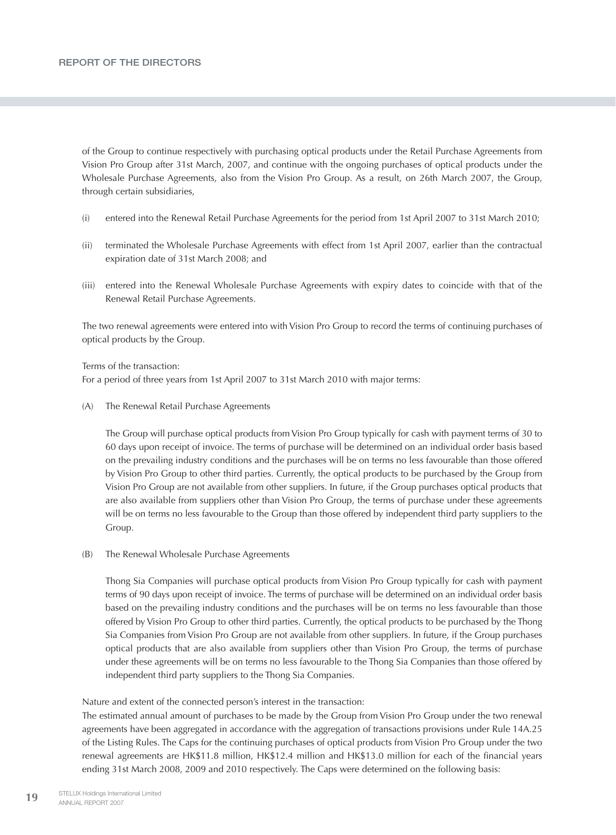of the Group to continue respectively with purchasing optical products under the Retail Purchase Agreements from Vision Pro Group after 31st March, 2007, and continue with the ongoing purchases of optical products under the Wholesale Purchase Agreements, also from the Vision Pro Group. As a result, on 26th March 2007, the Group, through certain subsidiaries,

- (i) entered into the Renewal Retail Purchase Agreements for the period from 1st April 2007 to 31st March 2010;
- (ii) terminated the Wholesale Purchase Agreements with effect from 1st April 2007, earlier than the contractual expiration date of 31st March 2008; and
- (iii) entered into the Renewal Wholesale Purchase Agreements with expiry dates to coincide with that of the Renewal Retail Purchase Agreements.

The two renewal agreements were entered into with Vision Pro Group to record the terms of continuing purchases of optical products by the Group.

Terms of the transaction:

For a period of three years from 1st April 2007 to 31st March 2010 with major terms:

(A) The Renewal Retail Purchase Agreements

The Group will purchase optical products from Vision Pro Group typically for cash with payment terms of 30 to 60 days upon receipt of invoice. The terms of purchase will be determined on an individual order basis based on the prevailing industry conditions and the purchases will be on terms no less favourable than those offered by Vision Pro Group to other third parties. Currently, the optical products to be purchased by the Group from Vision Pro Group are not available from other suppliers. In future, if the Group purchases optical products that are also available from suppliers other than Vision Pro Group, the terms of purchase under these agreements will be on terms no less favourable to the Group than those offered by independent third party suppliers to the Group.

(B) The Renewal Wholesale Purchase Agreements

Thong Sia Companies will purchase optical products from Vision Pro Group typically for cash with payment terms of 90 days upon receipt of invoice. The terms of purchase will be determined on an individual order basis based on the prevailing industry conditions and the purchases will be on terms no less favourable than those offered by Vision Pro Group to other third parties. Currently, the optical products to be purchased by the Thong Sia Companies from Vision Pro Group are not available from other suppliers. In future, if the Group purchases optical products that are also available from suppliers other than Vision Pro Group, the terms of purchase under these agreements will be on terms no less favourable to the Thong Sia Companies than those offered by independent third party suppliers to the Thong Sia Companies.

Nature and extent of the connected person's interest in the transaction:

The estimated annual amount of purchases to be made by the Group from Vision Pro Group under the two renewal agreements have been aggregated in accordance with the aggregation of transactions provisions under Rule 14A.25 of the Listing Rules. The Caps for the continuing purchases of optical products from Vision Pro Group under the two renewal agreements are HK\$11.8 million, HK\$12.4 million and HK\$13.0 million for each of the financial years ending 31st March 2008, 2009 and 2010 respectively. The Caps were determined on the following basis: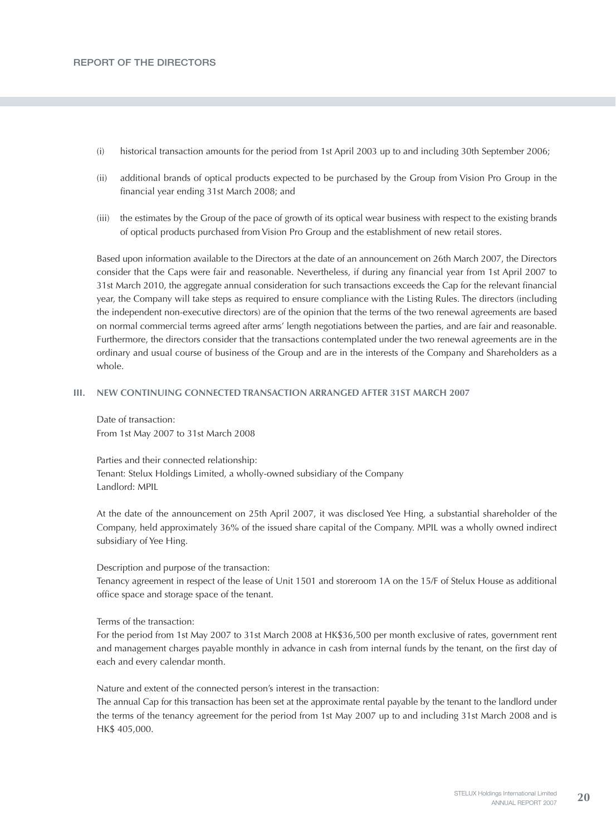- (i) historical transaction amounts for the period from 1st April 2003 up to and including 30th September 2006;
- (ii) additional brands of optical products expected to be purchased by the Group from Vision Pro Group in the financial year ending 31st March 2008; and
- (iii) the estimates by the Group of the pace of growth of its optical wear business with respect to the existing brands of optical products purchased from Vision Pro Group and the establishment of new retail stores.

Based upon information available to the Directors at the date of an announcement on 26th March 2007, the Directors consider that the Caps were fair and reasonable. Nevertheless, if during any financial year from 1st April 2007 to 31st March 2010, the aggregate annual consideration for such transactions exceeds the Cap for the relevant financial year, the Company will take steps as required to ensure compliance with the Listing Rules. The directors (including the independent non-executive directors) are of the opinion that the terms of the two renewal agreements are based on normal commercial terms agreed after arms' length negotiations between the parties, and are fair and reasonable. Furthermore, the directors consider that the transactions contemplated under the two renewal agreements are in the ordinary and usual course of business of the Group and are in the interests of the Company and Shareholders as a whole.

#### **III. NEW CONTINUING CONNECTED TRANSACTION ARRANGED AFTER 31ST MARCH 2007**

Date of transaction: From 1st May 2007 to 31st March 2008

Parties and their connected relationship: Tenant: Stelux Holdings Limited, a wholly-owned subsidiary of the Company Landlord: MPIL

At the date of the announcement on 25th April 2007, it was disclosed Yee Hing, a substantial shareholder of the Company, held approximately 36% of the issued share capital of the Company. MPIL was a wholly owned indirect subsidiary of Yee Hing.

#### Description and purpose of the transaction:

Tenancy agreement in respect of the lease of Unit 1501 and storeroom 1A on the 15/F of Stelux House as additional office space and storage space of the tenant.

#### Terms of the transaction:

For the period from 1st May 2007 to 31st March 2008 at HK\$36,500 per month exclusive of rates, government rent and management charges payable monthly in advance in cash from internal funds by the tenant, on the first day of each and every calendar month.

Nature and extent of the connected person's interest in the transaction:

The annual Cap for this transaction has been set at the approximate rental payable by the tenant to the landlord under the terms of the tenancy agreement for the period from 1st May 2007 up to and including 31st March 2008 and is HK\$ 405,000.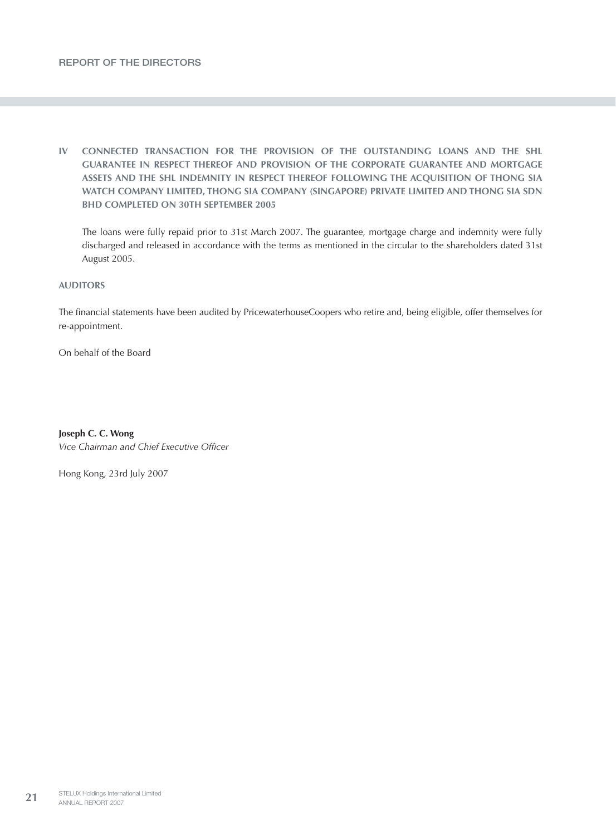**IV CONNECTED TRANSACTION FOR THE PROVISION OF THE OUTSTANDING LOANS AND THE SHL GUARANTEE IN RESPECT THEREOF AND PROVISION OF THE CORPORATE GUARANTEE AND MORTGAGE ASSETS AND THE SHL INDEMNITY IN RESPECT THEREOF FOLLOWING THE ACQUISITION OF THONG SIA WATCH COMPANY LIMITED, THONG SIA COMPANY (SINGAPORE) PRIVATE LIMITED AND THONG SIA SDN BHD COMPLETED ON 30TH SEPTEMBER 2005**

The loans were fully repaid prior to 31st March 2007. The guarantee, mortgage charge and indemnity were fully discharged and released in accordance with the terms as mentioned in the circular to the shareholders dated 31st August 2005.

#### **AUDITORS**

The financial statements have been audited by PricewaterhouseCoopers who retire and, being eligible, offer themselves for re-appointment.

On behalf of the Board

**Joseph C. C. Wong** Vice Chairman and Chief Executive Officer

Hong Kong, 23rd July 2007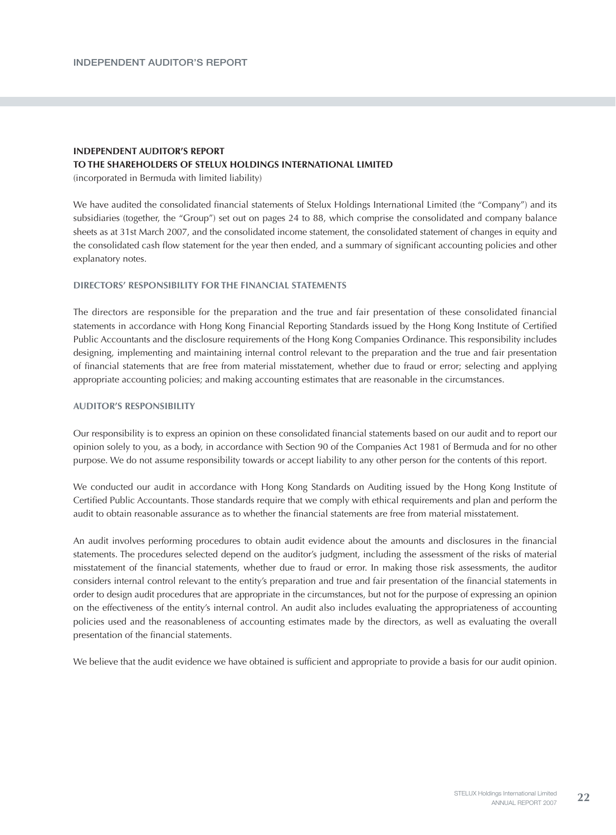# **INDEPENDENT AUDITOR'S REPORT TO THE SHAREHOLDERS OF STELUX HOLDINGS INTERNATIONAL LIMITED**

(incorporated in Bermuda with limited liability)

We have audited the consolidated financial statements of Stelux Holdings International Limited (the "Company") and its subsidiaries (together, the "Group") set out on pages 24 to 88, which comprise the consolidated and company balance sheets as at 31st March 2007, and the consolidated income statement, the consolidated statement of changes in equity and the consolidated cash flow statement for the year then ended, and a summary of significant accounting policies and other explanatory notes.

#### **DIRECTORS' RESPONSIBILITY FOR THE FINANCIAL STATEMENTS**

The directors are responsible for the preparation and the true and fair presentation of these consolidated financial statements in accordance with Hong Kong Financial Reporting Standards issued by the Hong Kong Institute of Certified Public Accountants and the disclosure requirements of the Hong Kong Companies Ordinance. This responsibility includes designing, implementing and maintaining internal control relevant to the preparation and the true and fair presentation of financial statements that are free from material misstatement, whether due to fraud or error; selecting and applying appropriate accounting policies; and making accounting estimates that are reasonable in the circumstances.

#### **AUDITOR'S RESPONSIBILITY**

Our responsibility is to express an opinion on these consolidated financial statements based on our audit and to report our opinion solely to you, as a body, in accordance with Section 90 of the Companies Act 1981 of Bermuda and for no other purpose. We do not assume responsibility towards or accept liability to any other person for the contents of this report.

We conducted our audit in accordance with Hong Kong Standards on Auditing issued by the Hong Kong Institute of Certified Public Accountants. Those standards require that we comply with ethical requirements and plan and perform the audit to obtain reasonable assurance as to whether the financial statements are free from material misstatement.

An audit involves performing procedures to obtain audit evidence about the amounts and disclosures in the financial statements. The procedures selected depend on the auditor's judgment, including the assessment of the risks of material misstatement of the financial statements, whether due to fraud or error. In making those risk assessments, the auditor considers internal control relevant to the entity's preparation and true and fair presentation of the financial statements in order to design audit procedures that are appropriate in the circumstances, but not for the purpose of expressing an opinion on the effectiveness of the entity's internal control. An audit also includes evaluating the appropriateness of accounting policies used and the reasonableness of accounting estimates made by the directors, as well as evaluating the overall presentation of the financial statements.

We believe that the audit evidence we have obtained is sufficient and appropriate to provide a basis for our audit opinion.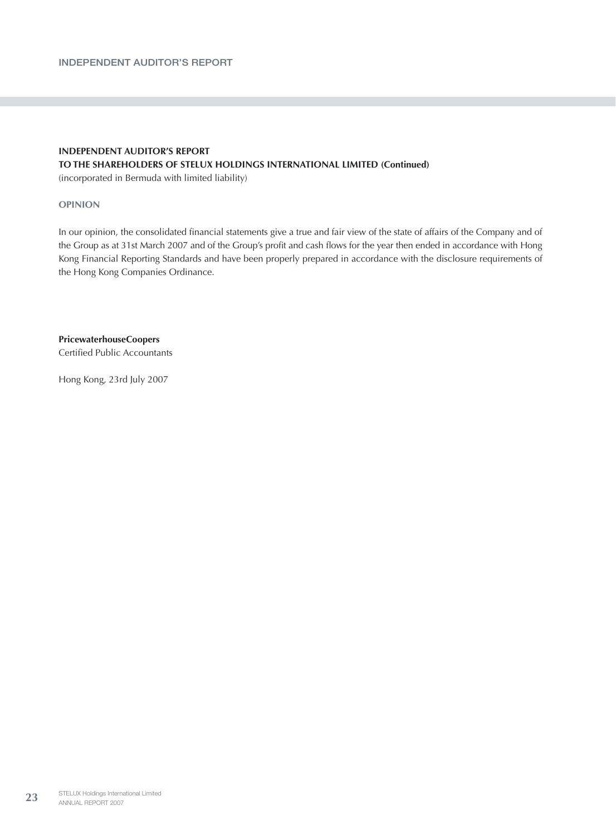# **INDEPENDENT AUDITOR'S REPORT TO THE SHAREHOLDERS OF STELUX HOLDINGS INTERNATIONAL LIMITED (Continued)**

(incorporated in Bermuda with limited liability)

# **OPINION**

In our opinion, the consolidated financial statements give a true and fair view of the state of affairs of the Company and of the Group as at 31st March 2007 and of the Group's profit and cash flows for the year then ended in accordance with Hong Kong Financial Reporting Standards and have been properly prepared in accordance with the disclosure requirements of the Hong Kong Companies Ordinance.

**PricewaterhouseCoopers** Certified Public Accountants

Hong Kong, 23rd July 2007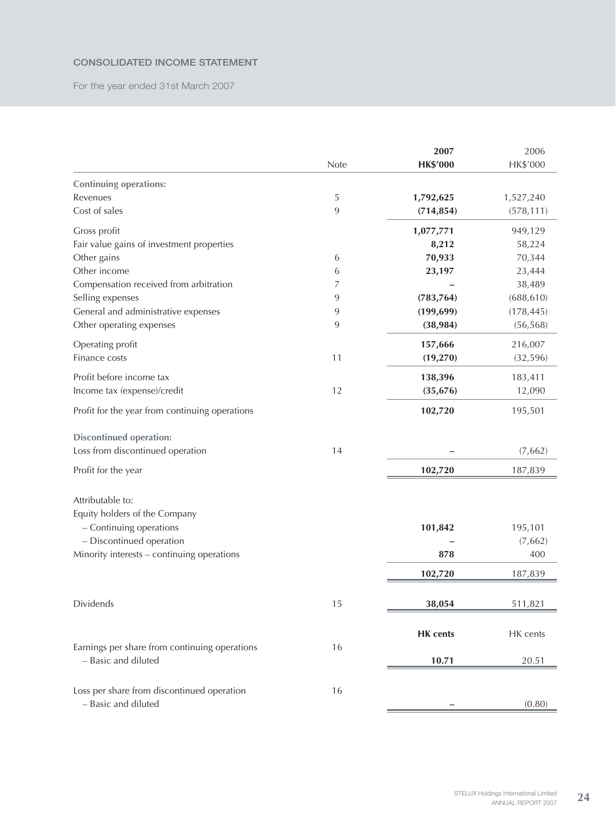# **CONSOLIDATED INCOME STATEMENT**

For the year ended 31st March 2007

|                                                | <b>Note</b> | 2007<br><b>HK\$'000</b> | 2006<br>HK\$'000 |
|------------------------------------------------|-------------|-------------------------|------------------|
|                                                |             |                         |                  |
| <b>Continuing operations:</b><br>Revenues      | 5           | 1,792,625               | 1,527,240        |
| Cost of sales                                  | 9           | (714, 854)              | (578, 111)       |
| Gross profit                                   |             | 1,077,771               | 949,129          |
| Fair value gains of investment properties      |             | 8,212                   | 58,224           |
| Other gains                                    | 6           | 70,933                  | 70,344           |
| Other income                                   | 6           | 23,197                  | 23,444           |
| Compensation received from arbitration         | 7           |                         | 38,489           |
| Selling expenses                               | 9           | (783, 764)              | (688, 610)       |
| General and administrative expenses            | 9           | (199, 699)              | (178, 445)       |
|                                                | 9           |                         |                  |
| Other operating expenses                       |             | (38, 984)               | (56, 568)        |
| Operating profit                               |             | 157,666                 | 216,007          |
| Finance costs                                  | 11          | (19, 270)               | (32, 596)        |
| Profit before income tax                       |             | 138,396                 | 183,411          |
| Income tax (expense)/credit                    | 12          | (35, 676)               | 12,090           |
| Profit for the year from continuing operations |             | 102,720                 | 195,501          |
| <b>Discontinued operation:</b>                 |             |                         |                  |
| Loss from discontinued operation               | 14          |                         | (7,662)          |
|                                                |             |                         |                  |
| Profit for the year                            |             | 102,720                 | 187,839          |
| Attributable to:                               |             |                         |                  |
| Equity holders of the Company                  |             |                         |                  |
| - Continuing operations                        |             | 101,842                 | 195,101          |
| - Discontinued operation                       |             |                         | (7,662)          |
| Minority interests - continuing operations     |             | 878                     | 400              |
|                                                |             | 102,720                 | 187,839          |
|                                                |             |                         |                  |
| Dividends                                      | 15          | 38,054                  | 511,821          |
|                                                |             |                         |                  |
|                                                |             | <b>HK</b> cents         | HK cents         |
| Earnings per share from continuing operations  | 16          |                         |                  |
| - Basic and diluted                            |             | 10.71                   | 20.51            |
|                                                |             |                         |                  |
| Loss per share from discontinued operation     | 16          |                         |                  |
| - Basic and diluted                            |             |                         | (0.80)           |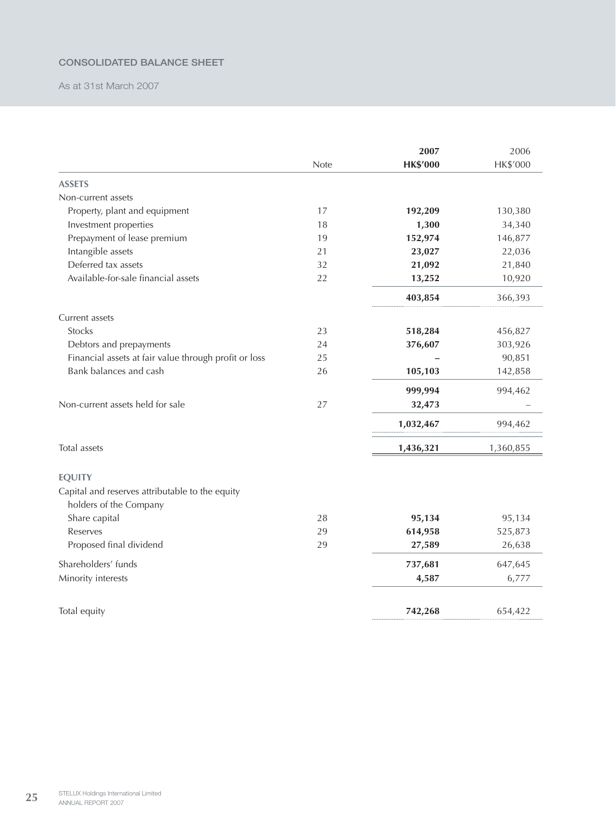As at 31st March 2007

|                                                       |      | 2007            | 2006      |
|-------------------------------------------------------|------|-----------------|-----------|
|                                                       | Note | <b>HK\$'000</b> | HK\$'000  |
| <b>ASSETS</b>                                         |      |                 |           |
| Non-current assets                                    |      |                 |           |
| Property, plant and equipment                         | 17   | 192,209         | 130,380   |
| Investment properties                                 | 18   | 1,300           | 34,340    |
| Prepayment of lease premium                           | 19   | 152,974         | 146,877   |
| Intangible assets                                     | 21   | 23,027          | 22,036    |
| Deferred tax assets                                   | 32   | 21,092          | 21,840    |
| Available-for-sale financial assets                   | 22   | 13,252          | 10,920    |
|                                                       |      | 403,854         | 366,393   |
| Current assets                                        |      |                 |           |
| <b>Stocks</b>                                         | 23   | 518,284         | 456,827   |
| Debtors and prepayments                               | 24   | 376,607         | 303,926   |
| Financial assets at fair value through profit or loss | 25   |                 | 90,851    |
| Bank balances and cash                                | 26   | 105,103         | 142,858   |
|                                                       |      | 999,994         | 994,462   |
| Non-current assets held for sale                      | 27   | 32,473          |           |
|                                                       |      | 1,032,467       | 994,462   |
| Total assets                                          |      | 1,436,321       | 1,360,855 |
| <b>EQUITY</b>                                         |      |                 |           |
| Capital and reserves attributable to the equity       |      |                 |           |
| holders of the Company                                |      |                 |           |
| Share capital                                         | 28   | 95,134          | 95,134    |
| Reserves                                              | 29   | 614,958         | 525,873   |
| Proposed final dividend                               | 29   | 27,589          | 26,638    |
| Shareholders' funds                                   |      | 737,681         | 647,645   |
| Minority interests                                    |      | 4,587           | 6,777     |
| Total equity                                          |      | 742,268         | 654,422   |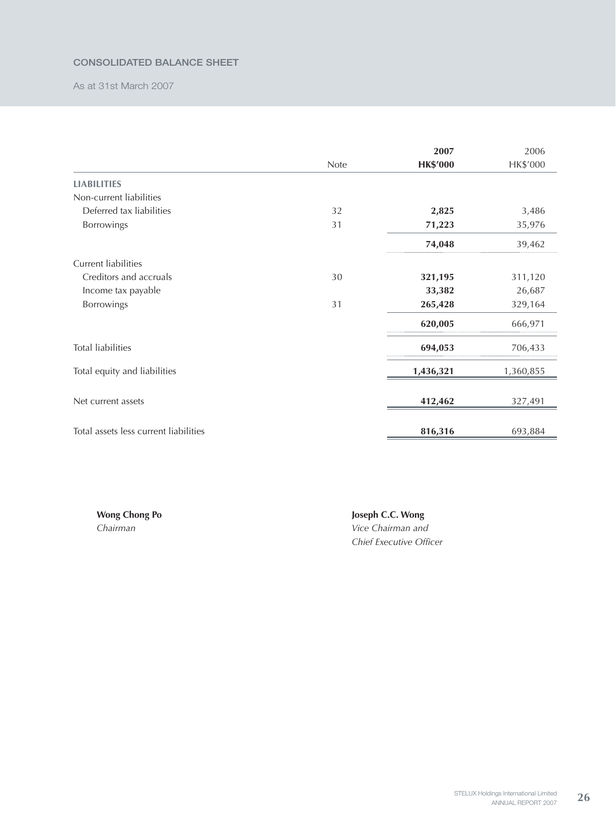# **CONSOLIDATED BALANCE SHEET**

As at 31st March 2007

|                                       |             | 2007            | 2006      |
|---------------------------------------|-------------|-----------------|-----------|
|                                       | <b>Note</b> | <b>HK\$'000</b> | HK\$'000  |
| <b>LIABILITIES</b>                    |             |                 |           |
| Non-current liabilities               |             |                 |           |
| Deferred tax liabilities              | 32          | 2,825           | 3,486     |
| Borrowings                            | 31          | 71,223          | 35,976    |
|                                       |             | 74,048          | 39,462    |
| Current liabilities                   |             |                 |           |
| Creditors and accruals                | 30          | 321,195         | 311,120   |
| Income tax payable                    |             | 33,382          | 26,687    |
| Borrowings                            | 31          | 265,428         | 329,164   |
|                                       |             | 620,005         | 666,971   |
| <b>Total liabilities</b>              |             | 694,053         | 706,433   |
| Total equity and liabilities          |             | 1,436,321       | 1,360,855 |
| Net current assets                    |             | 412,462         | 327,491   |
| Total assets less current liabilities |             | 816,316         | 693,884   |

**Wong Chong Po Joseph C.C. Wong**<br>Chairman *Vice Chairman Chairman Vice Chairman and Chief Executive Officer*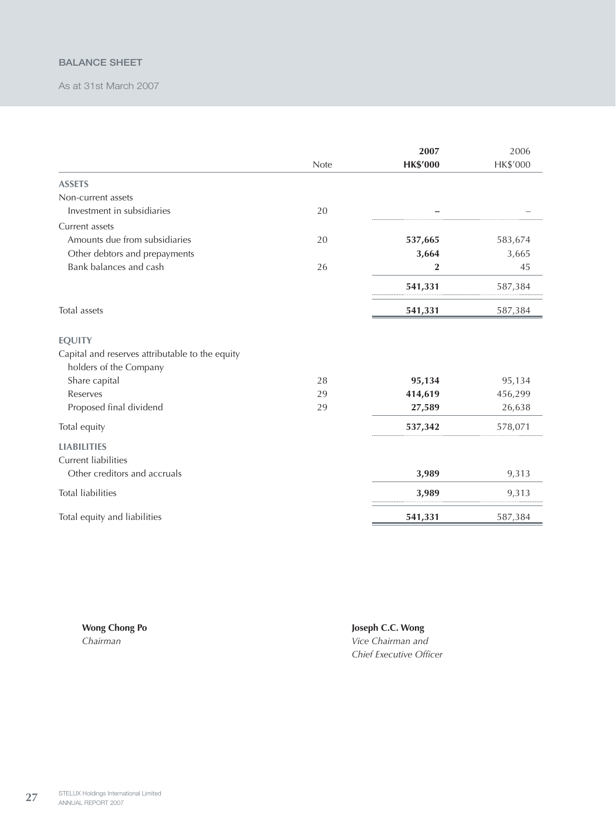# **BALANCE SHEET**

As at 31st March 2007

|                                                 | <b>Note</b> | 2007<br><b>HK\$'000</b> | 2006<br>HK\$'000 |
|-------------------------------------------------|-------------|-------------------------|------------------|
| <b>ASSETS</b>                                   |             |                         |                  |
| Non-current assets                              |             |                         |                  |
| Investment in subsidiaries                      | 20          |                         |                  |
|                                                 |             |                         |                  |
| Current assets                                  |             |                         |                  |
| Amounts due from subsidiaries                   | 20          | 537,665                 | 583,674          |
| Other debtors and prepayments                   |             | 3,664                   | 3,665            |
| Bank balances and cash                          | 26          | $\overline{2}$          | 45               |
|                                                 |             | 541,331                 | 587,384          |
| <b>Total</b> assets                             |             | 541,331                 | 587,384          |
| <b>EQUITY</b>                                   |             |                         |                  |
| Capital and reserves attributable to the equity |             |                         |                  |
| holders of the Company                          |             |                         |                  |
| Share capital                                   | 28          | 95,134                  | 95,134           |
| Reserves                                        | 29          | 414,619                 | 456,299          |
| Proposed final dividend                         | 29          | 27,589                  | 26,638           |
| Total equity                                    |             | 537,342                 | 578,071          |
| <b>LIABILITIES</b>                              |             |                         |                  |
| <b>Current liabilities</b>                      |             |                         |                  |
| Other creditors and accruals                    |             | 3,989                   | 9,313            |
| <b>Total liabilities</b>                        |             | 3,989                   | 9,313            |
| Total equity and liabilities                    |             | 541,331                 | 587,384          |

# **Wong Chong Po Joseph C.C. Wong**

*Chairman Vice Chairman and Chief Executive Officer*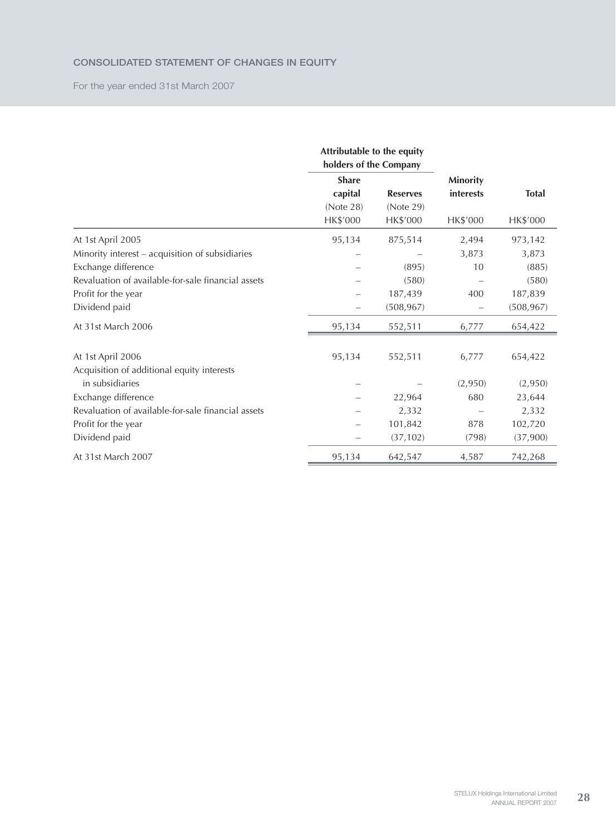# **CONSOLIDATED STATEMENT OF CHANGES IN EQUITY**

For the year ended 31st March 2007

|                                                    | Attributable to the equity<br>holders of the Company |                 |                 |              |
|----------------------------------------------------|------------------------------------------------------|-----------------|-----------------|--------------|
|                                                    | <b>Share</b>                                         |                 | <b>Minority</b> |              |
|                                                    | capital                                              | <b>Reserves</b> | interests       | <b>Total</b> |
|                                                    | (Note 28)                                            | (Note 29)       |                 |              |
|                                                    | HK\$'000                                             | HK\$'000        | HK\$'000        | HK\$'000     |
| At 1st April 2005                                  | 95,134                                               | 875,514         | 2,494           | 973,142      |
| Minority interest - acquisition of subsidiaries    |                                                      |                 | 3,873           | 3,873        |
| Exchange difference                                |                                                      | (895)           | 10              | (885)        |
| Revaluation of available-for-sale financial assets |                                                      | (580)           |                 | (580)        |
| Profit for the year                                |                                                      | 187,439         | 400             | 187,839      |
| Dividend paid                                      |                                                      | (508, 967)      |                 | (508, 967)   |
| At 31st March 2006                                 | 95,134                                               | 552,511         | 6,777           | 654,422      |
| At 1st April 2006                                  | 95,134                                               | 552,511         | 6,777           | 654,422      |
| Acquisition of additional equity interests         |                                                      |                 |                 |              |
| in subsidiaries                                    |                                                      |                 | (2,950)         | (2,950)      |
| Exchange difference                                |                                                      | 22,964          | 680             | 23,644       |
| Revaluation of available-for-sale financial assets |                                                      | 2,332           |                 | 2,332        |
| Profit for the year                                |                                                      | 101,842         | 878             | 102,720      |
| Dividend paid                                      |                                                      | (37, 102)       | (798)           | (37,900)     |
| At 31st March 2007                                 | 95,134                                               | 642,547         | 4,587           | 742,268      |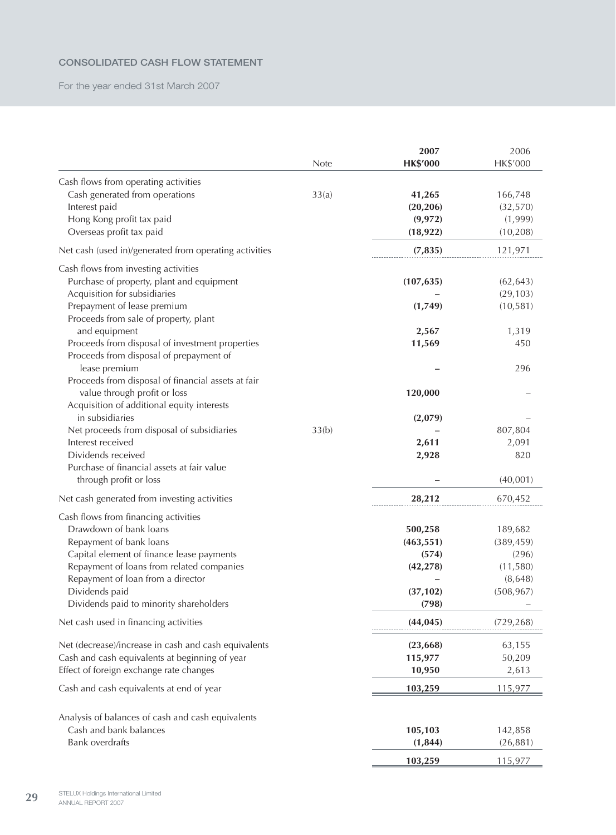# **CONSOLIDATED CASH FLOW STATEMENT**

For the year ended 31st March 2007

|                                                                        | <b>Note</b> | 2007<br><b>HK\$'000</b> | 2006<br>HK\$'000 |
|------------------------------------------------------------------------|-------------|-------------------------|------------------|
| Cash flows from operating activities<br>Cash generated from operations | 33(a)       | 41,265                  | 166,748          |
| Interest paid                                                          |             | (20, 206)               | (32, 570)        |
| Hong Kong profit tax paid                                              |             | (9, 972)                | (1,999)          |
| Overseas profit tax paid                                               |             | (18, 922)               | (10, 208)        |
| Net cash (used in)/generated from operating activities                 |             | (7, 835)                | 121,971          |
| Cash flows from investing activities                                   |             |                         |                  |
| Purchase of property, plant and equipment                              |             | (107, 635)              | (62, 643)        |
| Acquisition for subsidiaries                                           |             |                         | (29, 103)        |
| Prepayment of lease premium                                            |             | (1,749)                 | (10, 581)        |
| Proceeds from sale of property, plant                                  |             |                         |                  |
| and equipment                                                          |             | 2,567                   | 1,319            |
| Proceeds from disposal of investment properties                        |             | 11,569                  | 450              |
| Proceeds from disposal of prepayment of                                |             |                         |                  |
| lease premium                                                          |             |                         | 296              |
| Proceeds from disposal of financial assets at fair                     |             |                         |                  |
| value through profit or loss                                           |             | 120,000                 |                  |
| Acquisition of additional equity interests                             |             |                         |                  |
| in subsidiaries                                                        |             | (2,079)                 |                  |
| Net proceeds from disposal of subsidiaries                             | 33(b)       |                         | 807,804          |
| Interest received                                                      |             | 2,611                   | 2,091            |
| Dividends received                                                     |             | 2,928                   | 820              |
| Purchase of financial assets at fair value                             |             |                         |                  |
| through profit or loss                                                 |             |                         | (40,001)         |
| Net cash generated from investing activities                           |             | 28,212                  | 670,452          |
|                                                                        |             |                         |                  |
| Cash flows from financing activities                                   |             |                         |                  |
| Drawdown of bank loans                                                 |             | 500,258                 | 189,682          |
| Repayment of bank loans                                                |             | (463, 551)              | (389, 459)       |
| Capital element of finance lease payments                              |             | (574)                   | (296)            |
| Repayment of loans from related companies                              |             | (42, 278)               | (11, 580)        |
| Repayment of loan from a director                                      |             |                         | (8,648)          |
| Dividends paid                                                         |             | (37, 102)               | (508, 967)       |
| Dividends paid to minority shareholders                                |             | (798)                   |                  |
| Net cash used in financing activities                                  |             | (44, 045)               | (729, 268)       |
| Net (decrease)/increase in cash and cash equivalents                   |             | (23, 668)               | 63,155           |
| Cash and cash equivalents at beginning of year                         |             | 115,977                 | 50,209           |
| Effect of foreign exchange rate changes                                |             | 10,950                  | 2,613            |
| Cash and cash equivalents at end of year                               |             | 103,259                 | 115,977          |
|                                                                        |             |                         |                  |
| Analysis of balances of cash and cash equivalents                      |             |                         |                  |
| Cash and bank balances                                                 |             | 105,103                 | 142,858          |
| <b>Bank overdrafts</b>                                                 |             | (1, 844)                | (26, 881)        |
|                                                                        |             | 103,259                 | 115,977          |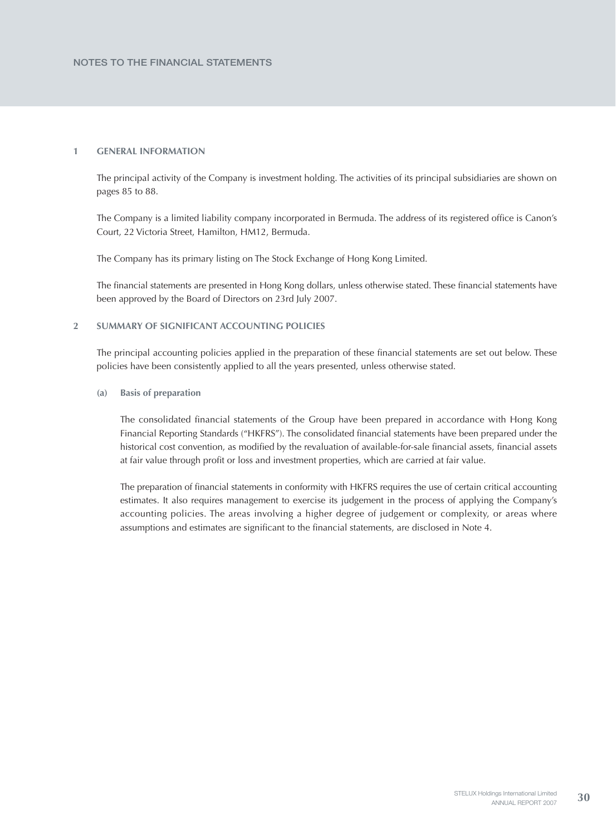#### **1 GENERAL INFORMATION**

The principal activity of the Company is investment holding. The activities of its principal subsidiaries are shown on pages 85 to 88.

The Company is a limited liability company incorporated in Bermuda. The address of its registered office is Canon's Court, 22 Victoria Street, Hamilton, HM12, Bermuda.

The Company has its primary listing on The Stock Exchange of Hong Kong Limited.

The financial statements are presented in Hong Kong dollars, unless otherwise stated. These financial statements have been approved by the Board of Directors on 23rd July 2007.

#### **2 SUMMARY OF SIGNIFICANT ACCOUNTING POLICIES**

The principal accounting policies applied in the preparation of these financial statements are set out below. These policies have been consistently applied to all the years presented, unless otherwise stated.

#### **(a) Basis of preparation**

The consolidated financial statements of the Group have been prepared in accordance with Hong Kong Financial Reporting Standards ("HKFRS"). The consolidated financial statements have been prepared under the historical cost convention, as modified by the revaluation of available-for-sale financial assets, financial assets at fair value through profit or loss and investment properties, which are carried at fair value.

The preparation of financial statements in conformity with HKFRS requires the use of certain critical accounting estimates. It also requires management to exercise its judgement in the process of applying the Company's accounting policies. The areas involving a higher degree of judgement or complexity, or areas where assumptions and estimates are significant to the financial statements, are disclosed in Note 4.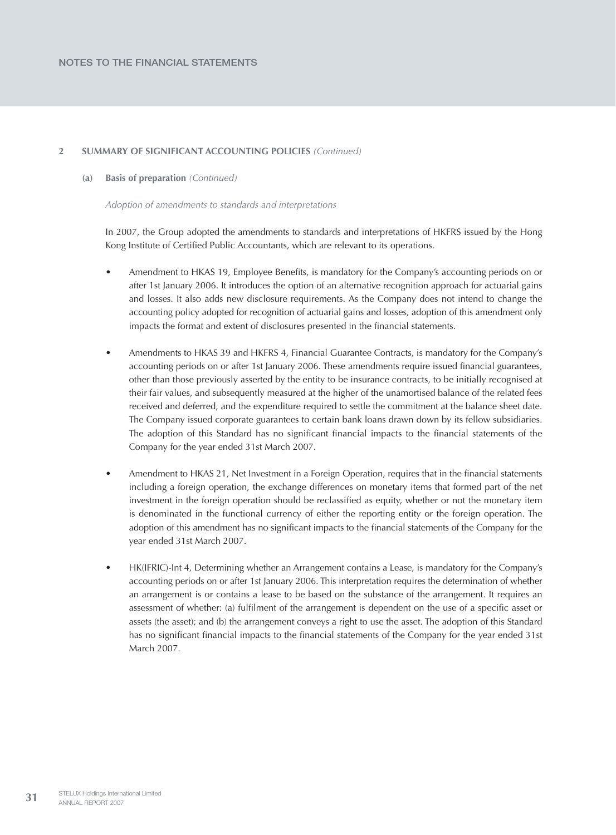#### **2 SUMMARY OF SIGNIFICANT ACCOUNTING POLICIES** *(Continued)*

#### **(a) Basis of preparation** *(Continued)*

*Adoption of amendments to standards and interpretations*

In 2007, the Group adopted the amendments to standards and interpretations of HKFRS issued by the Hong Kong Institute of Certified Public Accountants, which are relevant to its operations.

- Amendment to HKAS 19, Employee Benefits, is mandatory for the Company's accounting periods on or after 1st January 2006. It introduces the option of an alternative recognition approach for actuarial gains and losses. It also adds new disclosure requirements. As the Company does not intend to change the accounting policy adopted for recognition of actuarial gains and losses, adoption of this amendment only impacts the format and extent of disclosures presented in the financial statements.
- Amendments to HKAS 39 and HKFRS 4, Financial Guarantee Contracts, is mandatory for the Company's accounting periods on or after 1st January 2006. These amendments require issued financial guarantees, other than those previously asserted by the entity to be insurance contracts, to be initially recognised at their fair values, and subsequently measured at the higher of the unamortised balance of the related fees received and deferred, and the expenditure required to settle the commitment at the balance sheet date. The Company issued corporate guarantees to certain bank loans drawn down by its fellow subsidiaries. The adoption of this Standard has no significant financial impacts to the financial statements of the Company for the year ended 31st March 2007.
- Amendment to HKAS 21, Net Investment in a Foreign Operation, requires that in the financial statements including a foreign operation, the exchange differences on monetary items that formed part of the net investment in the foreign operation should be reclassified as equity, whether or not the monetary item is denominated in the functional currency of either the reporting entity or the foreign operation. The adoption of this amendment has no significant impacts to the financial statements of the Company for the year ended 31st March 2007.
- HK(IFRIC)-Int 4, Determining whether an Arrangement contains a Lease, is mandatory for the Company's accounting periods on or after 1st January 2006. This interpretation requires the determination of whether an arrangement is or contains a lease to be based on the substance of the arrangement. It requires an assessment of whether: (a) fulfilment of the arrangement is dependent on the use of a specific asset or assets (the asset); and (b) the arrangement conveys a right to use the asset. The adoption of this Standard has no significant financial impacts to the financial statements of the Company for the year ended 31st March 2007.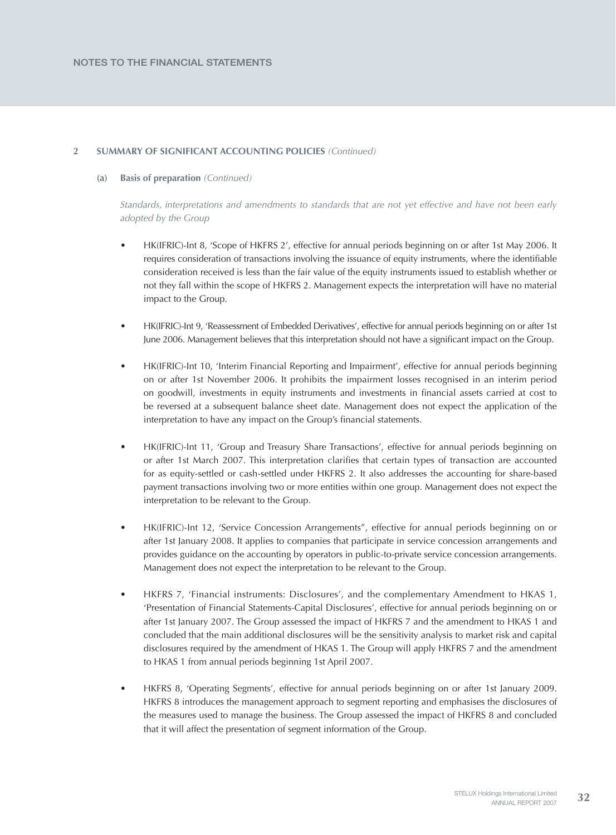#### **2 SUMMARY OF SIGNIFICANT ACCOUNTING POLICIES** *(Continued)*

#### **(a) Basis of preparation** *(Continued)*

 *Standards, interpretations and amendments to standards that are not yet effective and have not been early adopted by the Group*

- HK(IFRIC)-Int 8, 'Scope of HKFRS 2', effective for annual periods beginning on or after 1st May 2006. It requires consideration of transactions involving the issuance of equity instruments, where the identifiable consideration received is less than the fair value of the equity instruments issued to establish whether or not they fall within the scope of HKFRS 2. Management expects the interpretation will have no material impact to the Group.
- HK(IFRIC)-Int 9, 'Reassessment of Embedded Derivatives', effective for annual periods beginning on or after 1st June 2006. Management believes that this interpretation should not have a significant impact on the Group.
- HK(IFRIC)-Int 10, 'Interim Financial Reporting and Impairment', effective for annual periods beginning on or after 1st November 2006. It prohibits the impairment losses recognised in an interim period on goodwill, investments in equity instruments and investments in financial assets carried at cost to be reversed at a subsequent balance sheet date. Management does not expect the application of the interpretation to have any impact on the Group's financial statements.
- HK(IFRIC)-Int 11, 'Group and Treasury Share Transactions', effective for annual periods beginning on or after 1st March 2007. This interpretation clarifies that certain types of transaction are accounted for as equity-settled or cash-settled under HKFRS 2. It also addresses the accounting for share-based payment transactions involving two or more entities within one group. Management does not expect the interpretation to be relevant to the Group.
- HK(IFRIC)-Int 12, 'Service Concession Arrangements", effective for annual periods beginning on or after 1st January 2008. It applies to companies that participate in service concession arrangements and provides guidance on the accounting by operators in public-to-private service concession arrangements. Management does not expect the interpretation to be relevant to the Group.
- HKFRS 7, 'Financial instruments: Disclosures', and the complementary Amendment to HKAS 1, 'Presentation of Financial Statements-Capital Disclosures', effective for annual periods beginning on or after 1st January 2007. The Group assessed the impact of HKFRS 7 and the amendment to HKAS 1 and concluded that the main additional disclosures will be the sensitivity analysis to market risk and capital disclosures required by the amendment of HKAS 1. The Group will apply HKFRS 7 and the amendment to HKAS 1 from annual periods beginning 1st April 2007.
- HKFRS 8, 'Operating Segments', effective for annual periods beginning on or after 1st January 2009. HKFRS 8 introduces the management approach to segment reporting and emphasises the disclosures of the measures used to manage the business. The Group assessed the impact of HKFRS 8 and concluded that it will affect the presentation of segment information of the Group.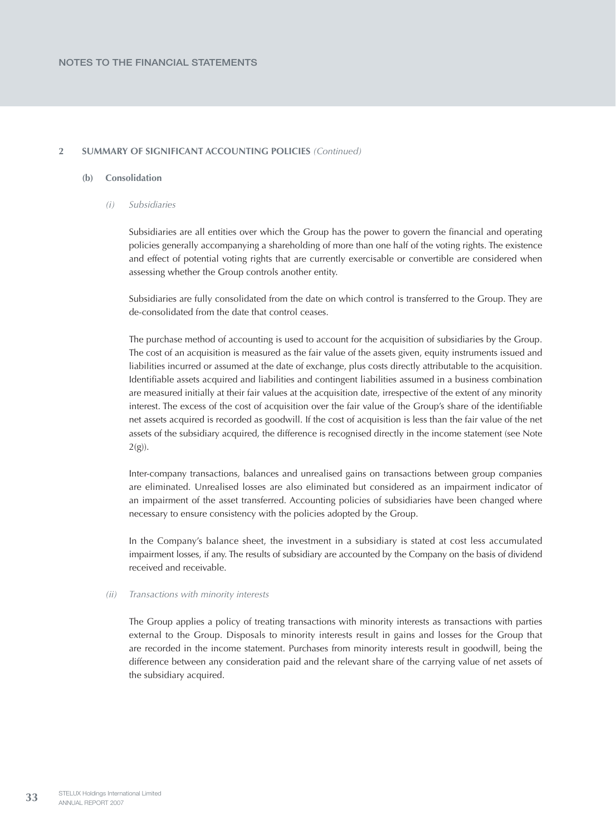#### **2 SUMMARY OF SIGNIFICANT ACCOUNTING POLICIES** *(Continued)*

#### **(b) Consolidation**

*(i) Subsidiaries*

Subsidiaries are all entities over which the Group has the power to govern the financial and operating policies generally accompanying a shareholding of more than one half of the voting rights. The existence and effect of potential voting rights that are currently exercisable or convertible are considered when assessing whether the Group controls another entity.

Subsidiaries are fully consolidated from the date on which control is transferred to the Group. They are de-consolidated from the date that control ceases.

The purchase method of accounting is used to account for the acquisition of subsidiaries by the Group. The cost of an acquisition is measured as the fair value of the assets given, equity instruments issued and liabilities incurred or assumed at the date of exchange, plus costs directly attributable to the acquisition. Identifiable assets acquired and liabilities and contingent liabilities assumed in a business combination are measured initially at their fair values at the acquisition date, irrespective of the extent of any minority interest. The excess of the cost of acquisition over the fair value of the Group's share of the identifiable net assets acquired is recorded as goodwill. If the cost of acquisition is less than the fair value of the net assets of the subsidiary acquired, the difference is recognised directly in the income statement (see Note  $2(g)$ ).

Inter-company transactions, balances and unrealised gains on transactions between group companies are eliminated. Unrealised losses are also eliminated but considered as an impairment indicator of an impairment of the asset transferred. Accounting policies of subsidiaries have been changed where necessary to ensure consistency with the policies adopted by the Group.

In the Company's balance sheet, the investment in a subsidiary is stated at cost less accumulated impairment losses, if any. The results of subsidiary are accounted by the Company on the basis of dividend received and receivable.

#### *(ii) Transactions with minority interests*

The Group applies a policy of treating transactions with minority interests as transactions with parties external to the Group. Disposals to minority interests result in gains and losses for the Group that are recorded in the income statement. Purchases from minority interests result in goodwill, being the difference between any consideration paid and the relevant share of the carrying value of net assets of the subsidiary acquired.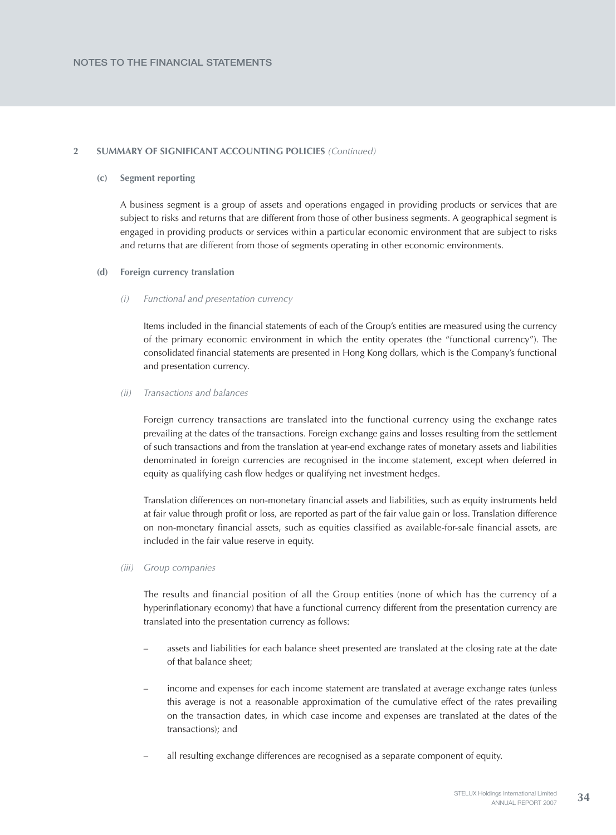## **(c) Segment reporting**

A business segment is a group of assets and operations engaged in providing products or services that are subject to risks and returns that are different from those of other business segments. A geographical segment is engaged in providing products or services within a particular economic environment that are subject to risks and returns that are different from those of segments operating in other economic environments.

#### **(d) Foreign currency translation**

#### *(i) Functional and presentation currency*

Items included in the financial statements of each of the Group's entities are measured using the currency of the primary economic environment in which the entity operates (the "functional currency"). The consolidated financial statements are presented in Hong Kong dollars, which is the Company's functional and presentation currency.

#### *(ii) Transactions and balances*

Foreign currency transactions are translated into the functional currency using the exchange rates prevailing at the dates of the transactions. Foreign exchange gains and losses resulting from the settlement of such transactions and from the translation at year-end exchange rates of monetary assets and liabilities denominated in foreign currencies are recognised in the income statement, except when deferred in equity as qualifying cash flow hedges or qualifying net investment hedges.

Translation differences on non-monetary financial assets and liabilities, such as equity instruments held at fair value through profit or loss, are reported as part of the fair value gain or loss. Translation difference on non-monetary financial assets, such as equities classified as available-for-sale financial assets, are included in the fair value reserve in equity.

#### *(iii) Group companies*

The results and financial position of all the Group entities (none of which has the currency of a hyperinflationary economy) that have a functional currency different from the presentation currency are translated into the presentation currency as follows:

- assets and liabilities for each balance sheet presented are translated at the closing rate at the date of that balance sheet;
- income and expenses for each income statement are translated at average exchange rates (unless this average is not a reasonable approximation of the cumulative effect of the rates prevailing on the transaction dates, in which case income and expenses are translated at the dates of the transactions); and
- all resulting exchange differences are recognised as a separate component of equity.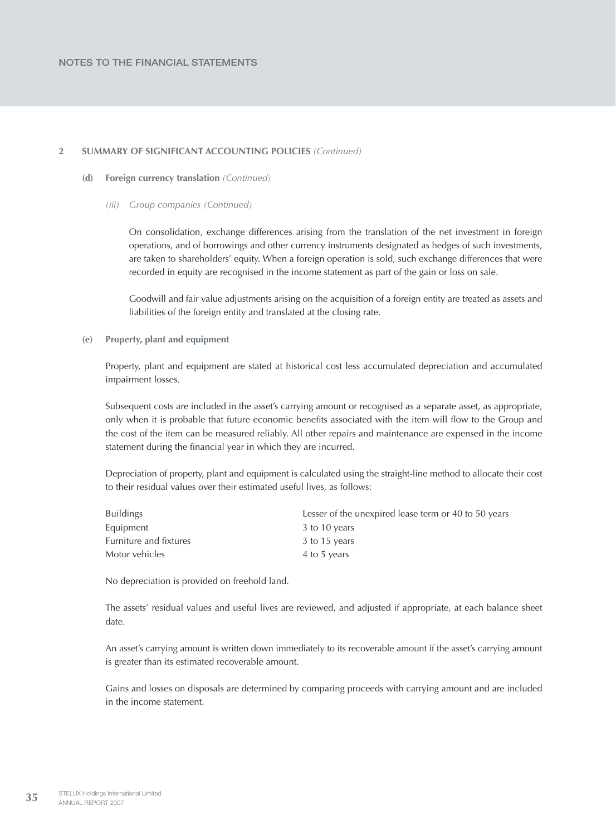#### **(d) Foreign currency translation** *(Continued)*

*(iii) Group companies (Continued)*

On consolidation, exchange differences arising from the translation of the net investment in foreign operations, and of borrowings and other currency instruments designated as hedges of such investments, are taken to shareholders' equity. When a foreign operation is sold, such exchange differences that were recorded in equity are recognised in the income statement as part of the gain or loss on sale.

Goodwill and fair value adjustments arising on the acquisition of a foreign entity are treated as assets and liabilities of the foreign entity and translated at the closing rate.

**(e) Property, plant and equipment**

Property, plant and equipment are stated at historical cost less accumulated depreciation and accumulated impairment losses.

Subsequent costs are included in the asset's carrying amount or recognised as a separate asset, as appropriate, only when it is probable that future economic benefits associated with the item will flow to the Group and the cost of the item can be measured reliably. All other repairs and maintenance are expensed in the income statement during the financial year in which they are incurred.

Depreciation of property, plant and equipment is calculated using the straight-line method to allocate their cost to their residual values over their estimated useful lives, as follows:

| <b>Buildings</b>       | Lesser of the unexpired lease term or 40 to 50 years |
|------------------------|------------------------------------------------------|
| Equipment              | 3 to 10 years                                        |
| Furniture and fixtures | 3 to 15 years                                        |
| Motor vehicles         | 4 to 5 years                                         |

No depreciation is provided on freehold land.

The assets' residual values and useful lives are reviewed, and adjusted if appropriate, at each balance sheet date.

An asset's carrying amount is written down immediately to its recoverable amount if the asset's carrying amount is greater than its estimated recoverable amount.

Gains and losses on disposals are determined by comparing proceeds with carrying amount and are included in the income statement.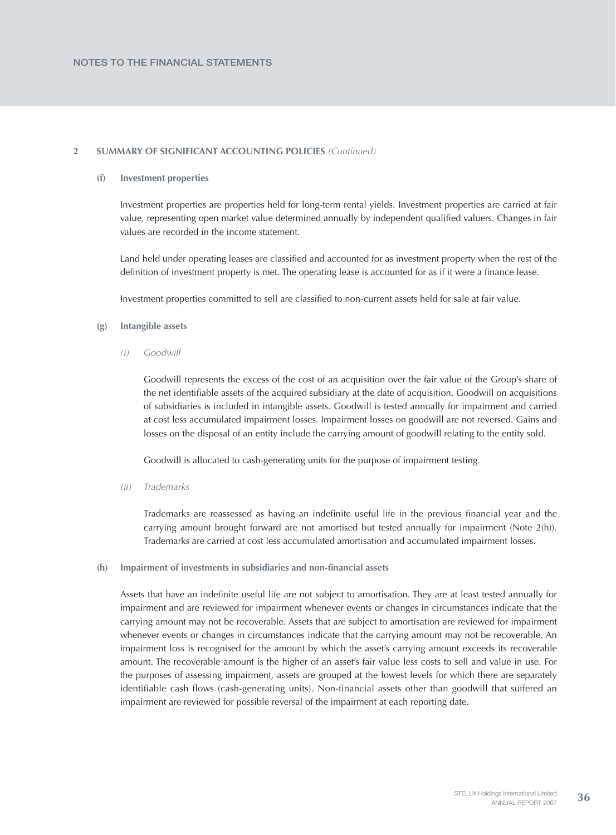### **(f) Investment properties**

Investment properties are properties held for long-term rental yields. Investment properties are carried at fair value, representing open market value determined annually by independent qualified valuers. Changes in fair values are recorded in the income statement.

Land held under operating leases are classified and accounted for as investment property when the rest of the definition of investment property is met. The operating lease is accounted for as if it were a finance lease.

Investment properties committed to sell are classified to non-current assets held for sale at fair value.

### **(g) Intangible assets**

*(i) Goodwill*

Goodwill represents the excess of the cost of an acquisition over the fair value of the Group's share of the net identifi able assets of the acquired subsidiary at the date of acquisition. Goodwill on acquisitions of subsidiaries is included in intangible assets. Goodwill is tested annually for impairment and carried at cost less accumulated impairment losses. Impairment losses on goodwill are not reversed. Gains and losses on the disposal of an entity include the carrying amount of goodwill relating to the entity sold.

Goodwill is allocated to cash-generating units for the purpose of impairment testing.

*(ii) Trademarks*

Trademarks are reassessed as having an indefinite useful life in the previous financial year and the carrying amount brought forward are not amortised but tested annually for impairment (Note 2(h)). Trademarks are carried at cost less accumulated amortisation and accumulated impairment losses.

#### (h) Impairment of investments in subsidiaries and non-financial assets

Assets that have an indefinite useful life are not subject to amortisation. They are at least tested annually for impairment and are reviewed for impairment whenever events or changes in circumstances indicate that the carrying amount may not be recoverable. Assets that are subject to amortisation are reviewed for impairment whenever events or changes in circumstances indicate that the carrying amount may not be recoverable. An impairment loss is recognised for the amount by which the asset's carrying amount exceeds its recoverable amount. The recoverable amount is the higher of an asset's fair value less costs to sell and value in use. For the purposes of assessing impairment, assets are grouped at the lowest levels for which there are separately identifiable cash flows (cash-generating units). Non-financial assets other than goodwill that suffered an impairment are reviewed for possible reversal of the impairment at each reporting date.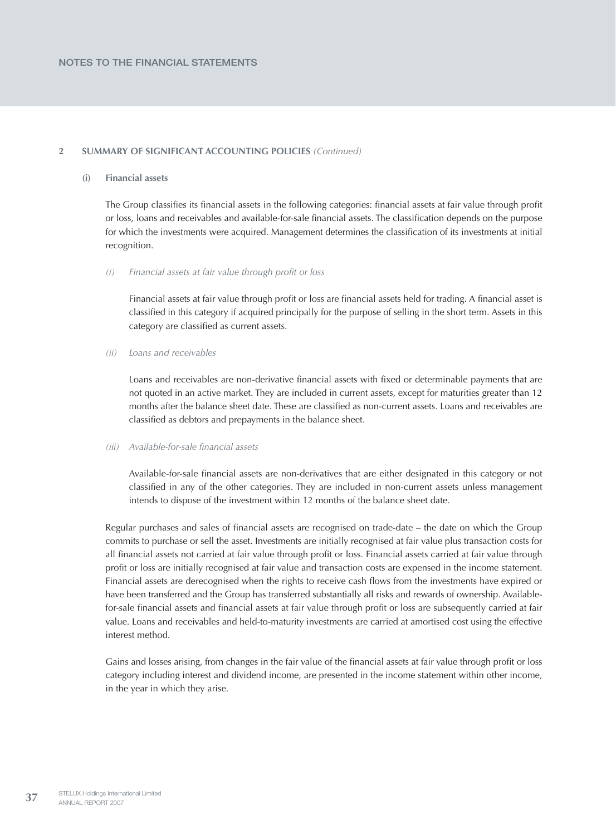#### **(i) Financial assets**

The Group classifies its financial assets in the following categories: financial assets at fair value through profit or loss, loans and receivables and available-for-sale financial assets. The classification depends on the purpose for which the investments were acquired. Management determines the classification of its investments at initial recognition.

#### *(i)* Financial assets at fair value through profit or loss

Financial assets at fair value through profit or loss are financial assets held for trading. A financial asset is classified in this category if acquired principally for the purpose of selling in the short term. Assets in this category are classified as current assets.

## *(ii) Loans and receivables*

Loans and receivables are non-derivative financial assets with fixed or determinable payments that are not quoted in an active market. They are included in current assets, except for maturities greater than 12 months after the balance sheet date. These are classified as non-current assets. Loans and receivables are classified as debtors and prepayments in the balance sheet.

## *(iii)* Available-for-sale financial assets

Available-for-sale financial assets are non-derivatives that are either designated in this category or not classified in any of the other categories. They are included in non-current assets unless management intends to dispose of the investment within 12 months of the balance sheet date.

Regular purchases and sales of financial assets are recognised on trade-date – the date on which the Group commits to purchase or sell the asset. Investments are initially recognised at fair value plus transaction costs for all financial assets not carried at fair value through profit or loss. Financial assets carried at fair value through profit or loss are initially recognised at fair value and transaction costs are expensed in the income statement. Financial assets are derecognised when the rights to receive cash flows from the investments have expired or have been transferred and the Group has transferred substantially all risks and rewards of ownership. Availablefor-sale financial assets and financial assets at fair value through profit or loss are subsequently carried at fair value. Loans and receivables and held-to-maturity investments are carried at amortised cost using the effective interest method.

Gains and losses arising, from changes in the fair value of the financial assets at fair value through profit or loss category including interest and dividend income, are presented in the income statement within other income, in the year in which they arise.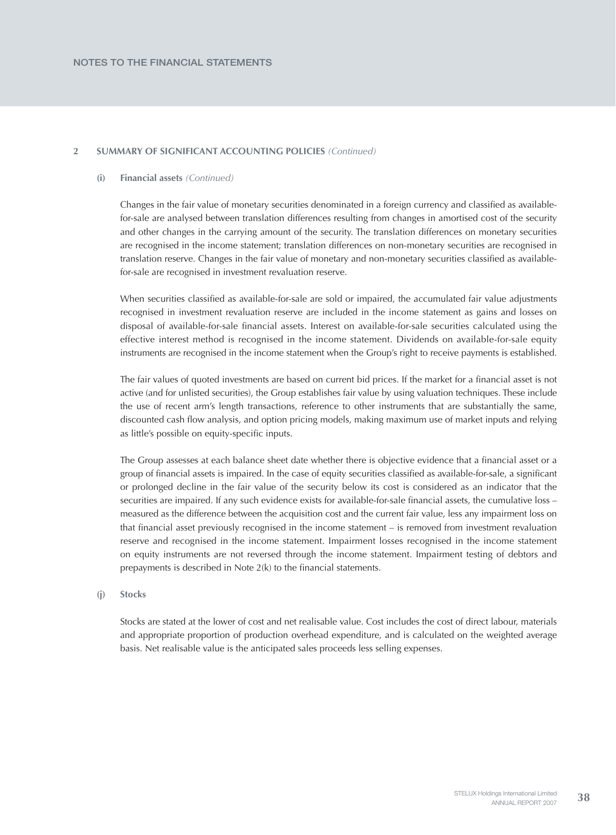#### **(i) Financial assets** *(Continued)*

Changes in the fair value of monetary securities denominated in a foreign currency and classified as availablefor-sale are analysed between translation differences resulting from changes in amortised cost of the security and other changes in the carrying amount of the security. The translation differences on monetary securities are recognised in the income statement; translation differences on non-monetary securities are recognised in translation reserve. Changes in the fair value of monetary and non-monetary securities classified as availablefor-sale are recognised in investment revaluation reserve.

When securities classified as available-for-sale are sold or impaired, the accumulated fair value adjustments recognised in investment revaluation reserve are included in the income statement as gains and losses on disposal of available-for-sale financial assets. Interest on available-for-sale securities calculated using the effective interest method is recognised in the income statement. Dividends on available-for-sale equity instruments are recognised in the income statement when the Group's right to receive payments is established.

The fair values of quoted investments are based on current bid prices. If the market for a financial asset is not active (and for unlisted securities), the Group establishes fair value by using valuation techniques. These include the use of recent arm's length transactions, reference to other instruments that are substantially the same, discounted cash flow analysis, and option pricing models, making maximum use of market inputs and relying as little's possible on equity-specific inputs.

The Group assesses at each balance sheet date whether there is objective evidence that a financial asset or a group of financial assets is impaired. In the case of equity securities classified as available-for-sale, a significant or prolonged decline in the fair value of the security below its cost is considered as an indicator that the securities are impaired. If any such evidence exists for available-for-sale financial assets, the cumulative loss – measured as the difference between the acquisition cost and the current fair value, less any impairment loss on that financial asset previously recognised in the income statement  $-$  is removed from investment revaluation reserve and recognised in the income statement. Impairment losses recognised in the income statement on equity instruments are not reversed through the income statement. Impairment testing of debtors and prepayments is described in Note  $2(k)$  to the financial statements.

#### **(j) Stocks**

Stocks are stated at the lower of cost and net realisable value. Cost includes the cost of direct labour, materials and appropriate proportion of production overhead expenditure, and is calculated on the weighted average basis. Net realisable value is the anticipated sales proceeds less selling expenses.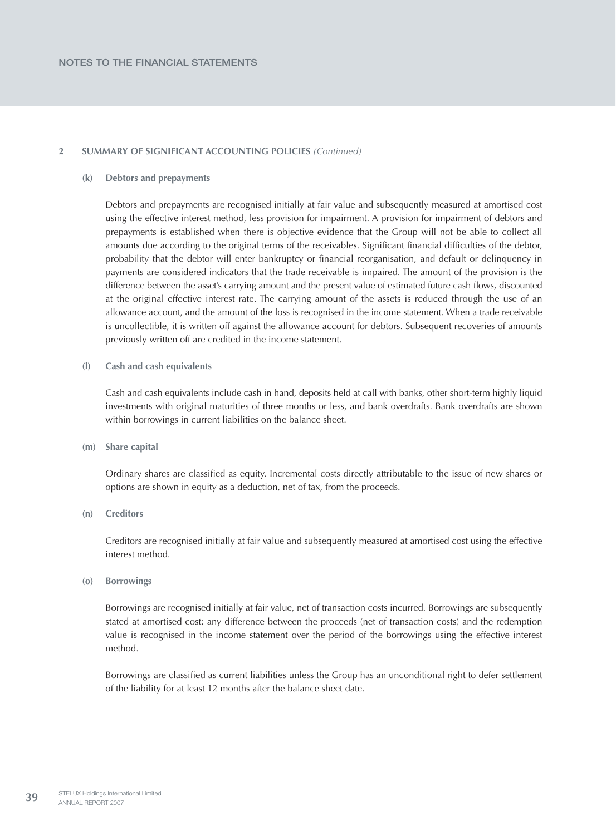#### **(k) Debtors and prepayments**

Debtors and prepayments are recognised initially at fair value and subsequently measured at amortised cost using the effective interest method, less provision for impairment. A provision for impairment of debtors and prepayments is established when there is objective evidence that the Group will not be able to collect all amounts due according to the original terms of the receivables. Significant financial difficulties of the debtor, probability that the debtor will enter bankruptcy or financial reorganisation, and default or delinquency in payments are considered indicators that the trade receivable is impaired. The amount of the provision is the difference between the asset's carrying amount and the present value of estimated future cash flows, discounted at the original effective interest rate. The carrying amount of the assets is reduced through the use of an allowance account, and the amount of the loss is recognised in the income statement. When a trade receivable is uncollectible, it is written off against the allowance account for debtors. Subsequent recoveries of amounts previously written off are credited in the income statement.

**(l) Cash and cash equivalents**

Cash and cash equivalents include cash in hand, deposits held at call with banks, other short-term highly liquid investments with original maturities of three months or less, and bank overdrafts. Bank overdrafts are shown within borrowings in current liabilities on the balance sheet.

**(m) Share capital**

Ordinary shares are classified as equity. Incremental costs directly attributable to the issue of new shares or options are shown in equity as a deduction, net of tax, from the proceeds.

**(n) Creditors**

Creditors are recognised initially at fair value and subsequently measured at amortised cost using the effective interest method.

**(o) Borrowings**

Borrowings are recognised initially at fair value, net of transaction costs incurred. Borrowings are subsequently stated at amortised cost; any difference between the proceeds (net of transaction costs) and the redemption value is recognised in the income statement over the period of the borrowings using the effective interest method.

Borrowings are classified as current liabilities unless the Group has an unconditional right to defer settlement of the liability for at least 12 months after the balance sheet date.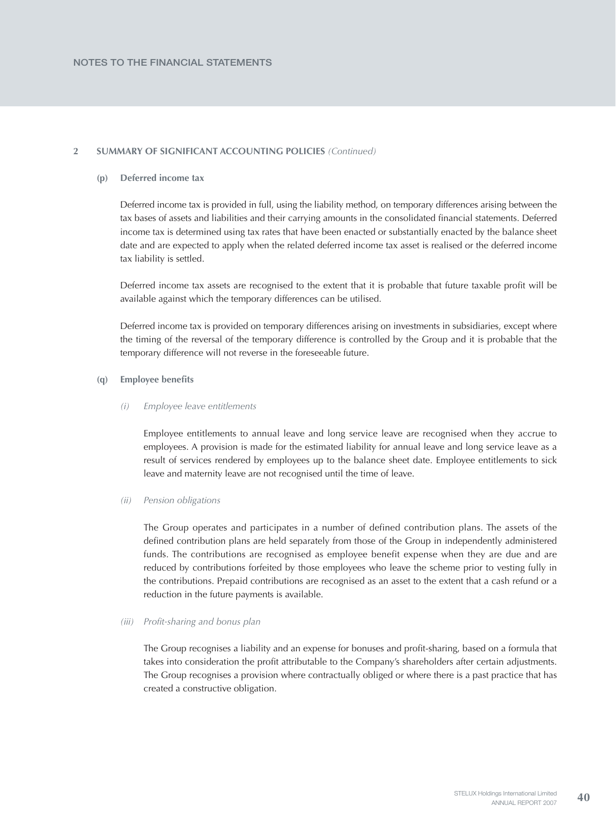## **(p) Deferred income tax**

Deferred income tax is provided in full, using the liability method, on temporary differences arising between the tax bases of assets and liabilities and their carrying amounts in the consolidated financial statements. Deferred income tax is determined using tax rates that have been enacted or substantially enacted by the balance sheet date and are expected to apply when the related deferred income tax asset is realised or the deferred income tax liability is settled.

Deferred income tax assets are recognised to the extent that it is probable that future taxable profit will be available against which the temporary differences can be utilised.

Deferred income tax is provided on temporary differences arising on investments in subsidiaries, except where the timing of the reversal of the temporary difference is controlled by the Group and it is probable that the temporary difference will not reverse in the foreseeable future.

### (g) Employee benefits

#### *(i) Employee leave entitlements*

Employee entitlements to annual leave and long service leave are recognised when they accrue to employees. A provision is made for the estimated liability for annual leave and long service leave as a result of services rendered by employees up to the balance sheet date. Employee entitlements to sick leave and maternity leave are not recognised until the time of leave.

## *(ii) Pension obligations*

The Group operates and participates in a number of defined contribution plans. The assets of the defined contribution plans are held separately from those of the Group in independently administered funds. The contributions are recognised as employee benefit expense when they are due and are reduced by contributions forfeited by those employees who leave the scheme prior to vesting fully in the contributions. Prepaid contributions are recognised as an asset to the extent that a cash refund or a reduction in the future payments is available.

#### *(iii)* Profit-sharing and bonus plan

The Group recognises a liability and an expense for bonuses and profit-sharing, based on a formula that takes into consideration the profit attributable to the Company's shareholders after certain adjustments. The Group recognises a provision where contractually obliged or where there is a past practice that has created a constructive obligation.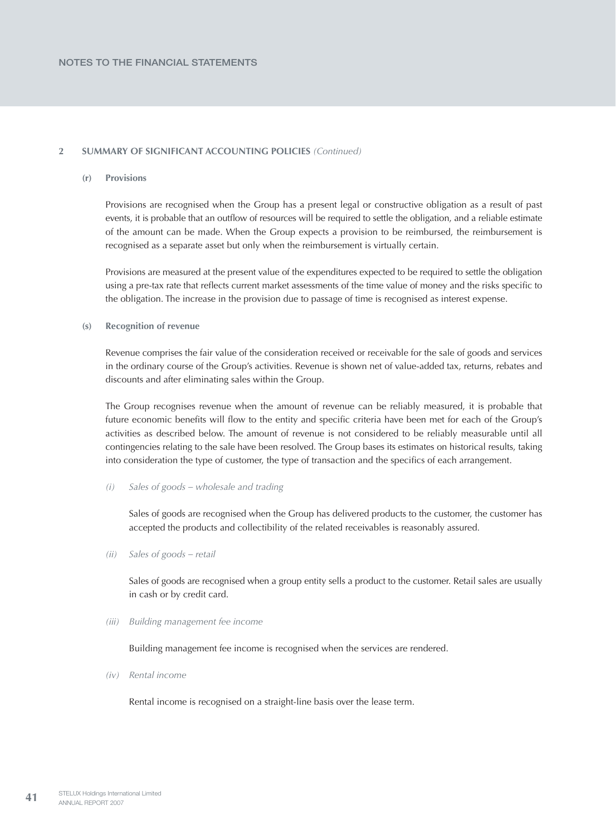#### **(r) Provisions**

Provisions are recognised when the Group has a present legal or constructive obligation as a result of past events, it is probable that an outflow of resources will be required to settle the obligation, and a reliable estimate of the amount can be made. When the Group expects a provision to be reimbursed, the reimbursement is recognised as a separate asset but only when the reimbursement is virtually certain.

Provisions are measured at the present value of the expenditures expected to be required to settle the obligation using a pre-tax rate that reflects current market assessments of the time value of money and the risks specific to the obligation. The increase in the provision due to passage of time is recognised as interest expense.

#### **(s) Recognition of revenue**

Revenue comprises the fair value of the consideration received or receivable for the sale of goods and services in the ordinary course of the Group's activities. Revenue is shown net of value-added tax, returns, rebates and discounts and after eliminating sales within the Group.

The Group recognises revenue when the amount of revenue can be reliably measured, it is probable that future economic benefits will flow to the entity and specific criteria have been met for each of the Group's activities as described below. The amount of revenue is not considered to be reliably measurable until all contingencies relating to the sale have been resolved. The Group bases its estimates on historical results, taking into consideration the type of customer, the type of transaction and the specifics of each arrangement.

#### *(i) Sales of goods – wholesale and trading*

Sales of goods are recognised when the Group has delivered products to the customer, the customer has accepted the products and collectibility of the related receivables is reasonably assured.

*(ii) Sales of goods – retail*

Sales of goods are recognised when a group entity sells a product to the customer. Retail sales are usually in cash or by credit card.

#### *(iii) Building management fee income*

Building management fee income is recognised when the services are rendered.

*(iv) Rental income*

Rental income is recognised on a straight-line basis over the lease term.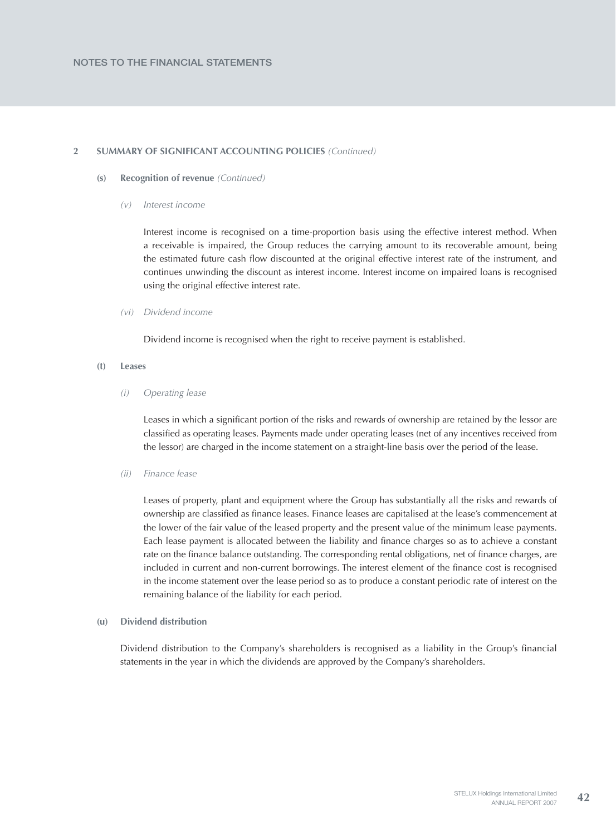#### **(s) Recognition of revenue** *(Continued)*

*(v) Interest income*

Interest income is recognised on a time-proportion basis using the effective interest method. When a receivable is impaired, the Group reduces the carrying amount to its recoverable amount, being the estimated future cash flow discounted at the original effective interest rate of the instrument, and continues unwinding the discount as interest income. Interest income on impaired loans is recognised using the original effective interest rate.

#### *(vi) Dividend income*

Dividend income is recognised when the right to receive payment is established.

#### **(t) Leases**

#### *(i) Operating lease*

Leases in which a significant portion of the risks and rewards of ownership are retained by the lessor are classified as operating leases. Payments made under operating leases (net of any incentives received from the lessor) are charged in the income statement on a straight-line basis over the period of the lease.

#### *(ii) Finance lease*

Leases of property, plant and equipment where the Group has substantially all the risks and rewards of ownership are classified as finance leases. Finance leases are capitalised at the lease's commencement at the lower of the fair value of the leased property and the present value of the minimum lease payments. Each lease payment is allocated between the liability and finance charges so as to achieve a constant rate on the finance balance outstanding. The corresponding rental obligations, net of finance charges, are included in current and non-current borrowings. The interest element of the finance cost is recognised in the income statement over the lease period so as to produce a constant periodic rate of interest on the remaining balance of the liability for each period.

## **(u) Dividend distribution**

Dividend distribution to the Company's shareholders is recognised as a liability in the Group's financial statements in the year in which the dividends are approved by the Company's shareholders.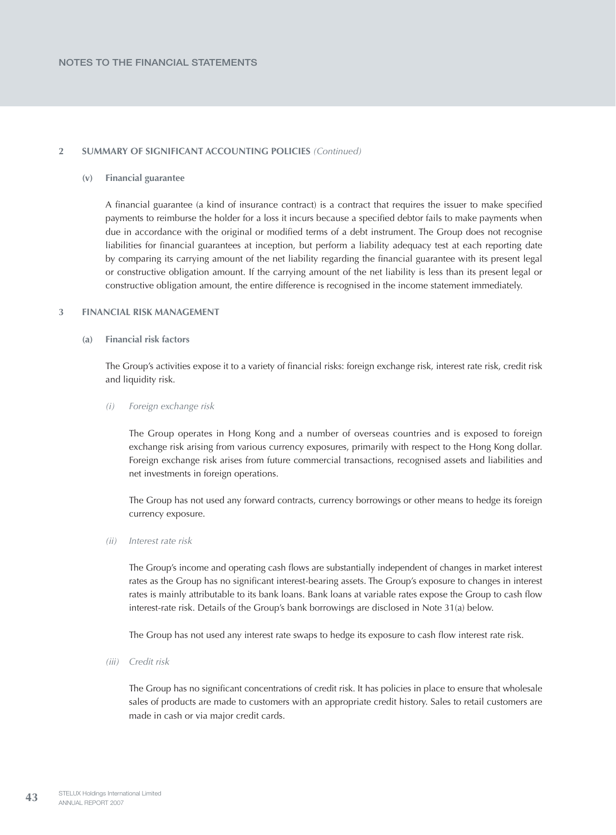#### **(v) Financial guarantee**

A financial guarantee (a kind of insurance contract) is a contract that requires the issuer to make specified payments to reimburse the holder for a loss it incurs because a specified debtor fails to make payments when due in accordance with the original or modified terms of a debt instrument. The Group does not recognise liabilities for financial guarantees at inception, but perform a liability adequacy test at each reporting date by comparing its carrying amount of the net liability regarding the financial guarantee with its present legal or constructive obligation amount. If the carrying amount of the net liability is less than its present legal or constructive obligation amount, the entire difference is recognised in the income statement immediately.

#### **3 FINANCIAL RISK MANAGEMENT**

#### **(a) Financial risk factors**

The Group's activities expose it to a variety of financial risks: foreign exchange risk, interest rate risk, credit risk and liquidity risk.

### *(i) Foreign exchange risk*

The Group operates in Hong Kong and a number of overseas countries and is exposed to foreign exchange risk arising from various currency exposures, primarily with respect to the Hong Kong dollar. Foreign exchange risk arises from future commercial transactions, recognised assets and liabilities and net investments in foreign operations.

The Group has not used any forward contracts, currency borrowings or other means to hedge its foreign currency exposure.

#### *(ii) Interest rate risk*

The Group's income and operating cash flows are substantially independent of changes in market interest rates as the Group has no significant interest-bearing assets. The Group's exposure to changes in interest rates is mainly attributable to its bank loans. Bank loans at variable rates expose the Group to cash flow interest-rate risk. Details of the Group's bank borrowings are disclosed in Note 31(a) below.

The Group has not used any interest rate swaps to hedge its exposure to cash flow interest rate risk.

*(iii) Credit risk*

The Group has no significant concentrations of credit risk. It has policies in place to ensure that wholesale sales of products are made to customers with an appropriate credit history. Sales to retail customers are made in cash or via major credit cards.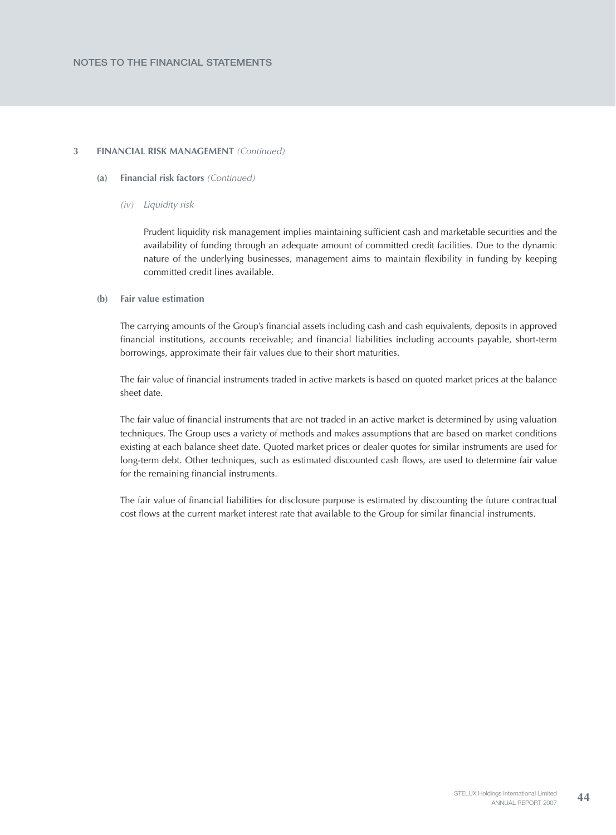### **3 FINANCIAL RISK MANAGEMENT** *(Continued)*

#### **(a) Financial risk factors** *(Continued)*

*(iv) Liquidity risk*

Prudent liquidity risk management implies maintaining sufficient cash and marketable securities and the availability of funding through an adequate amount of committed credit facilities. Due to the dynamic nature of the underlying businesses, management aims to maintain flexibility in funding by keeping committed credit lines available.

## **(b) Fair value estimation**

The carrying amounts of the Group's financial assets including cash and cash equivalents, deposits in approved financial institutions, accounts receivable; and financial liabilities including accounts payable, short-term borrowings, approximate their fair values due to their short maturities.

The fair value of financial instruments traded in active markets is based on quoted market prices at the balance sheet date.

The fair value of financial instruments that are not traded in an active market is determined by using valuation techniques. The Group uses a variety of methods and makes assumptions that are based on market conditions existing at each balance sheet date. Quoted market prices or dealer quotes for similar instruments are used for long-term debt. Other techniques, such as estimated discounted cash flows, are used to determine fair value for the remaining financial instruments.

The fair value of financial liabilities for disclosure purpose is estimated by discounting the future contractual cost flows at the current market interest rate that available to the Group for similar financial instruments.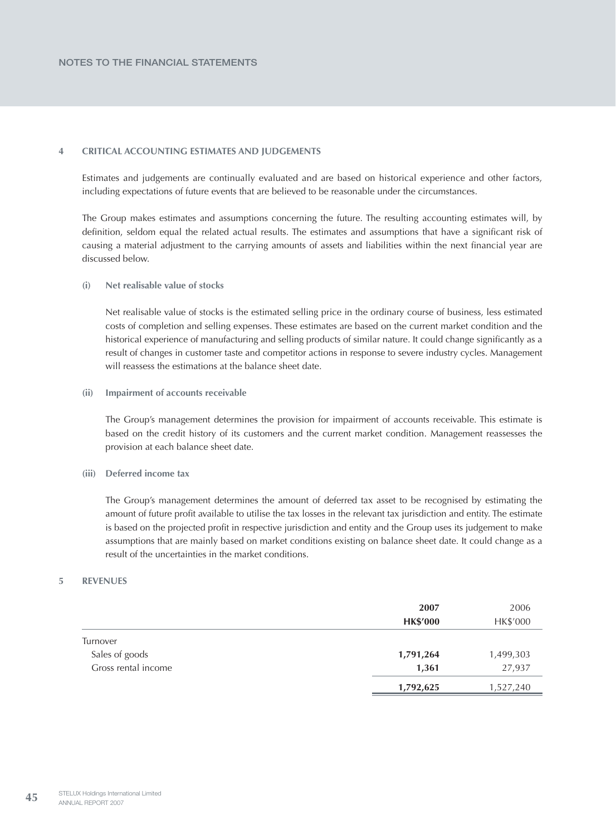## **4 CRITICAL ACCOUNTING ESTIMATES AND JUDGEMENTS**

Estimates and judgements are continually evaluated and are based on historical experience and other factors, including expectations of future events that are believed to be reasonable under the circumstances.

The Group makes estimates and assumptions concerning the future. The resulting accounting estimates will, by definition, seldom equal the related actual results. The estimates and assumptions that have a significant risk of causing a material adjustment to the carrying amounts of assets and liabilities within the next financial year are discussed below.

## **(i) Net realisable value of stocks**

Net realisable value of stocks is the estimated selling price in the ordinary course of business, less estimated costs of completion and selling expenses. These estimates are based on the current market condition and the historical experience of manufacturing and selling products of similar nature. It could change significantly as a result of changes in customer taste and competitor actions in response to severe industry cycles. Management will reassess the estimations at the balance sheet date.

#### **(ii) Impairment of accounts receivable**

The Group's management determines the provision for impairment of accounts receivable. This estimate is based on the credit history of its customers and the current market condition. Management reassesses the provision at each balance sheet date.

### **(iii) Deferred income tax**

The Group's management determines the amount of deferred tax asset to be recognised by estimating the amount of future profit available to utilise the tax losses in the relevant tax jurisdiction and entity. The estimate is based on the projected profit in respective jurisdiction and entity and the Group uses its judgement to make assumptions that are mainly based on market conditions existing on balance sheet date. It could change as a result of the uncertainties in the market conditions.

#### **5 REVENUES**

|                     | 2007<br><b>HK\$'000</b> | 2006<br>HK\$'000 |
|---------------------|-------------------------|------------------|
| Turnover            |                         |                  |
| Sales of goods      | 1,791,264               | 1,499,303        |
| Gross rental income | 1,361                   | 27,937           |
|                     | 1,792,625               | 1,527,240        |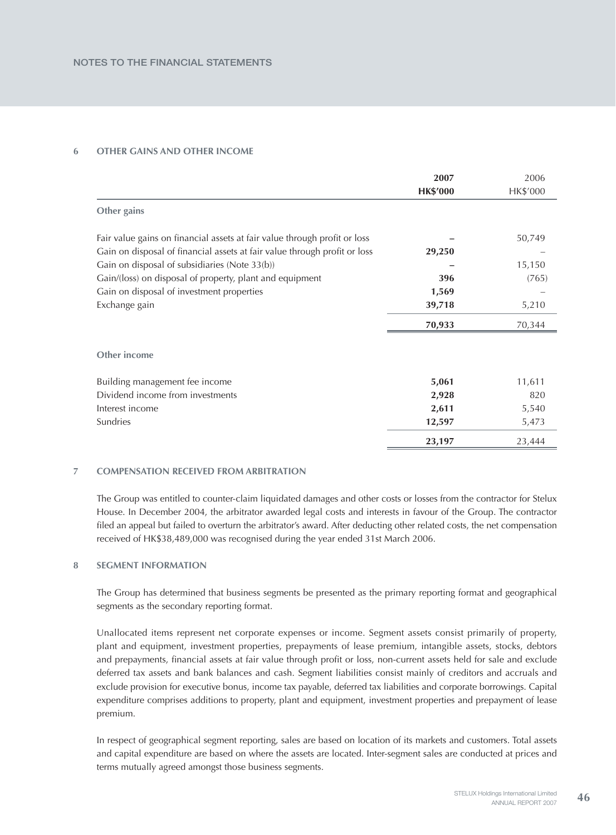# **6 OTHER GAINS AND OTHER INCOME**

|                                                                           | 2007            | 2006     |
|---------------------------------------------------------------------------|-----------------|----------|
|                                                                           | <b>HK\$'000</b> | HK\$'000 |
| Other gains                                                               |                 |          |
| Fair value gains on financial assets at fair value through profit or loss |                 | 50,749   |
| Gain on disposal of financial assets at fair value through profit or loss | 29,250          |          |
| Gain on disposal of subsidiaries (Note 33(b))                             |                 | 15,150   |
| Gain/(loss) on disposal of property, plant and equipment                  | 396             | (765)    |
| Gain on disposal of investment properties                                 | 1,569           |          |
| Exchange gain                                                             | 39,718          | 5,210    |
|                                                                           | 70,933          | 70,344   |
| Other income                                                              |                 |          |
| Building management fee income                                            | 5,061           | 11,611   |
| Dividend income from investments                                          | 2,928           | 820      |
| Interest income                                                           | 2,611           | 5,540    |
| Sundries                                                                  | 12,597          | 5,473    |
|                                                                           | 23,197          | 23,444   |

# **7 COMPENSATION RECEIVED FROM ARBITRATION**

The Group was entitled to counter-claim liquidated damages and other costs or losses from the contractor for Stelux House. In December 2004, the arbitrator awarded legal costs and interests in favour of the Group. The contractor filed an appeal but failed to overturn the arbitrator's award. After deducting other related costs, the net compensation received of HK\$38,489,000 was recognised during the year ended 31st March 2006.

### **8 SEGMENT INFORMATION**

The Group has determined that business segments be presented as the primary reporting format and geographical segments as the secondary reporting format.

Unallocated items represent net corporate expenses or income. Segment assets consist primarily of property, plant and equipment, investment properties, prepayments of lease premium, intangible assets, stocks, debtors and prepayments, financial assets at fair value through profit or loss, non-current assets held for sale and exclude deferred tax assets and bank balances and cash. Segment liabilities consist mainly of creditors and accruals and exclude provision for executive bonus, income tax payable, deferred tax liabilities and corporate borrowings. Capital expenditure comprises additions to property, plant and equipment, investment properties and prepayment of lease premium.

In respect of geographical segment reporting, sales are based on location of its markets and customers. Total assets and capital expenditure are based on where the assets are located. Inter-segment sales are conducted at prices and terms mutually agreed amongst those business segments.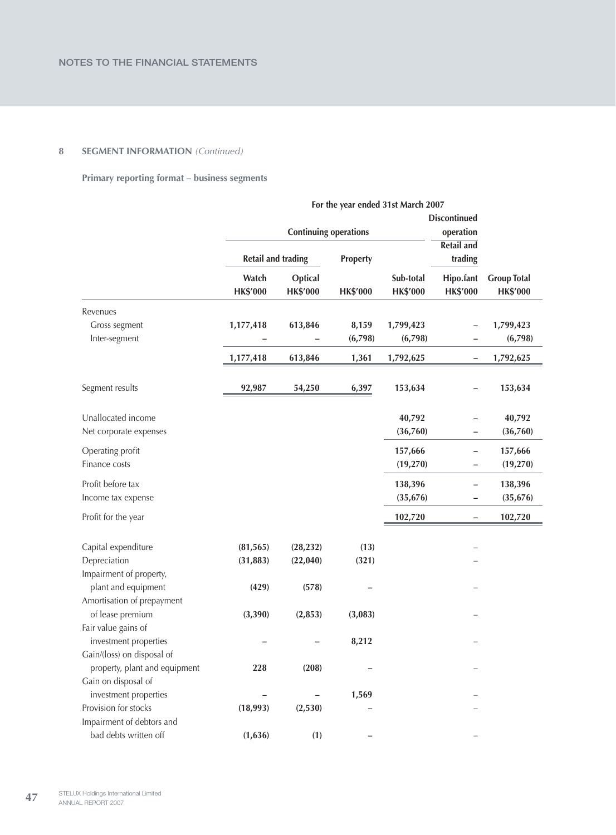# **Primary reporting format – business segments**

|                               | For the year ended 31st March 2007 |                              |           |                              |                              |                                |
|-------------------------------|------------------------------------|------------------------------|-----------|------------------------------|------------------------------|--------------------------------|
|                               |                                    |                              |           |                              | <b>Discontinued</b>          |                                |
|                               |                                    | <b>Continuing operations</b> | operation |                              |                              |                                |
|                               | <b>Retail and trading</b>          |                              | Property  |                              | <b>Retail and</b><br>trading |                                |
|                               | Watch<br>HK\$'000                  | Optical<br>HK\$'000          | HK\$'000  | Sub-total<br><b>HK\$'000</b> | Hipo.fant<br><b>HK\$'000</b> | <b>Group Total</b><br>HK\$'000 |
| Revenues                      |                                    |                              |           |                              |                              |                                |
| Gross segment                 | 1,177,418                          | 613,846                      | 8,159     | 1,799,423                    |                              | 1,799,423                      |
| Inter-segment                 |                                    |                              | (6,798)   | (6,798)                      |                              | (6,798)                        |
|                               | 1,177,418                          | 613,846                      | 1,361     | 1,792,625                    |                              | 1,792,625                      |
|                               |                                    |                              |           |                              |                              |                                |
| Segment results               | 92,987                             | 54,250                       | 6,397     | 153,634                      |                              | 153,634                        |
| Unallocated income            |                                    |                              |           | 40,792                       |                              | 40,792                         |
| Net corporate expenses        |                                    |                              |           | (36,760)                     | $\overline{\phantom{0}}$     | (36,760)                       |
| Operating profit              |                                    |                              |           | 157,666                      | $\overline{\phantom{0}}$     | 157,666                        |
| Finance costs                 |                                    |                              |           | (19, 270)                    | $\overline{\phantom{0}}$     | (19, 270)                      |
| Profit before tax             |                                    |                              |           | 138,396                      | $\qquad \qquad -$            | 138,396                        |
| Income tax expense            |                                    |                              |           | (35, 676)                    |                              | (35, 676)                      |
| Profit for the year           |                                    |                              |           | 102,720                      | $\qquad \qquad -$            | 102,720                        |
| Capital expenditure           | (81, 565)                          | (28, 232)                    | (13)      |                              |                              |                                |
| Depreciation                  | (31, 883)                          | (22,040)                     | (321)     |                              |                              |                                |
| Impairment of property,       |                                    |                              |           |                              |                              |                                |
| plant and equipment           | (429)                              | (578)                        |           |                              |                              |                                |
| Amortisation of prepayment    |                                    |                              |           |                              |                              |                                |
| of lease premium              | (3, 390)                           | (2, 853)                     | (3,083)   |                              |                              |                                |
| Fair value gains of           |                                    |                              |           |                              |                              |                                |
| investment properties         |                                    |                              | 8,212     |                              |                              |                                |
| Gain/(loss) on disposal of    |                                    |                              |           |                              |                              |                                |
| property, plant and equipment | 228                                | (208)                        |           |                              |                              |                                |
| Gain on disposal of           |                                    |                              |           |                              |                              |                                |
| investment properties         |                                    |                              | 1,569     |                              |                              |                                |
| Provision for stocks          | (18,993)                           | (2,530)                      |           |                              |                              |                                |
| Impairment of debtors and     |                                    |                              |           |                              |                              |                                |
| bad debts written off         | (1,636)                            | (1)                          |           |                              |                              |                                |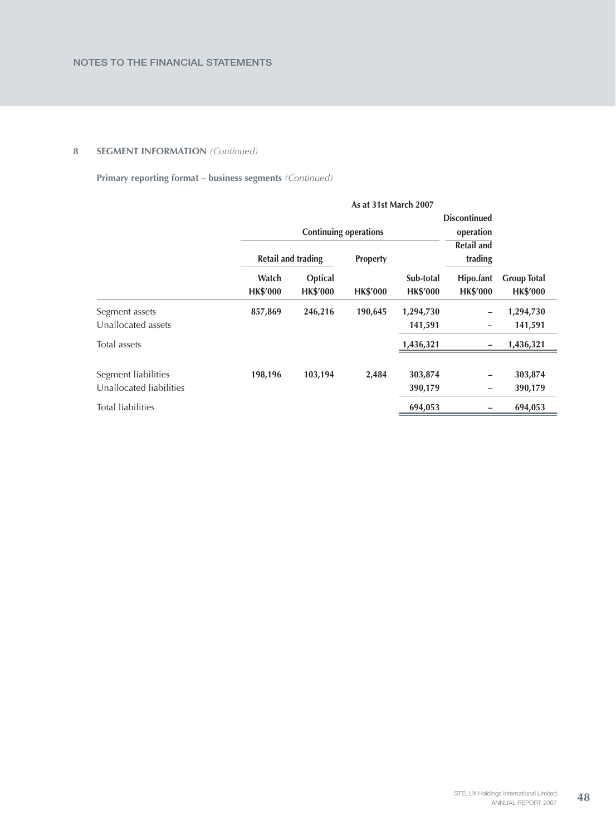**Primary reporting format – business segments** *(Continued)*

|                                                | As at 31st March 2007                                                 |                            |                 |                              |                                                                  |                                       |
|------------------------------------------------|-----------------------------------------------------------------------|----------------------------|-----------------|------------------------------|------------------------------------------------------------------|---------------------------------------|
|                                                | <b>Continuing operations</b><br>Retail and trading<br><b>Property</b> |                            |                 |                              | <b>Discontinued</b><br>operation<br><b>Retail and</b><br>trading |                                       |
|                                                | Watch<br><b>HK\$'000</b>                                              | Optical<br><b>HK\$'000</b> | <b>HK\$'000</b> | Sub-total<br><b>HK\$'000</b> | Hipo.fant<br><b>HK\$'000</b>                                     | <b>Group Total</b><br><b>HK\$'000</b> |
| Segment assets<br>Unallocated assets           | 857,869                                                               | 246,216                    | 190,645         | 1,294,730<br>141,591         | -                                                                | 1,294,730<br>141,591                  |
| Total assets                                   |                                                                       |                            |                 | 1,436,321                    | -                                                                | 1,436,321                             |
| Segment liabilities<br>Unallocated liabilities | 198,196                                                               | 103,194                    | 2,484           | 303,874<br>390,179           | -<br>—                                                           | 303,874<br>390,179                    |
| <b>Total liabilities</b>                       |                                                                       |                            |                 | 694,053                      |                                                                  | 694,053                               |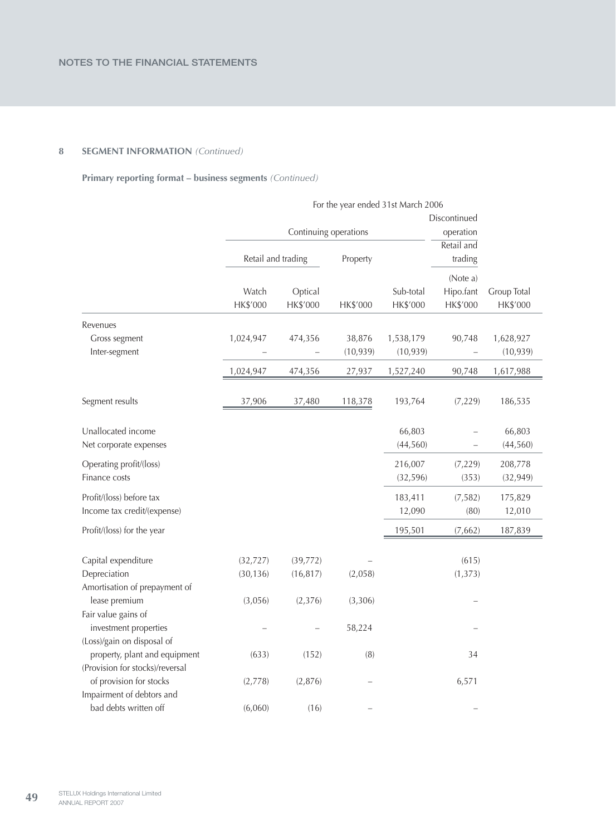# **Primary reporting format – business segments** *(Continued)*

|                                                                      | For the year ended 31st March 2006 |                        |                     |                        |                                   |                         |
|----------------------------------------------------------------------|------------------------------------|------------------------|---------------------|------------------------|-----------------------------------|-------------------------|
|                                                                      | Continuing operations              |                        |                     |                        | Discontinued<br>operation         |                         |
|                                                                      | Retail and trading                 |                        | Property            |                        | Retail and<br>trading             |                         |
|                                                                      | Watch<br>HK\$'000                  | Optical<br>HK\$'000    | HK\$'000            | Sub-total<br>HK\$'000  | (Note a)<br>Hipo.fant<br>HK\$'000 | Group Total<br>HK\$'000 |
| Revenues<br>Gross segment<br>Inter-segment                           | 1,024,947                          | 474,356                | 38,876<br>(10, 939) | 1,538,179<br>(10, 939) | 90,748                            | 1,628,927<br>(10, 939)  |
|                                                                      | 1,024,947                          | 474,356                | 27,937              | 1,527,240              | 90,748                            | 1,617,988               |
| Segment results                                                      | 37,906                             | 37,480                 | 118,378             | 193,764                | (7, 229)                          | 186,535                 |
| Unallocated income<br>Net corporate expenses                         |                                    |                        |                     | 66,803<br>(44, 560)    |                                   | 66,803<br>(44, 560)     |
| Operating profit/(loss)<br>Finance costs                             |                                    |                        |                     | 216,007<br>(32, 596)   | (7, 229)<br>(353)                 | 208,778<br>(32, 949)    |
| Profit/(loss) before tax<br>Income tax credit/(expense)              |                                    |                        |                     | 183,411<br>12,090      | (7, 582)<br>(80)                  | 175,829<br>12,010       |
| Profit/(loss) for the year                                           |                                    |                        |                     | 195,501                | (7,662)                           | 187,839                 |
| Capital expenditure<br>Depreciation<br>Amortisation of prepayment of | (32, 727)<br>(30, 136)             | (39, 772)<br>(16, 817) | (2,058)             |                        | (615)<br>(1, 373)                 |                         |
| lease premium<br>Fair value gains of                                 | (3,056)                            | (2, 376)               | (3,306)             |                        |                                   |                         |
| investment properties<br>(Loss)/gain on disposal of                  |                                    |                        | 58,224              |                        |                                   |                         |
| property, plant and equipment<br>(Provision for stocks)/reversal     | (633)                              | (152)                  | (8)                 |                        | 34                                |                         |
| of provision for stocks<br>Impairment of debtors and                 | (2,778)                            | (2,876)                |                     |                        | 6,571                             |                         |
| bad debts written off                                                | (6,060)                            | (16)                   |                     |                        |                                   |                         |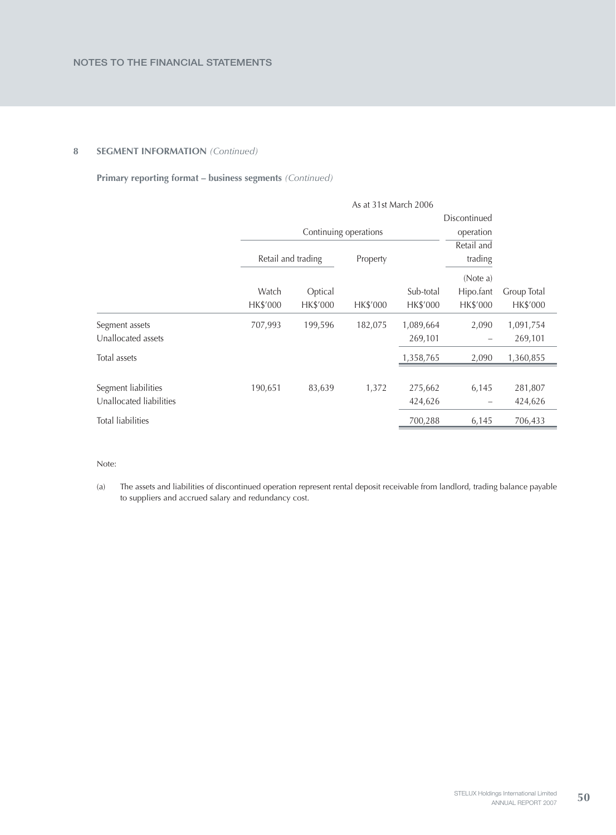**Primary reporting format – business segments** *(Continued)*

|                          | As at 31st March 2006 |                       |          |                 |                   |             |
|--------------------------|-----------------------|-----------------------|----------|-----------------|-------------------|-------------|
|                          |                       |                       |          |                 | Discontinued      |             |
|                          |                       | Continuing operations |          |                 | operation         |             |
|                          |                       |                       |          |                 | Retail and        |             |
|                          | Retail and trading    |                       | Property |                 | trading           |             |
|                          |                       |                       |          |                 | (Note a)          |             |
|                          | Watch                 | Optical               |          | Sub-total       | Hipo.fant         | Group Total |
|                          | HK\$'000              | HK\$'000              | HK\$'000 | <b>HK\$'000</b> | HK\$'000          | HK\$'000    |
| Segment assets           | 707,993               | 199,596               | 182,075  | 1,089,664       | 2,090             | 1,091,754   |
| Unallocated assets       |                       |                       |          | 269,101         | $\qquad \qquad -$ | 269,101     |
| Total assets             |                       |                       |          | 1,358,765       | 2,090             | 1,360,855   |
|                          |                       |                       |          |                 |                   |             |
| Segment liabilities      | 190,651               | 83,639                | 1,372    | 275,662         | 6,145             | 281,807     |
| Unallocated liabilities  |                       |                       |          | 424,626         | $\qquad \qquad -$ | 424,626     |
| <b>Total liabilities</b> |                       |                       |          | 700,288         | 6,145             | 706,433     |

#### Note:

(a) The assets and liabilities of discontinued operation represent rental deposit receivable from landlord, trading balance payable to suppliers and accrued salary and redundancy cost.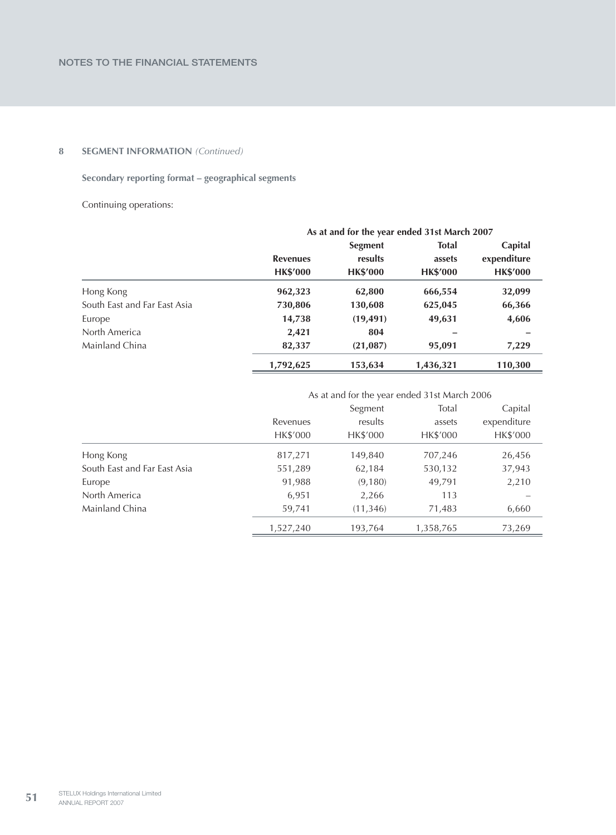**Secondary reporting format – geographical segments**

# Continuing operations:

|                              | As at and for the year ended 31st March 2007 |                           |                        |                        |  |
|------------------------------|----------------------------------------------|---------------------------|------------------------|------------------------|--|
|                              | <b>Revenues</b>                              | <b>Segment</b><br>results | <b>Total</b><br>assets | Capital<br>expenditure |  |
|                              | <b>HK\$'000</b>                              | <b>HK\$'000</b>           | <b>HK\$'000</b>        | <b>HK\$'000</b>        |  |
| Hong Kong                    | 962,323                                      | 62,800                    | 666,554                | 32,099                 |  |
| South East and Far East Asia | 730,806                                      | 130,608                   | 625,045                | 66,366                 |  |
| Europe                       | 14,738                                       | (19, 491)                 | 49,631                 | 4,606                  |  |
| North America                | 2,421                                        | 804                       |                        |                        |  |
| Mainland China               | 82,337                                       | (21,087)                  | 95,091                 | 7,229                  |  |
|                              | 1,792,625                                    | 153,634                   | 1,436,321              | 110,300                |  |

|                              | As at and for the year ended 31st March 2006 |           |                 |             |  |
|------------------------------|----------------------------------------------|-----------|-----------------|-------------|--|
|                              |                                              | Segment   | Total           | Capital     |  |
|                              | Revenues                                     | results   | assets          | expenditure |  |
|                              | HK\$'000                                     | HK\$'000  | <b>HK\$'000</b> | HK\$'000    |  |
| Hong Kong                    | 817,271                                      | 149,840   | 707,246         | 26,456      |  |
| South East and Far East Asia | 551,289                                      | 62,184    | 530,132         | 37,943      |  |
| Europe                       | 91,988                                       | (9,180)   | 49,791          | 2,210       |  |
| North America                | 6,951                                        | 2,266     | 113             |             |  |
| Mainland China               | 59,741                                       | (11, 346) | 71,483          | 6,660       |  |
|                              | 1,527,240                                    | 193,764   | 1,358,765       | 73,269      |  |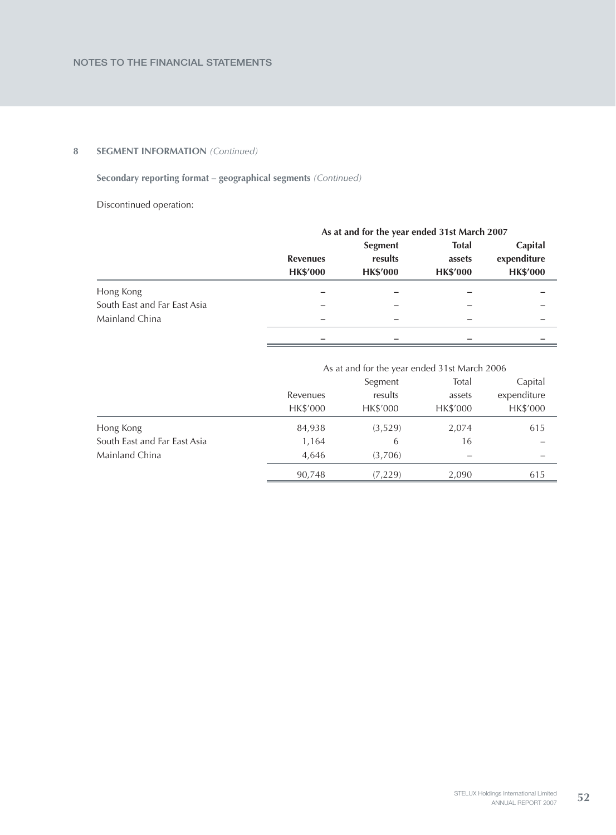# **Secondary reporting format – geographical segments** *(Continued)*

# Discontinued operation:

|                              |                                    | As at and for the year ended 31st March 2007 |                                           |                                           |  |
|------------------------------|------------------------------------|----------------------------------------------|-------------------------------------------|-------------------------------------------|--|
|                              | <b>Revenues</b><br><b>HK\$'000</b> | <b>Segment</b><br>results<br><b>HK\$'000</b> | <b>Total</b><br>assets<br><b>HK\$'000</b> | Capital<br>expenditure<br><b>HK\$'000</b> |  |
| Hong Kong                    |                                    |                                              |                                           |                                           |  |
| South East and Far East Asia |                                    |                                              |                                           |                                           |  |
| Mainland China               |                                    |                                              |                                           |                                           |  |
|                              |                                    |                                              |                                           |                                           |  |

## As at and for the year ended 31st March 2006

|                              | Revenues<br>HK\$'000 | Segment<br>results<br>HK\$'000 | Total<br>assets<br>HK\$'000 | Capital<br>expenditure<br>HK\$'000 |
|------------------------------|----------------------|--------------------------------|-----------------------------|------------------------------------|
| Hong Kong                    | 84,938               | (3, 529)                       | 2,074                       | 615                                |
| South East and Far East Asia | 1,164                | 6                              | 16                          |                                    |
| Mainland China               | 4,646                | (3,706)                        |                             |                                    |
|                              | 90,748               | (7,229)                        | 2,090                       | 615                                |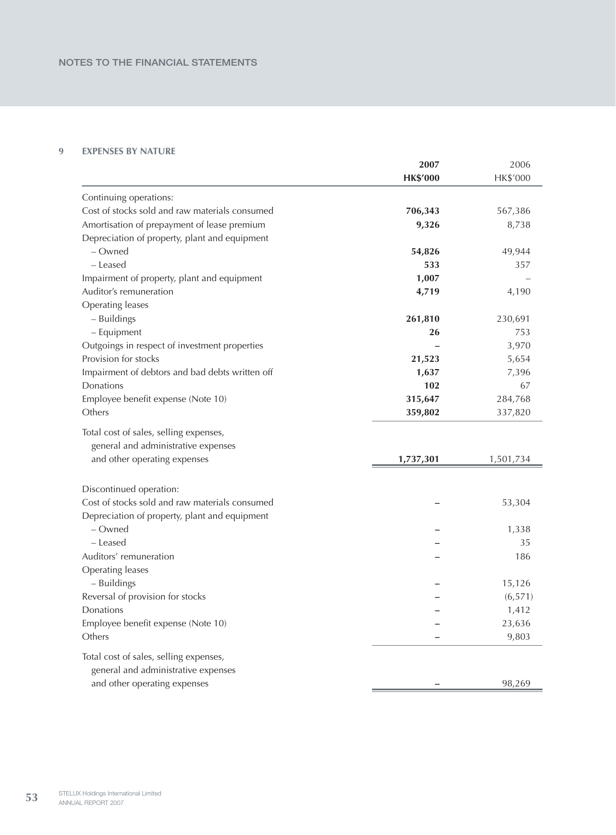# **9 EXPENSES BY NATURE**

|                                                 | 2007            | 2006      |
|-------------------------------------------------|-----------------|-----------|
|                                                 | <b>HK\$'000</b> | HK\$'000  |
| Continuing operations:                          |                 |           |
| Cost of stocks sold and raw materials consumed  | 706,343         | 567,386   |
| Amortisation of prepayment of lease premium     | 9,326           | 8,738     |
| Depreciation of property, plant and equipment   |                 |           |
| - Owned                                         | 54,826          | 49,944    |
| – Leased                                        | 533             | 357       |
| Impairment of property, plant and equipment     | 1,007           |           |
| Auditor's remuneration                          | 4,719           | 4,190     |
| <b>Operating leases</b>                         |                 |           |
| - Buildings                                     | 261,810         | 230,691   |
| - Equipment                                     | 26              | 753       |
| Outgoings in respect of investment properties   |                 | 3,970     |
| Provision for stocks                            | 21,523          | 5,654     |
| Impairment of debtors and bad debts written off | 1,637           | 7,396     |
| Donations                                       | 102             | 67        |
| Employee benefit expense (Note 10)              | 315,647         | 284,768   |
| Others                                          | 359,802         | 337,820   |
|                                                 |                 |           |
| Total cost of sales, selling expenses,          |                 |           |
| general and administrative expenses             |                 |           |
| and other operating expenses                    | 1,737,301       | 1,501,734 |
| Discontinued operation:                         |                 |           |
| Cost of stocks sold and raw materials consumed  |                 | 53,304    |
| Depreciation of property, plant and equipment   |                 |           |
| - Owned                                         |                 | 1,338     |
| - Leased                                        |                 | 35        |
| Auditors' remuneration                          |                 | 186       |
| <b>Operating leases</b>                         |                 |           |
| - Buildings                                     |                 | 15,126    |
| Reversal of provision for stocks                |                 | (6, 571)  |
| Donations                                       |                 | 1,412     |
| Employee benefit expense (Note 10)              |                 | 23,636    |
| Others                                          |                 | 9,803     |
| Total cost of sales, selling expenses,          |                 |           |
| general and administrative expenses             |                 |           |
| and other operating expenses                    |                 | 98,269    |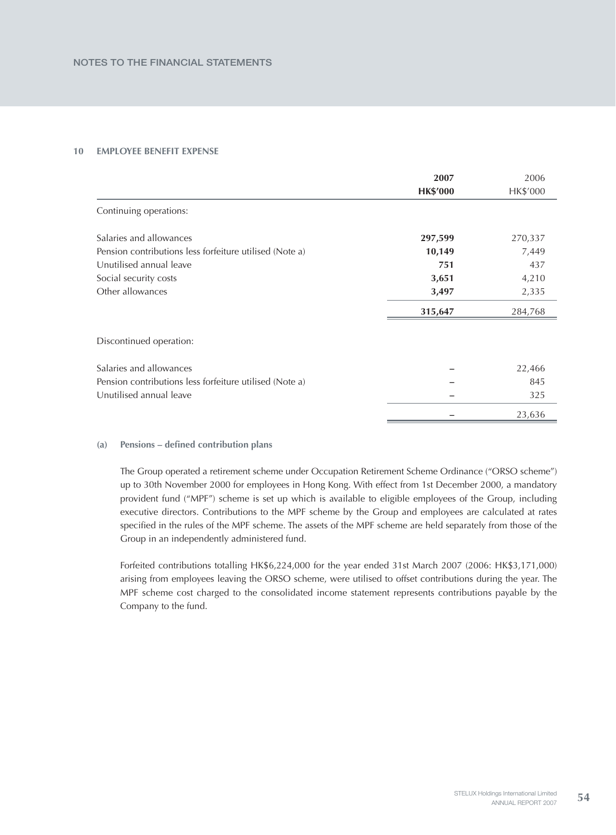## **10 EMPLOYEE BENEFIT EXPENSE**

|                                                         | 2007<br><b>HK\$'000</b> | 2006<br>HK\$'000 |
|---------------------------------------------------------|-------------------------|------------------|
| Continuing operations:                                  |                         |                  |
| Salaries and allowances                                 | 297,599                 | 270,337          |
| Pension contributions less forfeiture utilised (Note a) | 10,149                  | 7,449            |
| Unutilised annual leave                                 | 751                     | 437              |
| Social security costs                                   | 3,651                   | 4,210            |
| Other allowances                                        | 3,497                   | 2,335            |
|                                                         | 315,647                 | 284,768          |
| Discontinued operation:                                 |                         |                  |
| Salaries and allowances                                 |                         | 22,466           |
| Pension contributions less forfeiture utilised (Note a) |                         | 845              |
| Unutilised annual leave                                 |                         | 325              |
|                                                         |                         | 23,636           |

## (a) Pensions – defined contribution plans

The Group operated a retirement scheme under Occupation Retirement Scheme Ordinance ("ORSO scheme") up to 30th November 2000 for employees in Hong Kong. With effect from 1st December 2000, a mandatory provident fund ("MPF") scheme is set up which is available to eligible employees of the Group, including executive directors. Contributions to the MPF scheme by the Group and employees are calculated at rates specified in the rules of the MPF scheme. The assets of the MPF scheme are held separately from those of the Group in an independently administered fund.

Forfeited contributions totalling HK\$6,224,000 for the year ended 31st March 2007 (2006: HK\$3,171,000) arising from employees leaving the ORSO scheme, were utilised to offset contributions during the year. The MPF scheme cost charged to the consolidated income statement represents contributions payable by the Company to the fund.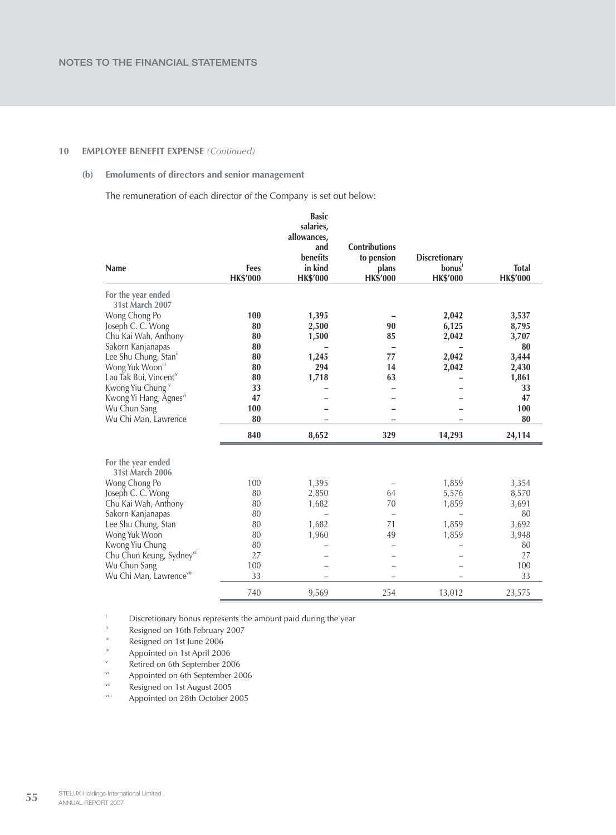## **10 EMPLOYEE BENEFIT EXPENSE** *(Continued)*

#### **(b) Emoluments of directors and senior management**

The remuneration of each director of the Company is set out below:

| Name                                         | <b>Fees</b><br><b>HK\$'000</b> | <b>Basic</b><br>salaries,<br>allowances,<br>and<br>benefits<br>in kind<br><b>HK\$'000</b> | <b>Contributions</b><br>to pension<br>plans<br><b>HK\$'000</b> | <b>Discretionary</b><br>bonus'<br><b>HK\$'000</b> | <b>Total</b><br><b>HK\$'000</b> |
|----------------------------------------------|--------------------------------|-------------------------------------------------------------------------------------------|----------------------------------------------------------------|---------------------------------------------------|---------------------------------|
| For the year ended                           |                                |                                                                                           |                                                                |                                                   |                                 |
| <b>31st March 2007</b><br>Wong Chong Po      | 100                            | 1,395                                                                                     |                                                                | 2,042                                             | 3,537                           |
| Joseph C. C. Wong                            | 80                             | 2,500                                                                                     | 90                                                             | 6,125                                             | 8,795                           |
| Chu Kai Wah, Anthony                         | 80                             | 1,500                                                                                     | 85                                                             | 2,042                                             | 3,707                           |
| Sakorn Kanjanapas                            | 80                             |                                                                                           |                                                                |                                                   | 80                              |
| Lee Shu Chung, Stan"                         | 80                             | 1,245                                                                                     | 77                                                             | 2,042                                             | 3,444                           |
| Wong Yuk Woon"                               | 80                             | 294                                                                                       | 14                                                             | 2,042                                             | 2,430                           |
| Lau Tak Bui, Vincent <sup>"</sup>            | 80                             | 1,718                                                                                     | 63                                                             |                                                   | 1,861                           |
| Kwong Yiu Chung <sup>v</sup>                 | 33                             |                                                                                           |                                                                |                                                   | 33                              |
| Kwong Yi Hang, Agnes <sup>vi</sup>           | 47                             |                                                                                           |                                                                |                                                   | 47                              |
| Wu Chun Sang                                 | 100                            |                                                                                           |                                                                |                                                   | 100                             |
| Wu Chi Man, Lawrence                         | 80                             |                                                                                           |                                                                |                                                   | 80                              |
|                                              | 840                            | 8,652                                                                                     | 329                                                            | 14,293                                            | 24,114                          |
| For the year ended<br><b>31st March 2006</b> |                                |                                                                                           |                                                                |                                                   |                                 |
| Wong Chong Po                                | 100                            | 1,395                                                                                     |                                                                | 1,859                                             | 3,354                           |
| Joseph C. C. Wong                            | 80                             | 2,850                                                                                     | 64                                                             | 5,576                                             | 8,570                           |
| Chu Kai Wah, Anthony                         | 80                             | 1,682                                                                                     | 70                                                             | 1,859                                             | 3,691                           |
| Sakorn Kanjanapas                            | 80                             |                                                                                           |                                                                |                                                   | 80                              |
| Lee Shu Chung, Stan                          | 80                             | 1,682                                                                                     | 71                                                             | 1,859                                             | 3,692                           |
| Wong Yuk Woon                                | 80                             | 1,960                                                                                     | 49                                                             | 1,859                                             | 3,948                           |
| Kwong Yiu Chung                              | 80                             |                                                                                           |                                                                |                                                   | 80                              |
| Chu Chun Keung, Sydneyvii                    | 27<br>100                      |                                                                                           |                                                                |                                                   | 27<br>100                       |
| Wu Chun Sang<br>Wu Chi Man, Lawrenceviii     | 33                             |                                                                                           |                                                                |                                                   | 33                              |
|                                              | 740                            | 9,569                                                                                     | 254                                                            | 13,012                                            | 23,575                          |

i  $\frac{1}{2}$  Discretionary bonus represents the amount paid during the year<br> $\frac{1}{2}$  Designed an 16th February 2007

 $\frac{1}{10}$  Resigned on 16th February 2007

 $\frac{1}{10}$  Resigned on 1st June 2006

Appointed on 1st April 2006

v External on 6th September 2006<br>  $\frac{v_i}{v_i}$  Appointed on 6th September 2006

 $\frac{v_i}{v_i}$  Appointed on 6th September 2006

 $V<sup>iii</sup>$  Resigned on 1st August 2005

Appointed on 28th October 2005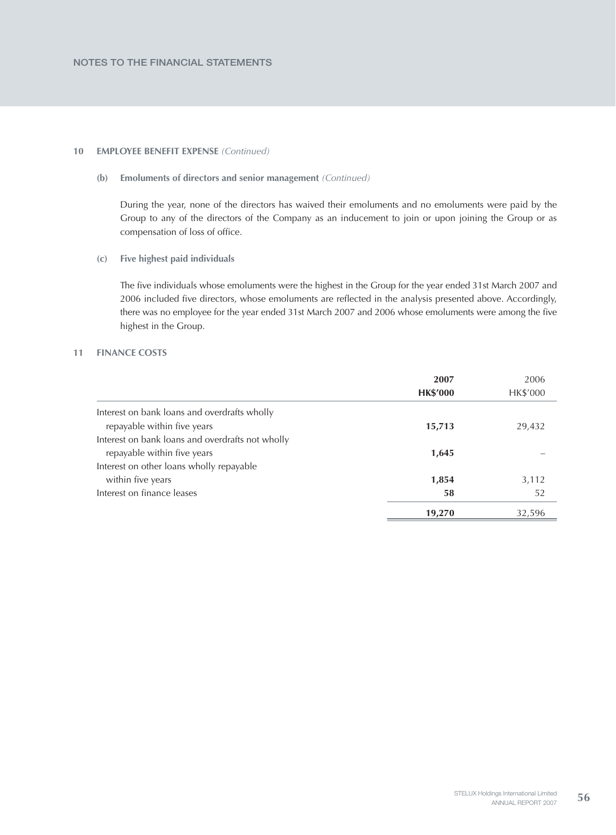## **10 EMPLOYEE BENEFIT EXPENSE** *(Continued)*

#### **(b) Emoluments of directors and senior management** *(Continued)*

During the year, none of the directors has waived their emoluments and no emoluments were paid by the Group to any of the directors of the Company as an inducement to join or upon joining the Group or as compensation of loss of office.

**(c) Five highest paid individuals**

The five individuals whose emoluments were the highest in the Group for the year ended 31st March 2007 and 2006 included five directors, whose emoluments are reflected in the analysis presented above. Accordingly, there was no employee for the year ended 31st March 2007 and 2006 whose emoluments were among the five highest in the Group.

## **11 FINANCE COSTS**

|                                                  | 2007<br><b>HK\$'000</b> | 2006<br>HK\$'000 |
|--------------------------------------------------|-------------------------|------------------|
| Interest on bank loans and overdrafts wholly     |                         |                  |
| repayable within five years                      | 15,713                  | 29,432           |
| Interest on bank loans and overdrafts not wholly |                         |                  |
| repayable within five years                      | 1,645                   |                  |
| Interest on other loans wholly repayable         |                         |                  |
| within five years                                | 1,854                   | 3,112            |
| Interest on finance leases                       | 58                      | 52               |
|                                                  | 19,270                  | 32.596           |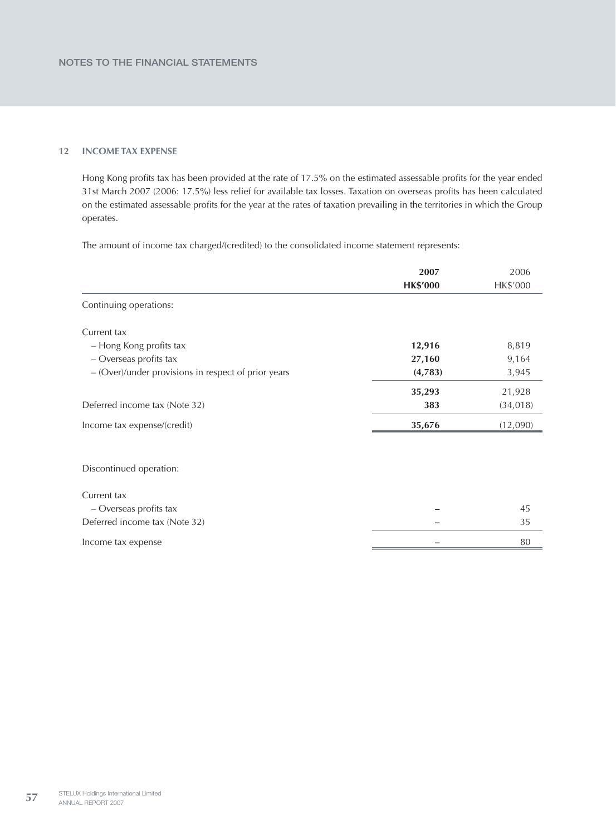## **12 INCOME TAX EXPENSE**

Hong Kong profits tax has been provided at the rate of 17.5% on the estimated assessable profits for the year ended 31st March 2007 (2006: 17.5%) less relief for available tax losses. Taxation on overseas profits has been calculated on the estimated assessable profits for the year at the rates of taxation prevailing in the territories in which the Group operates.

The amount of income tax charged/(credited) to the consolidated income statement represents:

|                                                     | 2007            | 2006      |
|-----------------------------------------------------|-----------------|-----------|
|                                                     | <b>HK\$'000</b> | HK\$'000  |
| Continuing operations:                              |                 |           |
| Current tax                                         |                 |           |
| - Hong Kong profits tax                             | 12,916          | 8,819     |
| - Overseas profits tax                              | 27,160          | 9,164     |
| - (Over)/under provisions in respect of prior years | (4,783)         | 3,945     |
|                                                     | 35,293          | 21,928    |
| Deferred income tax (Note 32)                       | 383             | (34, 018) |
| Income tax expense/(credit)                         | 35,676          | (12,090)  |
| Discontinued operation:                             |                 |           |
| Current tax                                         |                 |           |
| - Overseas profits tax                              |                 | 45        |
| Deferred income tax (Note 32)                       |                 | 35        |
| Income tax expense                                  |                 | $80\,$    |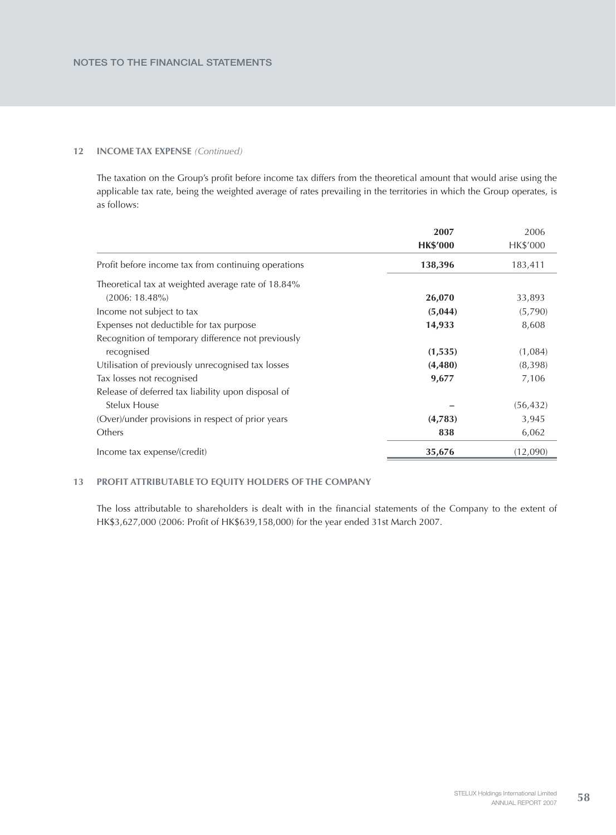# **12 INCOME TAX EXPENSE** *(Continued)*

The taxation on the Group's profit before income tax differs from the theoretical amount that would arise using the applicable tax rate, being the weighted average of rates prevailing in the territories in which the Group operates, is as follows:

|                                                     | 2007<br><b>HK\$'000</b> | 2006<br>HK\$'000 |
|-----------------------------------------------------|-------------------------|------------------|
| Profit before income tax from continuing operations | 138,396                 | 183,411          |
| Theoretical tax at weighted average rate of 18.84%  |                         |                  |
| $(2006: 18.48\%)$                                   | 26,070                  | 33,893           |
| Income not subject to tax                           | (5,044)                 | (5,790)          |
| Expenses not deductible for tax purpose             | 14,933                  | 8,608            |
| Recognition of temporary difference not previously  |                         |                  |
| recognised                                          | (1,535)                 | (1,084)          |
| Utilisation of previously unrecognised tax losses   | (4,480)                 | (8,398)          |
| Tax losses not recognised                           | 9,677                   | 7,106            |
| Release of deferred tax liability upon disposal of  |                         |                  |
| Stelux House                                        |                         | (56, 432)        |
| (Over)/under provisions in respect of prior years   | (4,783)                 | 3,945            |
| Others                                              | 838                     | 6,062            |
| Income tax expense/(credit)                         | 35,676                  | (12,090)         |

### **13 PROFIT ATTRIBUTABLE TO EQUITY HOLDERS OF THE COMPANY**

The loss attributable to shareholders is dealt with in the financial statements of the Company to the extent of HK\$3,627,000 (2006: Profit of HK\$639,158,000) for the year ended 31st March 2007.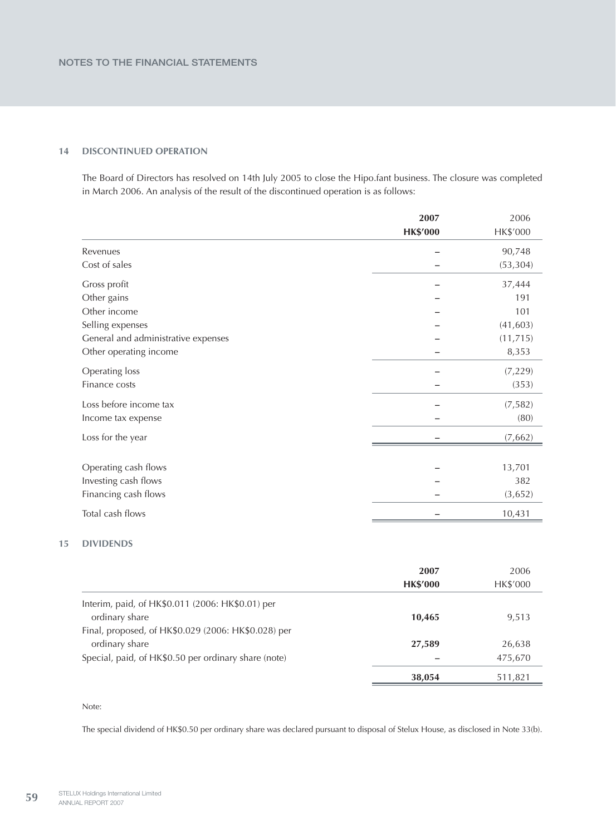## **14 DISCONTINUED OPERATION**

The Board of Directors has resolved on 14th July 2005 to close the Hipo.fant business. The closure was completed in March 2006. An analysis of the result of the discontinued operation is as follows:

|                                     | 2007     | 2006      |
|-------------------------------------|----------|-----------|
|                                     | HK\$'000 | HK\$'000  |
| Revenues                            |          | 90,748    |
| Cost of sales                       |          | (53, 304) |
| Gross profit                        |          | 37,444    |
| Other gains                         |          | 191       |
| Other income                        |          | 101       |
| Selling expenses                    |          | (41, 603) |
| General and administrative expenses |          | (11, 715) |
| Other operating income              |          | 8,353     |
| Operating loss                      |          | (7, 229)  |
| Finance costs                       |          | (353)     |
| Loss before income tax              |          | (7, 582)  |
| Income tax expense                  |          | (80)      |
| Loss for the year                   |          | (7,662)   |
|                                     |          |           |
| Operating cash flows                |          | 13,701    |
| Investing cash flows                |          | 382       |
| Financing cash flows                |          | (3,652)   |
| Total cash flows                    |          | 10,431    |

### **15 DIVIDENDS**

|                                                      | 2007            | 2006     |
|------------------------------------------------------|-----------------|----------|
|                                                      | <b>HK\$'000</b> | HK\$'000 |
| Interim, paid, of HK\$0.011 (2006: HK\$0.01) per     |                 |          |
| ordinary share                                       | 10,465          | 9,513    |
| Final, proposed, of HK\$0.029 (2006: HK\$0.028) per  |                 |          |
| ordinary share                                       | 27,589          | 26,638   |
| Special, paid, of HK\$0.50 per ordinary share (note) |                 | 475,670  |
|                                                      | 38,054          | 511,821  |

#### Note:

The special dividend of HK\$0.50 per ordinary share was declared pursuant to disposal of Stelux House, as disclosed in Note 33(b).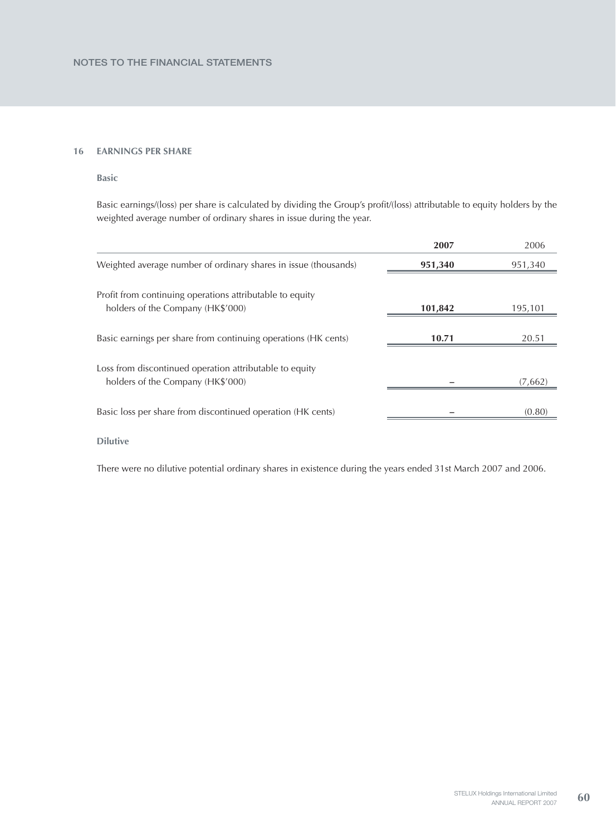#### **16 EARNINGS PER SHARE**

#### **Basic**

Basic earnings/(loss) per share is calculated by dividing the Group's profit/(loss) attributable to equity holders by the weighted average number of ordinary shares in issue during the year.

| 2007    | 2006    |
|---------|---------|
| 951,340 | 951,340 |
| 101,842 | 195,101 |
| 10.71   | 20.51   |
|         | (7,662) |
|         | (0.80)  |
|         |         |

**Dilutive**

There were no dilutive potential ordinary shares in existence during the years ended 31st March 2007 and 2006.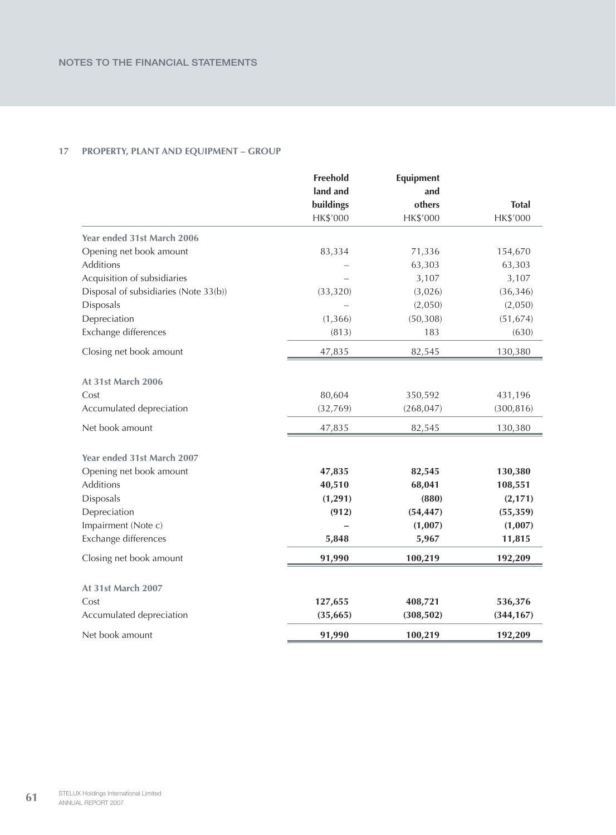# **17 PROPERTY, PLANT AND EQUIPMENT – GROUP**

|                                       | Freehold  | <b>Equipment</b> |              |
|---------------------------------------|-----------|------------------|--------------|
|                                       | land and  | and              |              |
|                                       | buildings | others           | <b>Total</b> |
|                                       | HK\$'000  | HK\$'000         | HK\$'000     |
| Year ended 31st March 2006            |           |                  |              |
| Opening net book amount               | 83,334    | 71,336           | 154,670      |
| Additions                             |           | 63,303           | 63,303       |
| Acquisition of subsidiaries           |           | 3,107            | 3,107        |
| Disposal of subsidiaries (Note 33(b)) | (33, 320) | (3,026)          | (36, 346)    |
| Disposals                             |           | (2,050)          | (2,050)      |
| Depreciation                          | (1, 366)  | (50, 308)        | (51, 674)    |
| Exchange differences                  | (813)     | 183              | (630)        |
| Closing net book amount               | 47,835    | 82,545           | 130,380      |
| At 31st March 2006                    |           |                  |              |
| Cost                                  | 80,604    | 350,592          | 431,196      |
| Accumulated depreciation              | (32,769)  | (268, 047)       | (300, 816)   |
| Net book amount                       | 47,835    | 82,545           | 130,380      |
|                                       |           |                  |              |
| Year ended 31st March 2007            |           |                  |              |
| Opening net book amount               | 47,835    | 82,545           | 130,380      |
| <b>Additions</b>                      | 40,510    | 68,041           | 108,551      |
| Disposals                             | (1, 291)  | (880)            | (2, 171)     |
| Depreciation                          | (912)     | (54, 447)        | (55, 359)    |
| Impairment (Note c)                   |           | (1,007)          | (1,007)      |
| Exchange differences                  | 5,848     | 5,967            | 11,815       |
| Closing net book amount               | 91,990    | 100,219          | 192,209      |
| At 31st March 2007                    |           |                  |              |
| Cost                                  | 127,655   | 408,721          | 536,376      |
| Accumulated depreciation              | (35, 665) | (308, 502)       | (344, 167)   |
| Net book amount                       | 91,990    | 100,219          | 192,209      |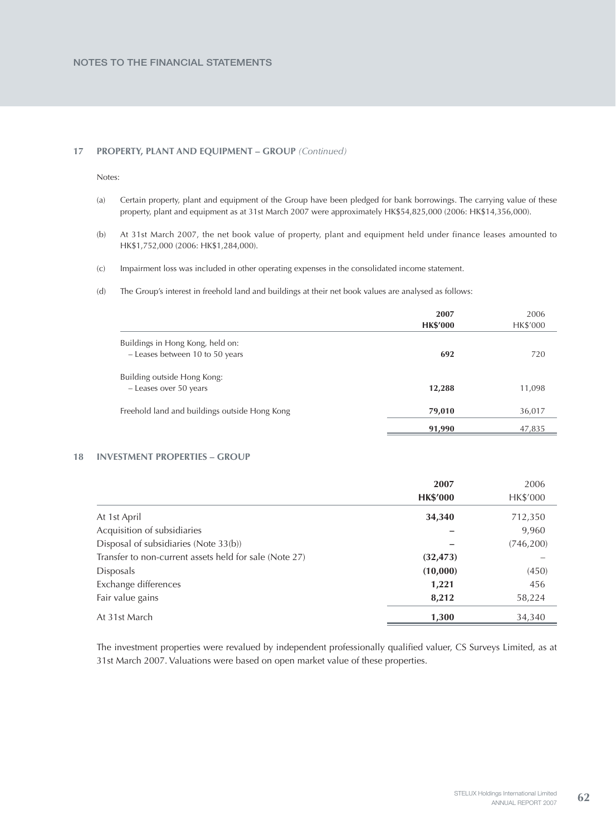## **17 PROPERTY, PLANT AND EQUIPMENT – GROUP** *(Continued)*

Notes:

- (a) Certain property, plant and equipment of the Group have been pledged for bank borrowings. The carrying value of these property, plant and equipment as at 31st March 2007 were approximately HK\$54,825,000 (2006: HK\$14,356,000).
- (b) At 31st March 2007, the net book value of property, plant and equipment held under finance leases amounted to HK\$1,752,000 (2006: HK\$1,284,000).
- (c) Impairment loss was included in other operating expenses in the consolidated income statement.
- (d) The Group's interest in freehold land and buildings at their net book values are analysed as follows:

|                                               | 2007<br><b>HK\$'000</b> | 2006<br>HK\$'000 |
|-----------------------------------------------|-------------------------|------------------|
| Buildings in Hong Kong, held on:              |                         |                  |
| - Leases between 10 to 50 years               | 692                     | 720              |
| Building outside Hong Kong:                   |                         |                  |
| - Leases over 50 years                        | 12,288                  | 11,098           |
| Freehold land and buildings outside Hong Kong | 79,010                  | 36,017           |
|                                               | 91,990                  | 47,835           |

### **18 INVESTMENT PROPERTIES – GROUP**

|                                                        | 2007            | 2006       |
|--------------------------------------------------------|-----------------|------------|
|                                                        | <b>HK\$'000</b> | HK\$'000   |
| At 1st April                                           | 34,340          | 712,350    |
| Acquisition of subsidiaries                            |                 | 9,960      |
| Disposal of subsidiaries (Note 33(b))                  |                 | (746, 200) |
| Transfer to non-current assets held for sale (Note 27) | (32, 473)       |            |
| <b>Disposals</b>                                       | (10,000)        | (450)      |
| Exchange differences                                   | 1,221           | 456        |
| Fair value gains                                       | 8,212           | 58,224     |
| At 31st March                                          | 1,300           | 34,340     |

The investment properties were revalued by independent professionally qualified valuer, CS Surveys Limited, as at 31st March 2007. Valuations were based on open market value of these properties.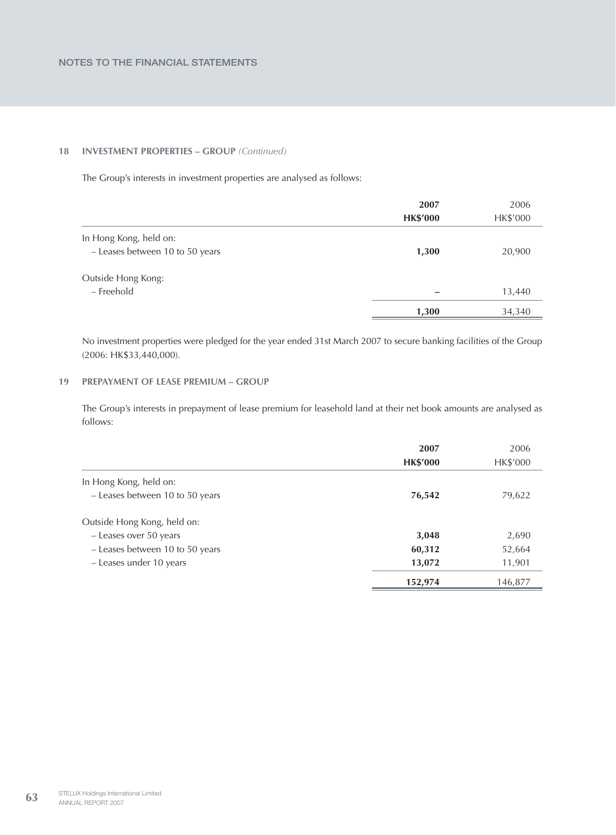## **18 INVESTMENT PROPERTIES – GROUP** *(Continued)*

The Group's interests in investment properties are analysed as follows:

| 2007            | 2006<br>HK\$'000 |
|-----------------|------------------|
| <b>HK\$'000</b> |                  |
|                 |                  |
| 1,300           | 20,900           |
|                 |                  |
|                 |                  |
|                 | 13,440           |
|                 | 34,340           |
|                 | 1,300            |

No investment properties were pledged for the year ended 31st March 2007 to secure banking facilities of the Group (2006: HK\$33,440,000).

# **19 PREPAYMENT OF LEASE PREMIUM – GROUP**

The Group's interests in prepayment of lease premium for leasehold land at their net book amounts are analysed as follows:

|                                 | 2007<br><b>HK\$'000</b> | 2006<br>HK\$'000 |
|---------------------------------|-------------------------|------------------|
| In Hong Kong, held on:          |                         |                  |
| - Leases between 10 to 50 years | 76,542                  | 79,622           |
| Outside Hong Kong, held on:     |                         |                  |
| - Leases over 50 years          | 3,048                   | 2,690            |
| - Leases between 10 to 50 years | 60,312                  | 52,664           |
| - Leases under 10 years         | 13,072                  | 11,901           |
|                                 | 152,974                 | 146,877          |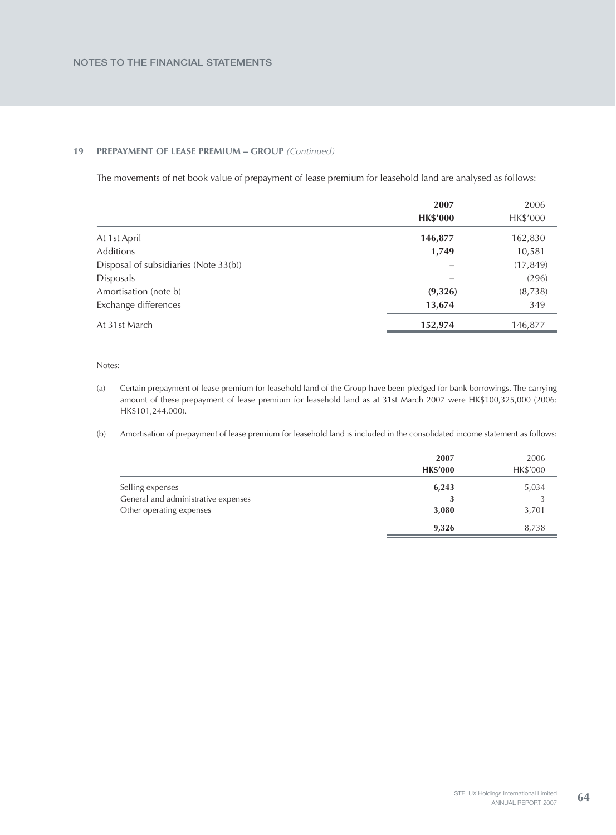## **19 PREPAYMENT OF LEASE PREMIUM – GROUP** *(Continued)*

The movements of net book value of prepayment of lease premium for leasehold land are analysed as follows:

|                                       | 2007            | 2006      |
|---------------------------------------|-----------------|-----------|
|                                       | <b>HK\$'000</b> | HK\$'000  |
| At 1st April                          | 146,877         | 162,830   |
| <b>Additions</b>                      | 1,749           | 10,581    |
| Disposal of subsidiaries (Note 33(b)) |                 | (17, 849) |
| <b>Disposals</b>                      |                 | (296)     |
| Amortisation (note b)                 | (9,326)         | (8,738)   |
| Exchange differences                  | 13,674          | 349       |
| At 31st March                         | 152,974         | 146,877   |

Notes:

- (a) Certain prepayment of lease premium for leasehold land of the Group have been pledged for bank borrowings. The carrying amount of these prepayment of lease premium for leasehold land as at 31st March 2007 were HK\$100,325,000 (2006: HK\$101,244,000).
- (b) Amortisation of prepayment of lease premium for leasehold land is included in the consolidated income statement as follows:

|                                     | 2007<br><b>HK\$'000</b> | 2006<br>HK\$'000 |
|-------------------------------------|-------------------------|------------------|
| Selling expenses                    | 6,243                   | 5,034            |
| General and administrative expenses | 3                       |                  |
| Other operating expenses            | 3,080                   | 3,701            |
|                                     | 9,326                   | 8,738            |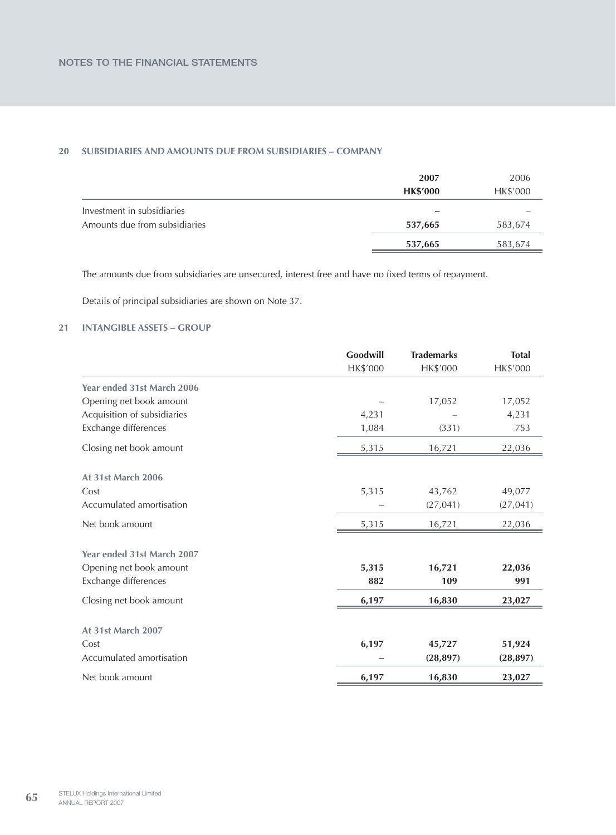# **20 SUBSIDIARIES AND AMOUNTS DUE FROM SUBSIDIARIES – COMPANY**

|                               | 2007<br><b>HK\$'000</b> | 2006<br>HK\$'000 |
|-------------------------------|-------------------------|------------------|
| Investment in subsidiaries    |                         |                  |
| Amounts due from subsidiaries | 537,665                 | 583,674          |
|                               | 537,665                 | 583,674          |

The amounts due from subsidiaries are unsecured, interest free and have no fixed terms of repayment.

Details of principal subsidiaries are shown on Note 37.

# **21 INTANGIBLE ASSETS – GROUP**

|                             | Goodwill | <b>Trademarks</b> | <b>Total</b> |
|-----------------------------|----------|-------------------|--------------|
|                             | HK\$'000 | HK\$'000          | HK\$'000     |
| Year ended 31st March 2006  |          |                   |              |
| Opening net book amount     |          | 17,052            | 17,052       |
| Acquisition of subsidiaries | 4,231    |                   | 4,231        |
| Exchange differences        | 1,084    | (331)             | 753          |
| Closing net book amount     | 5,315    | 16,721            | 22,036       |
| At 31st March 2006          |          |                   |              |
| Cost                        | 5,315    | 43,762            | 49,077       |
| Accumulated amortisation    |          | (27, 041)         | (27, 041)    |
| Net book amount             | 5,315    | 16,721            | 22,036       |
| Year ended 31st March 2007  |          |                   |              |
| Opening net book amount     | 5,315    | 16,721            | 22,036       |
| Exchange differences        | 882      | 109               | 991          |
| Closing net book amount     | 6,197    | 16,830            | 23,027       |
| At 31st March 2007          |          |                   |              |
| Cost                        | 6,197    | 45,727            | 51,924       |
| Accumulated amortisation    |          | (28, 897)         | (28, 897)    |
| Net book amount             | 6,197    | 16,830            | 23,027       |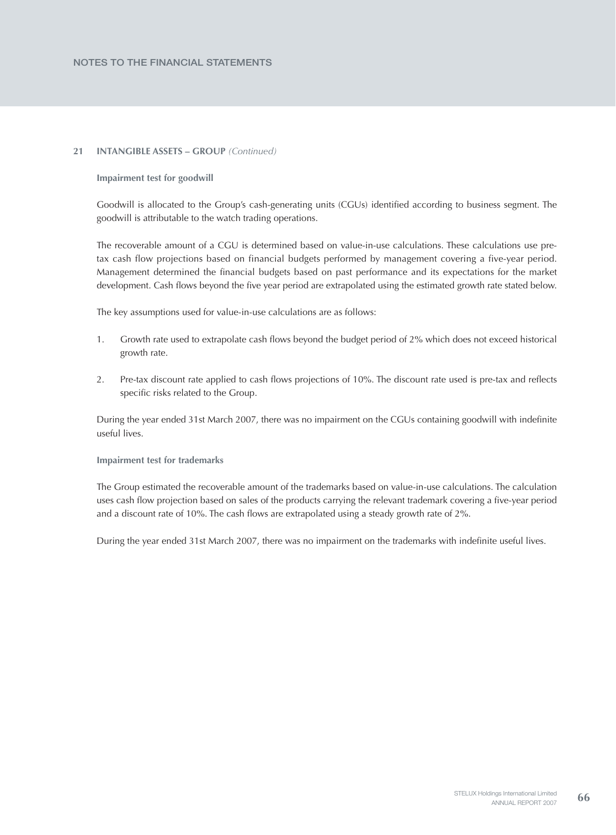### **21 INTANGIBLE ASSETS – GROUP** *(Continued)*

#### **Impairment test for goodwill**

Goodwill is allocated to the Group's cash-generating units (CGUs) identified according to business segment. The goodwill is attributable to the watch trading operations.

The recoverable amount of a CGU is determined based on value-in-use calculations. These calculations use pretax cash flow projections based on financial budgets performed by management covering a five-year period. Management determined the financial budgets based on past performance and its expectations for the market development. Cash flows beyond the five year period are extrapolated using the estimated growth rate stated below.

The key assumptions used for value-in-use calculations are as follows:

- 1. Growth rate used to extrapolate cash flows beyond the budget period of  $2\%$  which does not exceed historical growth rate.
- 2. Pre-tax discount rate applied to cash flows projections of 10%. The discount rate used is pre-tax and reflects specific risks related to the Group.

During the year ended 31st March 2007, there was no impairment on the CGUs containing goodwill with indefinite useful lives.

#### **Impairment test for trademarks**

The Group estimated the recoverable amount of the trademarks based on value-in-use calculations. The calculation uses cash flow projection based on sales of the products carrying the relevant trademark covering a five-year period and a discount rate of 10%. The cash flows are extrapolated using a steady growth rate of  $2\%$ .

During the year ended 31st March 2007, there was no impairment on the trademarks with indefinite useful lives.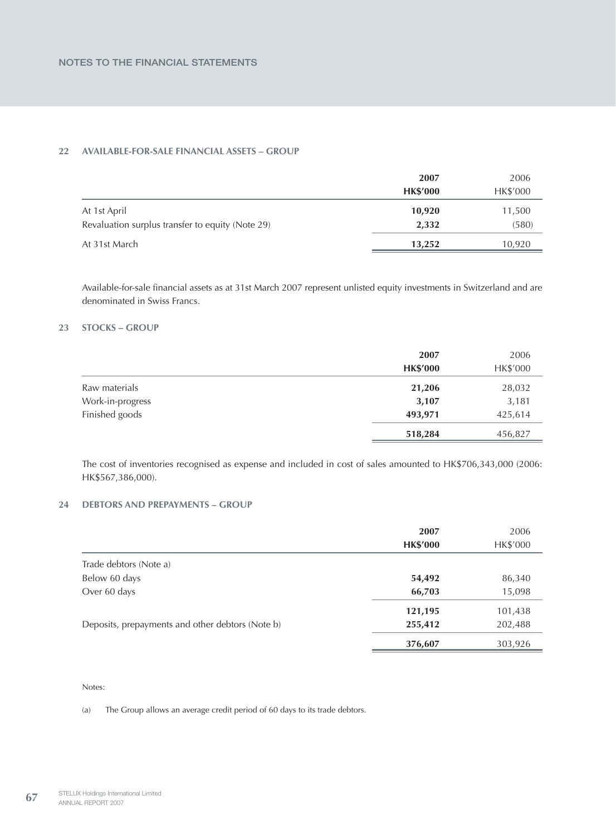# **22 AVAILABLE-FOR-SALE FINANCIAL ASSETS – GROUP**

|                                                                  | 2007<br><b>HK\$'000</b> | 2006<br>HK\$'000 |
|------------------------------------------------------------------|-------------------------|------------------|
| At 1st April<br>Revaluation surplus transfer to equity (Note 29) | 10,920<br>2,332         | 11,500<br>(580)  |
| At 31st March                                                    | 13,252                  | 10,920           |

Available-for-sale financial assets as at 31st March 2007 represent unlisted equity investments in Switzerland and are denominated in Swiss Francs.

# **23 STOCKS – GROUP**

|                  | 2007            | 2006     |
|------------------|-----------------|----------|
|                  | <b>HK\$'000</b> | HK\$'000 |
| Raw materials    | 21,206          | 28,032   |
| Work-in-progress | 3,107           | 3,181    |
| Finished goods   | 493,971         | 425,614  |
|                  | 518,284         | 456,827  |

The cost of inventories recognised as expense and included in cost of sales amounted to HK\$706,343,000 (2006: HK\$567,386,000).

### **24 DEBTORS AND PREPAYMENTS – GROUP**

|                                                  | 2007            | 2006     |
|--------------------------------------------------|-----------------|----------|
|                                                  | <b>HK\$'000</b> | HK\$'000 |
| Trade debtors (Note a)                           |                 |          |
| Below 60 days                                    | 54,492          | 86,340   |
| Over 60 days                                     | 66,703          | 15,098   |
|                                                  | 121,195         | 101,438  |
| Deposits, prepayments and other debtors (Note b) | 255,412         | 202,488  |
|                                                  | 376,607         | 303,926  |

Notes:

(a) The Group allows an average credit period of 60 days to its trade debtors.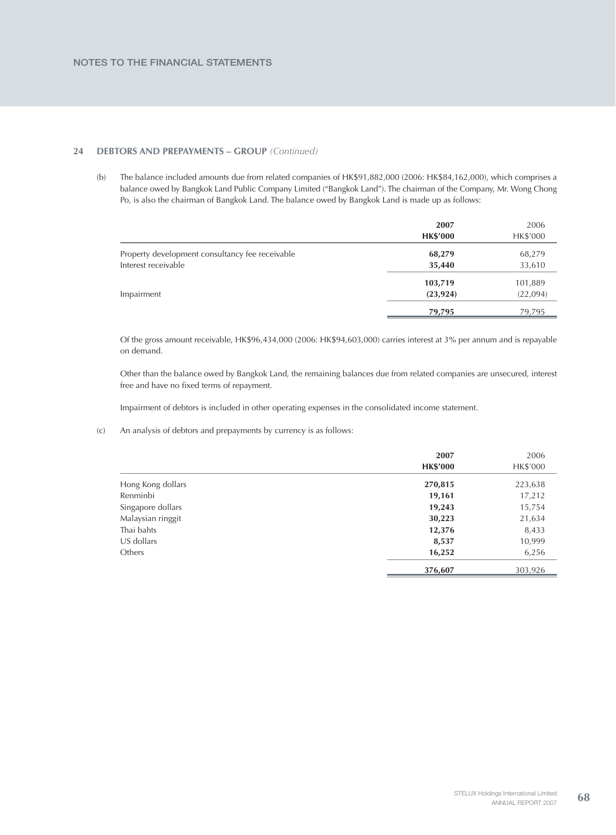## **24 DEBTORS AND PREPAYMENTS – GROUP** *(Continued)*

(b) The balance included amounts due from related companies of HK\$91,882,000 (2006: HK\$84,162,000), which comprises a balance owed by Bangkok Land Public Company Limited ("Bangkok Land"). The chairman of the Company, Mr. Wong Chong Po, is also the chairman of Bangkok Land. The balance owed by Bangkok Land is made up as follows:

|                                                 | 2007            | 2006     |
|-------------------------------------------------|-----------------|----------|
|                                                 | <b>HK\$'000</b> | HK\$'000 |
| Property development consultancy fee receivable | 68,279          | 68,279   |
| Interest receivable                             | 35,440          | 33,610   |
|                                                 | 103,719         | 101,889  |
| Impairment                                      | (23, 924)       | (22,094) |
|                                                 | 79,795          | 79,795   |

Of the gross amount receivable, HK\$96,434,000 (2006: HK\$94,603,000) carries interest at 3% per annum and is repayable on demand.

Other than the balance owed by Bangkok Land, the remaining balances due from related companies are unsecured, interest free and have no fixed terms of repayment.

Impairment of debtors is included in other operating expenses in the consolidated income statement.

(c) An analysis of debtors and prepayments by currency is as follows:

|                   | 2007            | 2006     |
|-------------------|-----------------|----------|
|                   | <b>HK\$'000</b> | HK\$'000 |
| Hong Kong dollars | 270,815         | 223,638  |
| Renminbi          | 19,161          | 17,212   |
| Singapore dollars | 19,243          | 15,754   |
| Malaysian ringgit | 30,223          | 21,634   |
| Thai bahts        | 12,376          | 8,433    |
| US dollars        | 8,537           | 10,999   |
| Others            | 16,252          | 6,256    |
|                   | 376,607         | 303,926  |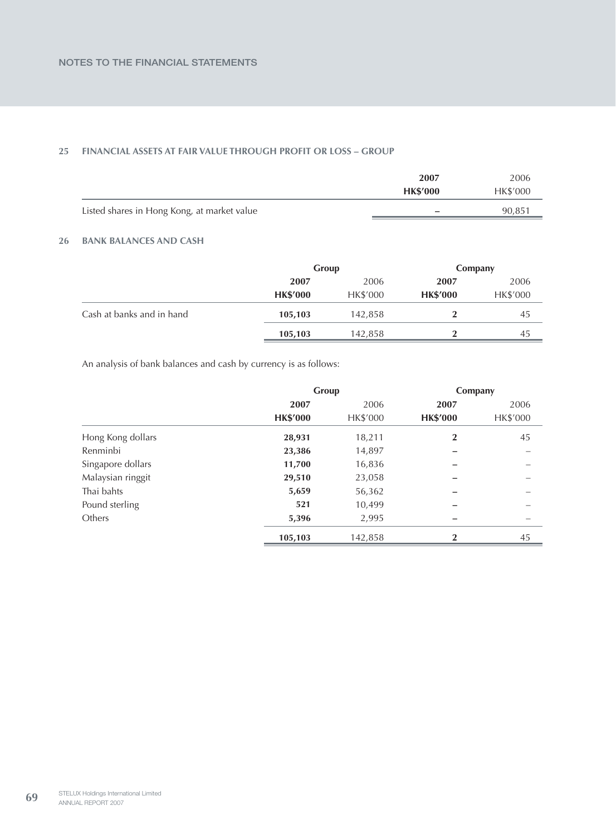# **25 FINANCIAL ASSETS AT FAIR VALUE THROUGH PROFIT OR LOSS – GROUP**

|                                             | 2007<br><b>HK\$'000</b> | 2006<br>HK\$'000 |
|---------------------------------------------|-------------------------|------------------|
| Listed shares in Hong Kong, at market value |                         | 90,851           |

# **26 BANK BALANCES AND CASH**

|                           |                 | Group    |                 | Company  |
|---------------------------|-----------------|----------|-----------------|----------|
|                           | 2007            | 2006     | 2007            | 2006     |
|                           | <b>HK\$'000</b> | HK\$'000 | <b>HK\$'000</b> | HK\$'000 |
| Cash at banks and in hand | 105,103         | 142,858  |                 | 45       |
|                           | 105,103         | 142,858  |                 | 45       |

An analysis of bank balances and cash by currency is as follows:

|                   | Group           |          | Company         |          |
|-------------------|-----------------|----------|-----------------|----------|
|                   | 2007            | 2006     | 2007            | 2006     |
|                   | <b>HK\$'000</b> | HK\$'000 | <b>HK\$'000</b> | HK\$'000 |
| Hong Kong dollars | 28,931          | 18,211   | $\overline{2}$  | 45       |
| Renminbi          | 23,386          | 14,897   |                 |          |
| Singapore dollars | 11,700          | 16,836   |                 |          |
| Malaysian ringgit | 29,510          | 23,058   |                 |          |
| Thai bahts        | 5,659           | 56,362   |                 |          |
| Pound sterling    | 521             | 10,499   |                 |          |
| Others            | 5,396           | 2,995    |                 |          |
|                   | 105,103         | 142,858  | $\mathbf 2$     | 45       |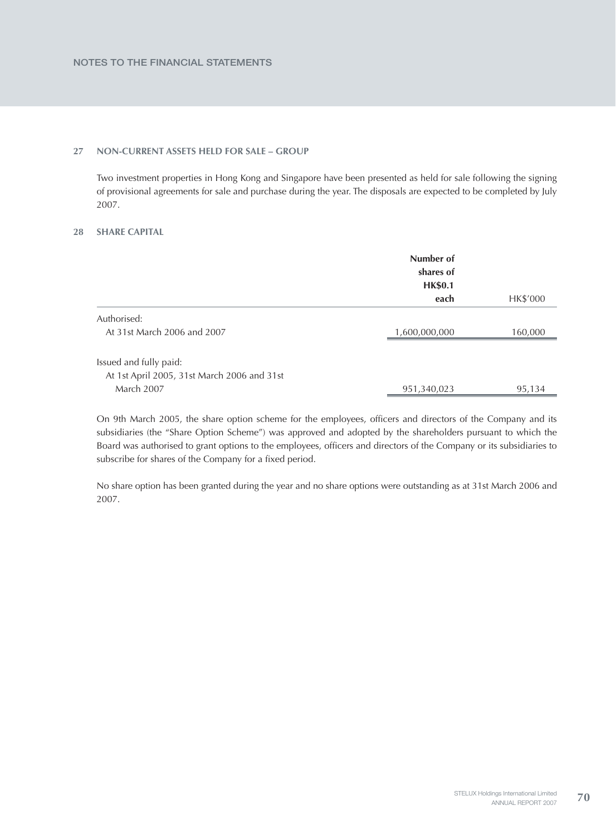## **27 NON-CURRENT ASSETS HELD FOR SALE – GROUP**

Two investment properties in Hong Kong and Singapore have been presented as held for sale following the signing of provisional agreements for sale and purchase during the year. The disposals are expected to be completed by July 2007.

## **28 SHARE CAPITAL**

|                                                                       | Number of<br>shares of<br><b>HK\$0.1</b> |          |
|-----------------------------------------------------------------------|------------------------------------------|----------|
|                                                                       | each                                     | HK\$'000 |
| Authorised:                                                           |                                          |          |
| At 31st March 2006 and 2007                                           | 1,600,000,000                            | 160,000  |
| Issued and fully paid:<br>At 1st April 2005, 31st March 2006 and 31st |                                          |          |
| March 2007                                                            | 951,340,023                              | 95,134   |

On 9th March 2005, the share option scheme for the employees, officers and directors of the Company and its subsidiaries (the "Share Option Scheme") was approved and adopted by the shareholders pursuant to which the Board was authorised to grant options to the employees, officers and directors of the Company or its subsidiaries to subscribe for shares of the Company for a fixed period.

No share option has been granted during the year and no share options were outstanding as at 31st March 2006 and 2007.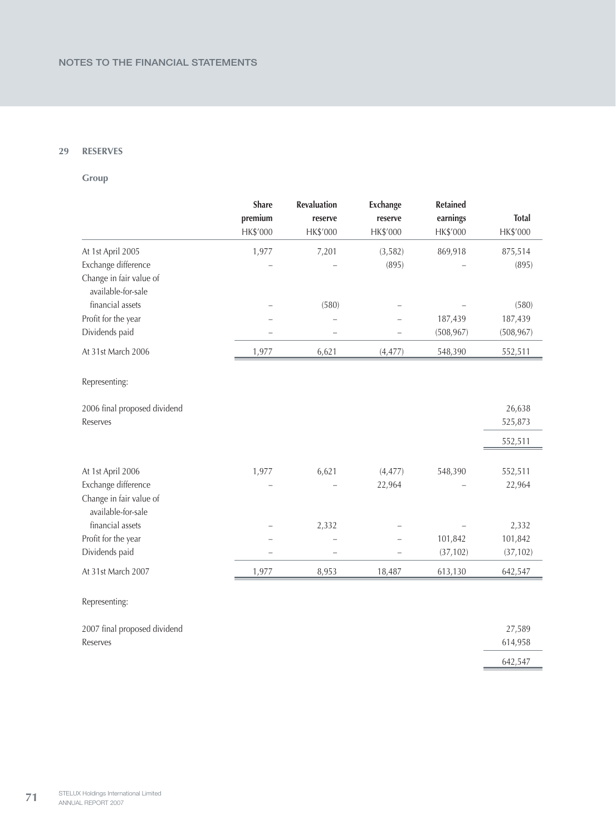## **29 RESERVES**

**Group**

|                                               | Share<br>premium<br>HK\$'000 | <b>Revaluation</b><br>reserve<br>HK\$'000 | <b>Exchange</b><br>reserve<br>HK\$'000 | <b>Retained</b><br>earnings<br>HK\$'000 | <b>Total</b><br>HK\$'000 |
|-----------------------------------------------|------------------------------|-------------------------------------------|----------------------------------------|-----------------------------------------|--------------------------|
| At 1st April 2005                             | 1,977                        | 7,201                                     | (3, 582)                               | 869,918                                 | 875,514                  |
| Exchange difference                           |                              |                                           | (895)                                  |                                         | (895)                    |
| Change in fair value of<br>available-for-sale |                              |                                           |                                        |                                         |                          |
| financial assets                              |                              | (580)                                     |                                        |                                         | (580)                    |
| Profit for the year                           |                              |                                           |                                        | 187,439                                 | 187,439                  |
| Dividends paid                                |                              |                                           |                                        | (508, 967)                              | (508, 967)               |
| At 31st March 2006                            | 1,977                        | 6,621                                     | (4, 477)                               | 548,390                                 | 552,511                  |
| Representing:                                 |                              |                                           |                                        |                                         |                          |
| 2006 final proposed dividend                  |                              |                                           |                                        |                                         | 26,638                   |
| Reserves                                      |                              |                                           |                                        |                                         | 525,873                  |
|                                               |                              |                                           |                                        |                                         | 552,511                  |
| At 1st April 2006                             | 1,977                        | 6,621                                     | (4, 477)                               | 548,390                                 | 552,511                  |
| Exchange difference                           |                              |                                           | 22,964                                 |                                         | 22,964                   |
| Change in fair value of<br>available-for-sale |                              |                                           |                                        |                                         |                          |
| financial assets                              |                              | 2,332                                     |                                        |                                         | 2,332                    |
| Profit for the year                           |                              |                                           |                                        | 101,842                                 | 101,842                  |
| Dividends paid                                |                              |                                           |                                        | (37, 102)                               | (37, 102)                |
| At 31st March 2007                            | 1,977                        | 8,953                                     | 18,487                                 | 613,130                                 | 642,547                  |
| Representing:                                 |                              |                                           |                                        |                                         |                          |
| 2007 final proposed dividend                  |                              |                                           |                                        |                                         | 27,589                   |
| Reserves                                      |                              |                                           |                                        |                                         | 614,958                  |

642,547

 $\equiv$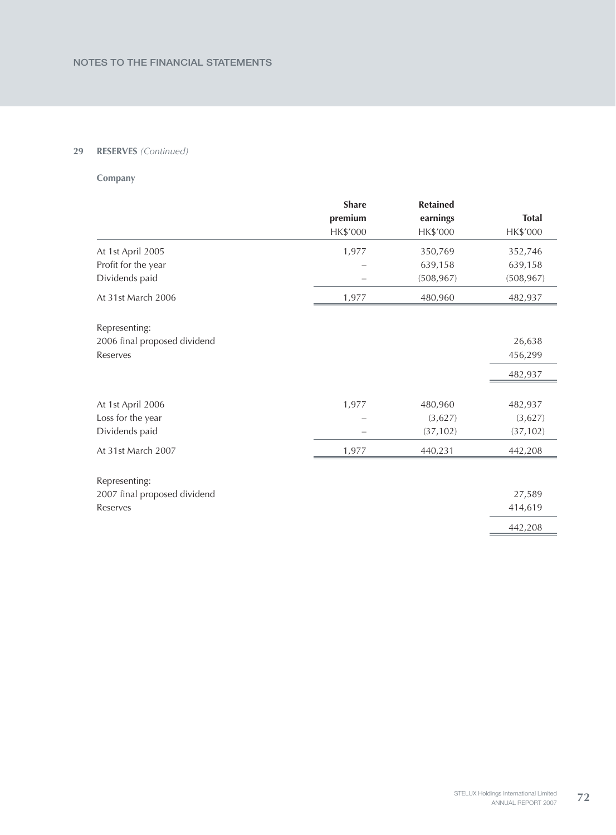## **29 RESERVES** *(Continued)*

## **Company**

|                              | <b>Share</b><br>premium | <b>Retained</b><br>earnings | <b>Total</b> |
|------------------------------|-------------------------|-----------------------------|--------------|
|                              | HK\$'000                | HK\$'000                    | HK\$'000     |
| At 1st April 2005            | 1,977                   | 350,769                     | 352,746      |
| Profit for the year          |                         | 639,158                     | 639,158      |
| Dividends paid               |                         | (508, 967)                  | (508, 967)   |
| At 31st March 2006           | 1,977                   | 480,960                     | 482,937      |
| Representing:                |                         |                             |              |
| 2006 final proposed dividend |                         |                             | 26,638       |
| Reserves                     |                         |                             | 456,299      |
|                              |                         |                             | 482,937      |
|                              |                         |                             |              |
| At 1st April 2006            | 1,977                   | 480,960                     | 482,937      |
| Loss for the year            |                         | (3,627)                     | (3,627)      |
| Dividends paid               |                         | (37, 102)                   | (37, 102)    |
| At 31st March 2007           | 1,977                   | 440,231                     | 442,208      |
| Representing:                |                         |                             |              |
| 2007 final proposed dividend |                         |                             | 27,589       |
| Reserves                     |                         |                             | 414,619      |
|                              |                         |                             | 442,208      |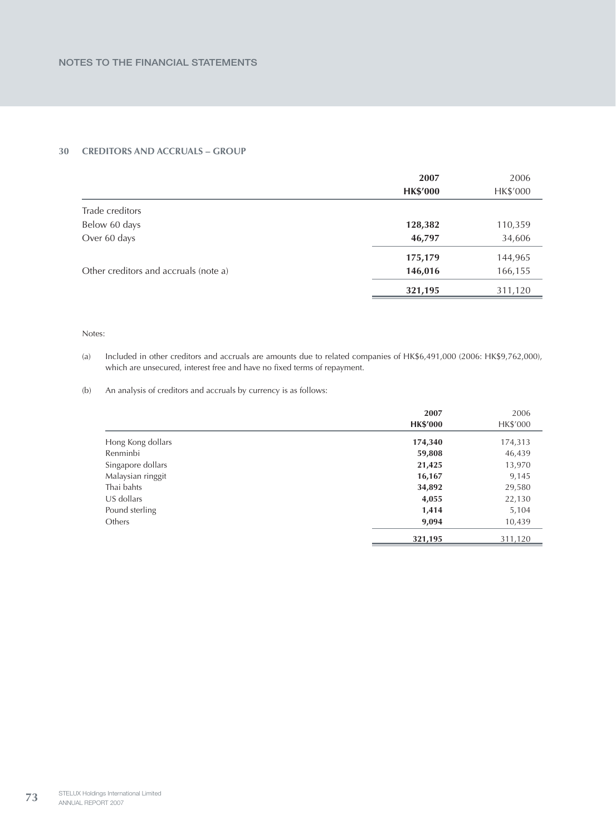## **30 CREDITORS AND ACCRUALS – GROUP**

|                                       | 2007            | 2006     |
|---------------------------------------|-----------------|----------|
|                                       | <b>HK\$'000</b> | HK\$'000 |
| Trade creditors                       |                 |          |
| Below 60 days                         | 128,382         | 110,359  |
| Over 60 days                          | 46,797          | 34,606   |
|                                       | 175,179         | 144,965  |
| Other creditors and accruals (note a) | 146,016         | 166,155  |
|                                       | 321,195         | 311,120  |

#### Notes:

- (a) Included in other creditors and accruals are amounts due to related companies of HK\$6,491,000 (2006: HK\$9,762,000), which are unsecured, interest free and have no fixed terms of repayment.
- (b) An analysis of creditors and accruals by currency is as follows:

|                   | 2007            | 2006     |
|-------------------|-----------------|----------|
|                   | <b>HK\$'000</b> | HK\$'000 |
| Hong Kong dollars | 174,340         | 174,313  |
| Renminbi          | 59,808          | 46,439   |
| Singapore dollars | 21,425          | 13,970   |
| Malaysian ringgit | 16,167          | 9,145    |
| Thai bahts        | 34,892          | 29,580   |
| US dollars        | 4,055           | 22,130   |
| Pound sterling    | 1,414           | 5,104    |
| Others            | 9,094           | 10,439   |
|                   | 321,195         | 311,120  |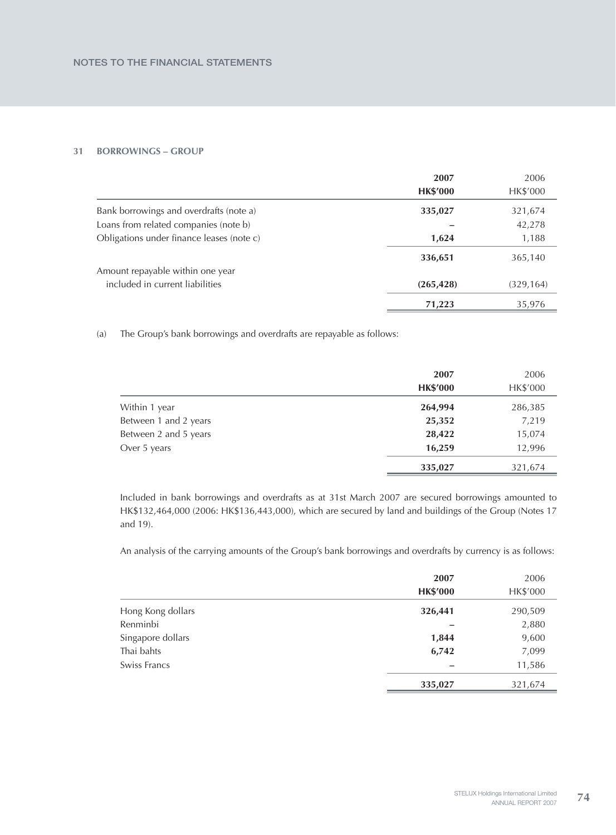#### **31 BORROWINGS – GROUP**

|                                           | 2007            | 2006       |
|-------------------------------------------|-----------------|------------|
|                                           | <b>HK\$'000</b> | HK\$'000   |
| Bank borrowings and overdrafts (note a)   | 335,027         | 321,674    |
| Loans from related companies (note b)     |                 | 42,278     |
| Obligations under finance leases (note c) | 1,624           | 1,188      |
|                                           | 336,651         | 365,140    |
| Amount repayable within one year          |                 |            |
| included in current liabilities           | (265, 428)      | (329, 164) |
|                                           | 71,223          | 35,976     |

(a) The Group's bank borrowings and overdrafts are repayable as follows:

|                       | 2007            | 2006     |
|-----------------------|-----------------|----------|
|                       | <b>HK\$'000</b> | HK\$'000 |
| Within 1 year         | 264,994         | 286,385  |
| Between 1 and 2 years | 25,352          | 7,219    |
| Between 2 and 5 years | 28,422          | 15,074   |
| Over 5 years          | 16,259          | 12,996   |
|                       | 335,027         | 321,674  |

Included in bank borrowings and overdrafts as at 31st March 2007 are secured borrowings amounted to HK\$132,464,000 (2006: HK\$136,443,000), which are secured by land and buildings of the Group (Notes 17 and 19).

An analysis of the carrying amounts of the Group's bank borrowings and overdrafts by currency is as follows:

|                   | 2007            | 2006     |
|-------------------|-----------------|----------|
|                   | <b>HK\$'000</b> | HK\$'000 |
| Hong Kong dollars | 326,441         | 290,509  |
| Renminbi          |                 | 2,880    |
| Singapore dollars | 1,844           | 9,600    |
| Thai bahts        | 6,742           | 7,099    |
| Swiss Francs      |                 | 11,586   |
|                   | 335,027         | 321,674  |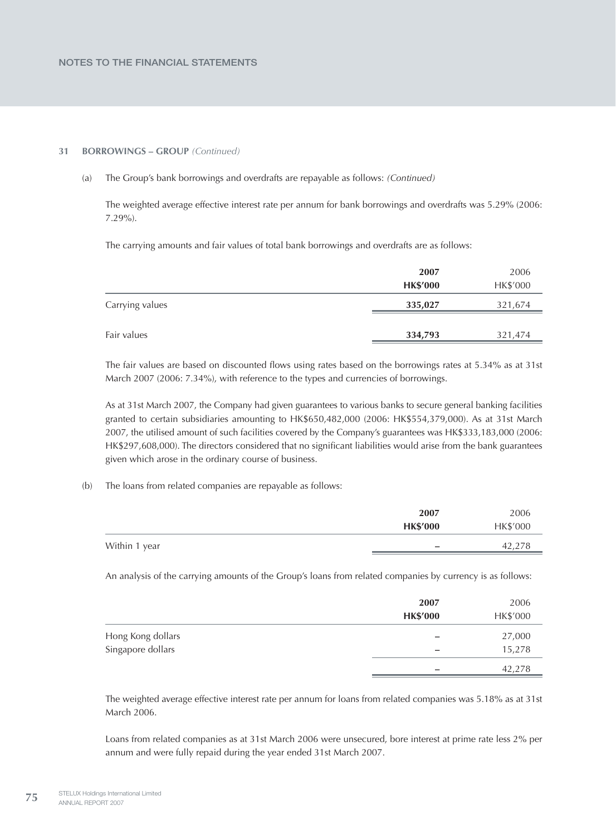#### **31 BORROWINGS – GROUP** *(Continued)*

(a) The Group's bank borrowings and overdrafts are repayable as follows: *(Continued)*

The weighted average effective interest rate per annum for bank borrowings and overdrafts was 5.29% (2006: 7.29%).

The carrying amounts and fair values of total bank borrowings and overdrafts are as follows:

|                 | 2007<br><b>HK\$'000</b> | 2006<br>HK\$'000 |
|-----------------|-------------------------|------------------|
| Carrying values | 335,027                 | 321,674          |
| Fair values     | 334,793                 | 321,474          |

The fair values are based on discounted flows using rates based on the borrowings rates at 5.34% as at 31st March 2007 (2006: 7.34%), with reference to the types and currencies of borrowings.

As at 31st March 2007, the Company had given guarantees to various banks to secure general banking facilities granted to certain subsidiaries amounting to HK\$650,482,000 (2006: HK\$554,379,000). As at 31st March 2007, the utilised amount of such facilities covered by the Company's guarantees was HK\$333,183,000 (2006: HK\$297,608,000). The directors considered that no significant liabilities would arise from the bank guarantees given which arose in the ordinary course of business.

#### (b) The loans from related companies are repayable as follows:

|               | 2007            | 2006     |
|---------------|-----------------|----------|
|               | <b>HK\$'000</b> | HK\$'000 |
| Within 1 year |                 | 42,278   |

An analysis of the carrying amounts of the Group's loans from related companies by currency is as follows:

|                   | 2007            | 2006     |
|-------------------|-----------------|----------|
|                   | <b>HK\$'000</b> | HK\$'000 |
| Hong Kong dollars |                 | 27,000   |
| Singapore dollars |                 | 15,278   |
|                   |                 | 42,278   |

The weighted average effective interest rate per annum for loans from related companies was 5.18% as at 31st March 2006.

Loans from related companies as at 31st March 2006 were unsecured, bore interest at prime rate less 2% per annum and were fully repaid during the year ended 31st March 2007.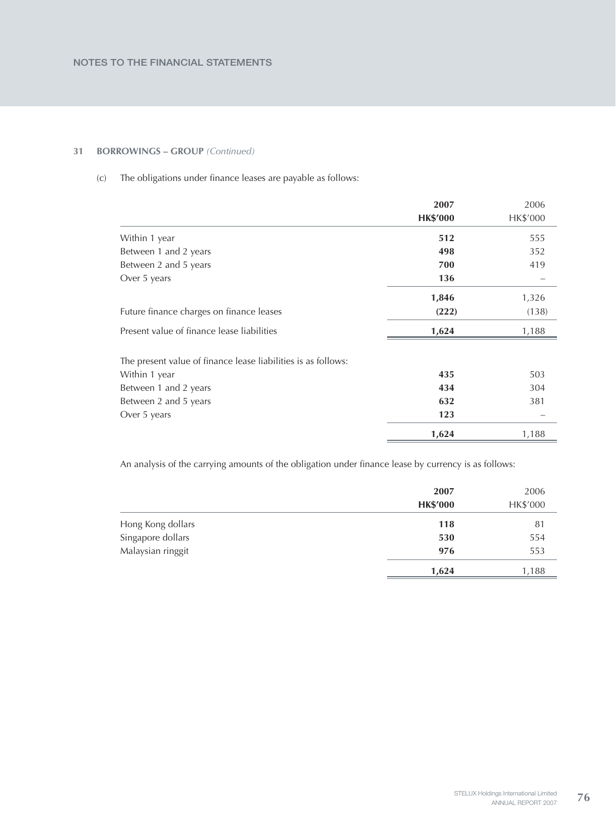## **31 BORROWINGS – GROUP** *(Continued)*

## (c) The obligations under finance leases are payable as follows:

|                                                               | 2007            | 2006     |
|---------------------------------------------------------------|-----------------|----------|
|                                                               | <b>HK\$'000</b> | HK\$'000 |
| Within 1 year                                                 | 512             | 555      |
| Between 1 and 2 years                                         | 498             | 352      |
| Between 2 and 5 years                                         | 700             | 419      |
| Over 5 years                                                  | 136             |          |
|                                                               | 1,846           | 1,326    |
| Future finance charges on finance leases                      | (222)           | (138)    |
| Present value of finance lease liabilities                    | 1,624           | 1,188    |
| The present value of finance lease liabilities is as follows: |                 |          |
| Within 1 year                                                 | 435             | 503      |
| Between 1 and 2 years                                         | 434             | 304      |
| Between 2 and 5 years                                         | 632             | 381      |
| Over 5 years                                                  | 123             |          |
|                                                               | 1,624           | 1,188    |

An analysis of the carrying amounts of the obligation under finance lease by currency is as follows:

|                   | 2007            | 2006     |
|-------------------|-----------------|----------|
|                   | <b>HK\$'000</b> | HK\$'000 |
| Hong Kong dollars | 118             | 81       |
| Singapore dollars | 530             | 554      |
| Malaysian ringgit | 976             | 553      |
|                   | 1,624           | 1,188    |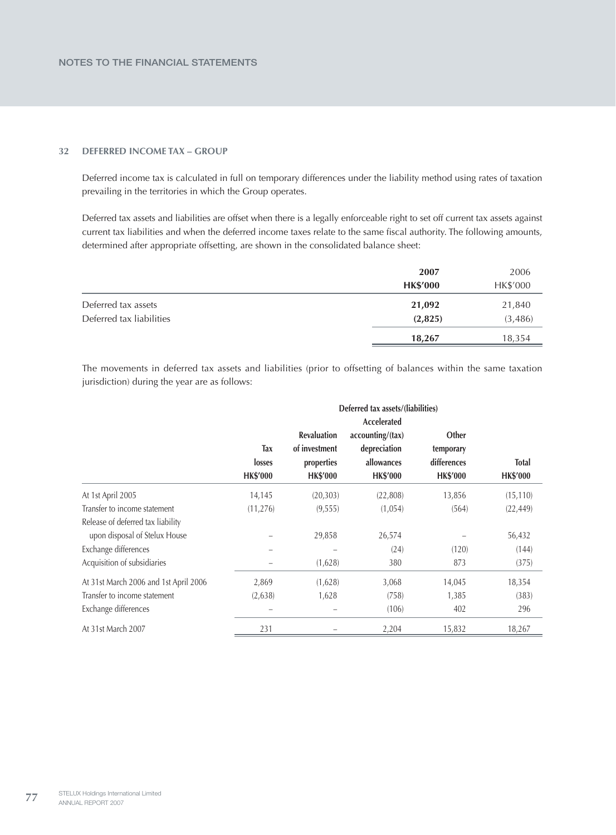## **32 DEFERRED INCOME TAX – GROUP**

Deferred income tax is calculated in full on temporary differences under the liability method using rates of taxation prevailing in the territories in which the Group operates.

Deferred tax assets and liabilities are offset when there is a legally enforceable right to set off current tax assets against current tax liabilities and when the deferred income taxes relate to the same fiscal authority. The following amounts, determined after appropriate offsetting, are shown in the consolidated balance sheet:

|                          | 2007            | 2006     |
|--------------------------|-----------------|----------|
|                          | <b>HK\$'000</b> | HK\$'000 |
| Deferred tax assets      | 21,092          | 21,840   |
| Deferred tax liabilities | (2,825)         | (3,486)  |
|                          | 18,267          | 18,354   |

The movements in deferred tax assets and liabilities (prior to offsetting of balances within the same taxation jurisdiction) during the year are as follows:

|                                       |           | Deferred tax assets/(liabilities) |                    |                 |              |
|---------------------------------------|-----------|-----------------------------------|--------------------|-----------------|--------------|
|                                       |           |                                   | <b>Accelerated</b> |                 |              |
|                                       |           | <b>Revaluation</b>                | accounting/(tax)   | Other           |              |
|                                       | Tax       | of investment                     | depreciation       | temporary       |              |
|                                       | losses    | properties                        | allowances         | differences     | <b>Total</b> |
|                                       | HK\$'000  | <b>HK\$'000</b>                   | <b>HK\$'000</b>    | <b>HK\$'000</b> | HK\$'000     |
| At 1st April 2005                     | 14,145    | (20, 303)                         | (22,808)           | 13,856          | (15, 110)    |
| Transfer to income statement          | (11, 276) | (9, 555)                          | (1,054)            | (564)           | (22, 449)    |
| Release of deferred tax liability     |           |                                   |                    |                 |              |
| upon disposal of Stelux House         |           | 29,858                            | 26,574             |                 | 56,432       |
| Exchange differences                  |           | $\qquad \qquad -$                 | (24)               | (120)           | (144)        |
| Acquisition of subsidiaries           |           | (1,628)                           | 380                | 873             | (375)        |
| At 31st March 2006 and 1st April 2006 | 2,869     | (1,628)                           | 3,068              | 14,045          | 18,354       |
| Transfer to income statement          | (2,638)   | 1,628                             | (758)              | 1,385           | (383)        |
| Exchange differences                  |           |                                   | (106)              | 402             | 296          |
| At 31st March 2007                    | 231       |                                   | 2,204              | 15,832          | 18,267       |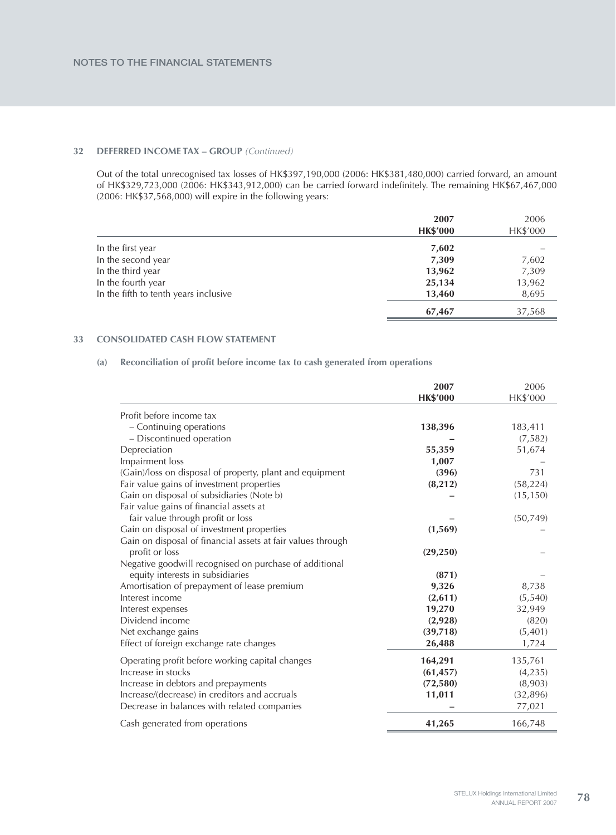## **32 DEFERRED INCOME TAX – GROUP** *(Continued)*

Out of the total unrecognised tax losses of HK\$397,190,000 (2006: HK\$381,480,000) carried forward, an amount of HK\$329,723,000 (2006: HK\$343,912,000) can be carried forward indefinitely. The remaining HK\$67,467,000 (2006: HK\$37,568,000) will expire in the following years:

| 2007            | 2006     |
|-----------------|----------|
| <b>HK\$'000</b> | HK\$'000 |
| 7,602           |          |
| 7,309           | 7,602    |
| 13,962          | 7,309    |
| 25,134          | 13,962   |
| 13,460          | 8,695    |
| 67,467          | 37,568   |
|                 |          |

## **33 CONSOLIDATED CASH FLOW STATEMENT**

## (a) Reconciliation of profit before income tax to cash generated from operations

|                                                             | 2007<br><b>HK\$'000</b> | 2006<br><b>HK\$'000</b> |
|-------------------------------------------------------------|-------------------------|-------------------------|
| Profit before income tax                                    |                         |                         |
| - Continuing operations                                     | 138,396                 | 183,411                 |
| - Discontinued operation                                    |                         | (7, 582)                |
| Depreciation                                                | 55,359                  | 51,674                  |
| Impairment loss                                             | 1,007                   |                         |
| (Gain)/loss on disposal of property, plant and equipment    | (396)                   | 731                     |
| Fair value gains of investment properties                   | (8, 212)                | (58, 224)               |
| Gain on disposal of subsidiaries (Note b)                   |                         | (15, 150)               |
| Fair value gains of financial assets at                     |                         |                         |
| fair value through profit or loss                           |                         | (50, 749)               |
| Gain on disposal of investment properties                   | (1, 569)                |                         |
| Gain on disposal of financial assets at fair values through |                         |                         |
| profit or loss                                              | (29, 250)               |                         |
| Negative goodwill recognised on purchase of additional      |                         |                         |
| equity interests in subsidiaries                            | (871)                   |                         |
| Amortisation of prepayment of lease premium                 | 9,326                   | 8,738                   |
| Interest income                                             | (2,611)                 | (5, 540)                |
| Interest expenses                                           | 19,270                  | 32,949                  |
| Dividend income                                             | (2,928)                 | (820)                   |
| Net exchange gains                                          | (39,718)                | (5,401)                 |
| Effect of foreign exchange rate changes                     | 26,488                  | 1,724                   |
| Operating profit before working capital changes             | 164,291                 | 135,761                 |
| Increase in stocks                                          | (61, 457)               | (4,235)                 |
| Increase in debtors and prepayments                         | (72, 580)               | (8,903)                 |
| Increase/(decrease) in creditors and accruals               | 11,011                  | (32,896)                |
| Decrease in balances with related companies                 |                         | 77,021                  |
| Cash generated from operations                              | 41,265                  | 166,748                 |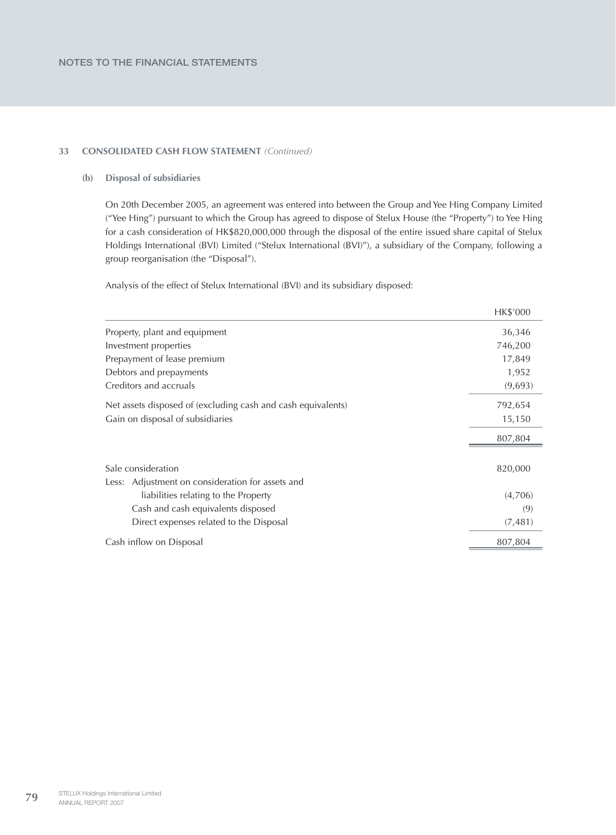## **33 CONSOLIDATED CASH FLOW STATEMENT** *(Continued)*

## **(b) Disposal of subsidiaries**

On 20th December 2005, an agreement was entered into between the Group and Yee Hing Company Limited ("Yee Hing") pursuant to which the Group has agreed to dispose of Stelux House (the "Property") to Yee Hing for a cash consideration of HK\$820,000,000 through the disposal of the entire issued share capital of Stelux Holdings International (BVI) Limited ("Stelux International (BVI)"), a subsidiary of the Company, following a group reorganisation (the "Disposal").

Analysis of the effect of Stelux International (BVI) and its subsidiary disposed:

|                                                              | HK\$'000 |
|--------------------------------------------------------------|----------|
| Property, plant and equipment                                | 36,346   |
| Investment properties                                        | 746,200  |
| Prepayment of lease premium                                  | 17,849   |
| Debtors and prepayments                                      | 1,952    |
| Creditors and accruals                                       | (9,693)  |
| Net assets disposed of (excluding cash and cash equivalents) | 792,654  |
| Gain on disposal of subsidiaries                             | 15,150   |
|                                                              | 807,804  |
| Sale consideration                                           | 820,000  |
| Less: Adjustment on consideration for assets and             |          |
| liabilities relating to the Property                         | (4,706)  |
| Cash and cash equivalents disposed                           | (9)      |
| Direct expenses related to the Disposal                      | (7, 481) |
| Cash inflow on Disposal                                      | 807,804  |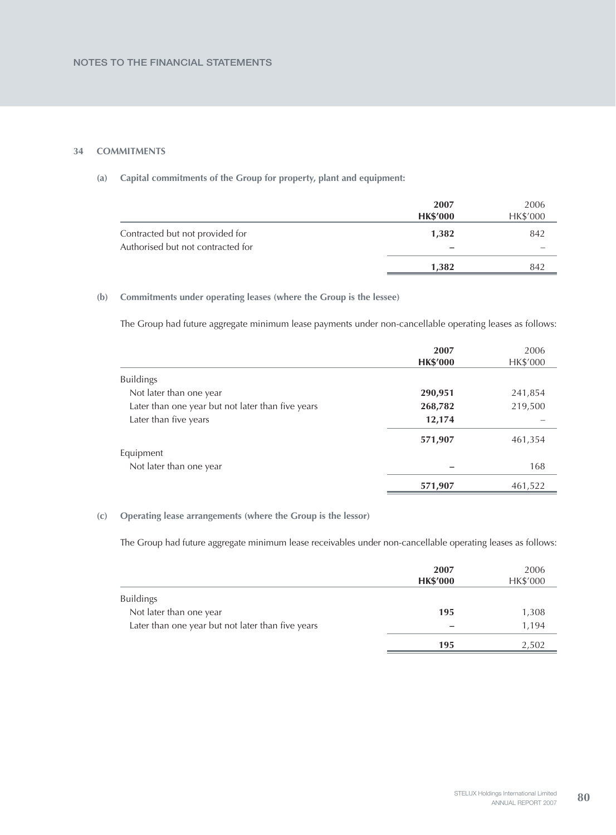#### **34 COMMITMENTS**

**(a) Capital commitments of the Group for property, plant and equipment:**

|                                                                      | 2007<br><b>HK\$'000</b> | 2006<br>HK\$'000 |
|----------------------------------------------------------------------|-------------------------|------------------|
| Contracted but not provided for<br>Authorised but not contracted for | 1.382                   | 842              |
|                                                                      | 1.382                   | 842              |

## **(b) Commitments under operating leases (where the Group is the lessee)**

The Group had future aggregate minimum lease payments under non-cancellable operating leases as follows:

|                                                   | 2007            | 2006     |
|---------------------------------------------------|-----------------|----------|
|                                                   | <b>HK\$'000</b> | HK\$'000 |
| <b>Buildings</b>                                  |                 |          |
| Not later than one year                           | 290,951         | 241,854  |
| Later than one year but not later than five years | 268,782         | 219,500  |
| Later than five years                             | 12,174          |          |
|                                                   | 571,907         | 461,354  |
| Equipment                                         |                 |          |
| Not later than one year                           |                 | 168      |
|                                                   | 571,907         | 461,522  |
|                                                   |                 |          |

## **(c) Operating lease arrangements (where the Group is the lessor)**

The Group had future aggregate minimum lease receivables under non-cancellable operating leases as follows:

|                                                   | 2007<br><b>HK\$'000</b> | 2006<br>HK\$'000 |
|---------------------------------------------------|-------------------------|------------------|
| <b>Buildings</b>                                  |                         |                  |
| Not later than one year                           | 195                     | 1,308            |
| Later than one year but not later than five years |                         | 1,194            |
|                                                   | 195                     | 2,502            |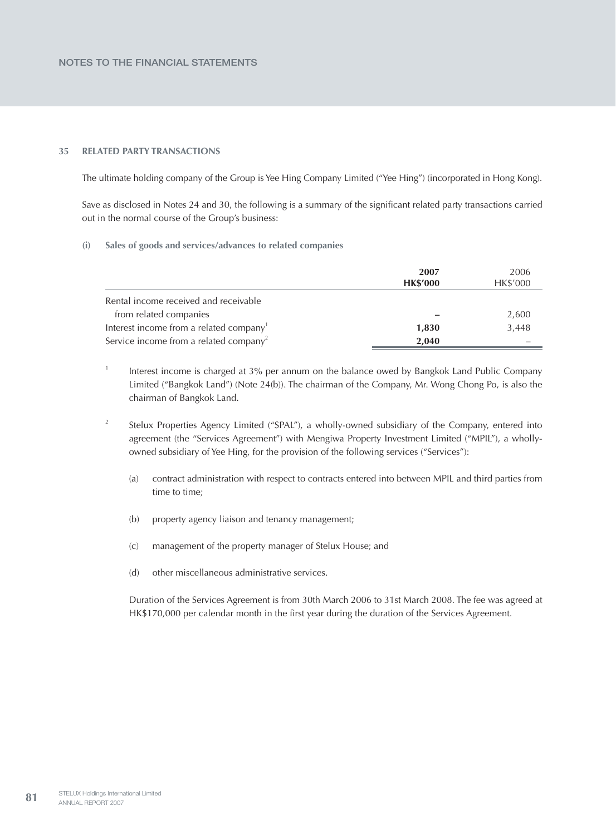#### **35 RELATED PARTY TRANSACTIONS**

The ultimate holding company of the Group is Yee Hing Company Limited ("Yee Hing") (incorporated in Hong Kong).

Save as disclosed in Notes 24 and 30, the following is a summary of the significant related party transactions carried out in the normal course of the Group's business:

#### **(i) Sales of goods and services/advances to related companies**

|                                                     | 2007            | 2006     |
|-----------------------------------------------------|-----------------|----------|
|                                                     | <b>HK\$'000</b> | HK\$'000 |
| Rental income received and receivable               |                 |          |
| from related companies                              |                 | 2,600    |
| Interest income from a related company <sup>1</sup> | 1,830           | 3,448    |
| Service income from a related company <sup>2</sup>  | 2,040           |          |

1 Interest income is charged at 3% per annum on the balance owed by Bangkok Land Public Company Limited ("Bangkok Land") (Note 24(b)). The chairman of the Company, Mr. Wong Chong Po, is also the chairman of Bangkok Land.

- $\overline{2}$  Stelux Properties Agency Limited ("SPAL"), a wholly-owned subsidiary of the Company, entered into agreement (the "Services Agreement") with Mengiwa Property Investment Limited ("MPIL"), a whollyowned subsidiary of Yee Hing, for the provision of the following services ("Services"):
	- (a) contract administration with respect to contracts entered into between MPIL and third parties from time to time;
	- (b) property agency liaison and tenancy management;
	- (c) management of the property manager of Stelux House; and
	- (d) other miscellaneous administrative services.

Duration of the Services Agreement is from 30th March 2006 to 31st March 2008. The fee was agreed at HK\$170,000 per calendar month in the first year during the duration of the Services Agreement.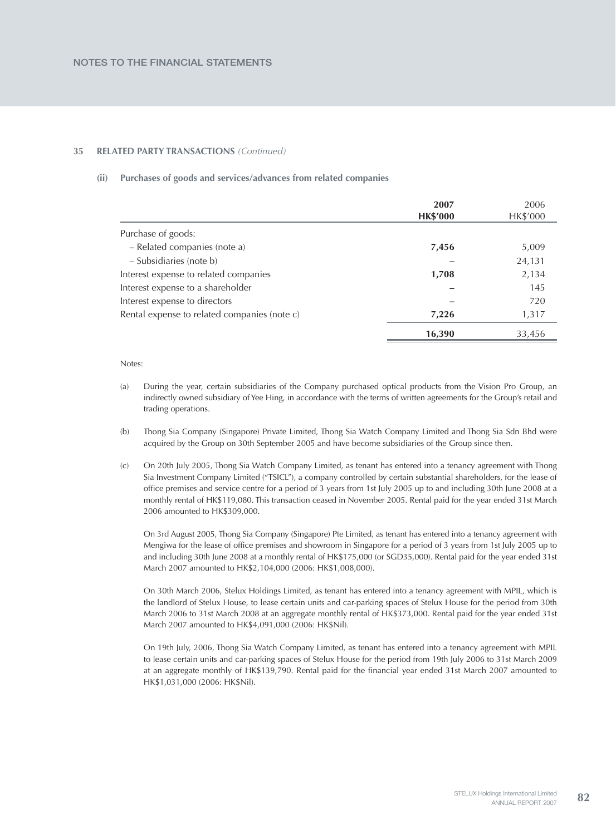#### **35 RELATED PARTY TRANSACTIONS** *(Continued)*

#### **(ii) Purchases of goods and services/advances from related companies**

|                                              | 2007            | 2006     |
|----------------------------------------------|-----------------|----------|
|                                              | <b>HK\$'000</b> | HK\$'000 |
| Purchase of goods:                           |                 |          |
| - Related companies (note a)                 | 7,456           | 5,009    |
| $-$ Subsidiaries (note b)                    |                 | 24,131   |
| Interest expense to related companies        | 1,708           | 2,134    |
| Interest expense to a shareholder            |                 | 145      |
| Interest expense to directors                |                 | 720      |
| Rental expense to related companies (note c) | 7,226           | 1,317    |
|                                              | 16,390          | 33,456   |

#### Notes:

- (a) During the year, certain subsidiaries of the Company purchased optical products from the Vision Pro Group, an indirectly owned subsidiary of Yee Hing, in accordance with the terms of written agreements for the Group's retail and trading operations.
- (b) Thong Sia Company (Singapore) Private Limited, Thong Sia Watch Company Limited and Thong Sia Sdn Bhd were acquired by the Group on 30th September 2005 and have become subsidiaries of the Group since then.
- (c) On 20th July 2005, Thong Sia Watch Company Limited, as tenant has entered into a tenancy agreement with Thong Sia Investment Company Limited ("TSICL"), a company controlled by certain substantial shareholders, for the lease of office premises and service centre for a period of 3 years from 1st July 2005 up to and including 30th June 2008 at a monthly rental of HK\$119,080. This transaction ceased in November 2005. Rental paid for the year ended 31st March 2006 amounted to HK\$309,000.

On 3rd August 2005, Thong Sia Company (Singapore) Pte Limited, as tenant has entered into a tenancy agreement with Mengiwa for the lease of office premises and showroom in Singapore for a period of 3 years from 1st July 2005 up to and including 30th June 2008 at a monthly rental of HK\$175,000 (or SGD35,000). Rental paid for the year ended 31st March 2007 amounted to HK\$2,104,000 (2006: HK\$1,008,000).

On 30th March 2006, Stelux Holdings Limited, as tenant has entered into a tenancy agreement with MPIL, which is the landlord of Stelux House, to lease certain units and car-parking spaces of Stelux House for the period from 30th March 2006 to 31st March 2008 at an aggregate monthly rental of HK\$373,000. Rental paid for the year ended 31st March 2007 amounted to HK\$4,091,000 (2006: HK\$Nil).

On 19th July, 2006, Thong Sia Watch Company Limited, as tenant has entered into a tenancy agreement with MPIL to lease certain units and car-parking spaces of Stelux House for the period from 19th July 2006 to 31st March 2009 at an aggregate monthly of HK\$139,790. Rental paid for the financial year ended 31st March 2007 amounted to HK\$1,031,000 (2006: HK\$Nil).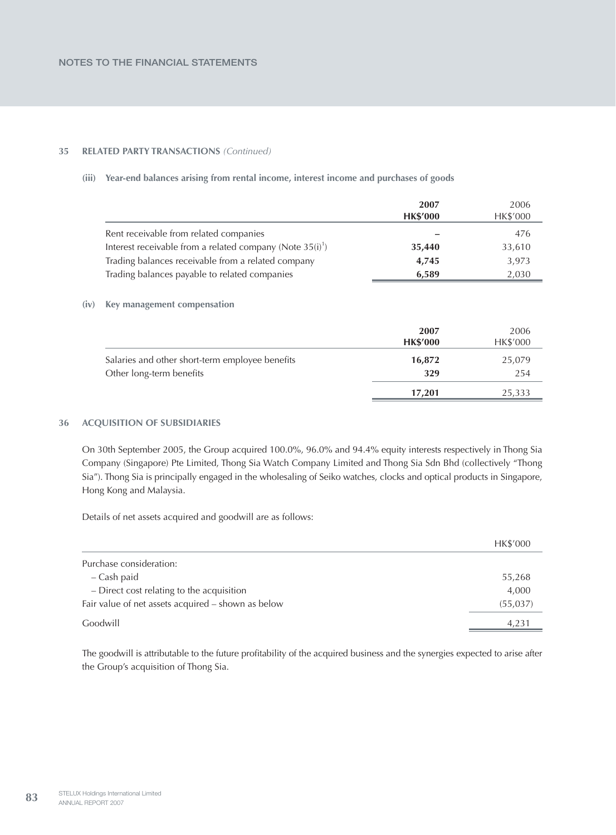## **35 RELATED PARTY TRANSACTIONS** *(Continued)*

#### **(iii) Year-end balances arising from rental income, interest income and purchases of goods**

|                                                              | 2007            | 2006     |
|--------------------------------------------------------------|-----------------|----------|
|                                                              | <b>HK\$'000</b> | HK\$'000 |
| Rent receivable from related companies                       |                 | 476      |
| Interest receivable from a related company (Note $35(i)^1$ ) | 35,440          | 33,610   |
| Trading balances receivable from a related company           | 4,745           | 3,973    |
| Trading balances payable to related companies                | 6,589           | 2,030    |

#### **(iv) Key management compensation**

|                                                                             | 2007<br><b>HK\$'000</b> | 2006<br>HK\$'000 |
|-----------------------------------------------------------------------------|-------------------------|------------------|
| Salaries and other short-term employee benefits<br>Other long-term benefits | 16,872<br>329           | 25,079<br>254    |
|                                                                             | 17.201                  | 25,333           |

## **36 ACQUISITION OF SUBSIDIARIES**

On 30th September 2005, the Group acquired 100.0%, 96.0% and 94.4% equity interests respectively in Thong Sia Company (Singapore) Pte Limited, Thong Sia Watch Company Limited and Thong Sia Sdn Bhd (collectively "Thong Sia"). Thong Sia is principally engaged in the wholesaling of Seiko watches, clocks and optical products in Singapore, Hong Kong and Malaysia.

Details of net assets acquired and goodwill are as follows:

|                                                    | HK\$'000 |
|----------------------------------------------------|----------|
| Purchase consideration:                            |          |
| – Cash paid                                        | 55,268   |
| - Direct cost relating to the acquisition          | 4,000    |
| Fair value of net assets acquired - shown as below | (55,037) |
| Goodwill                                           | 4,231    |

The goodwill is attributable to the future profitability of the acquired business and the synergies expected to arise after the Group's acquisition of Thong Sia.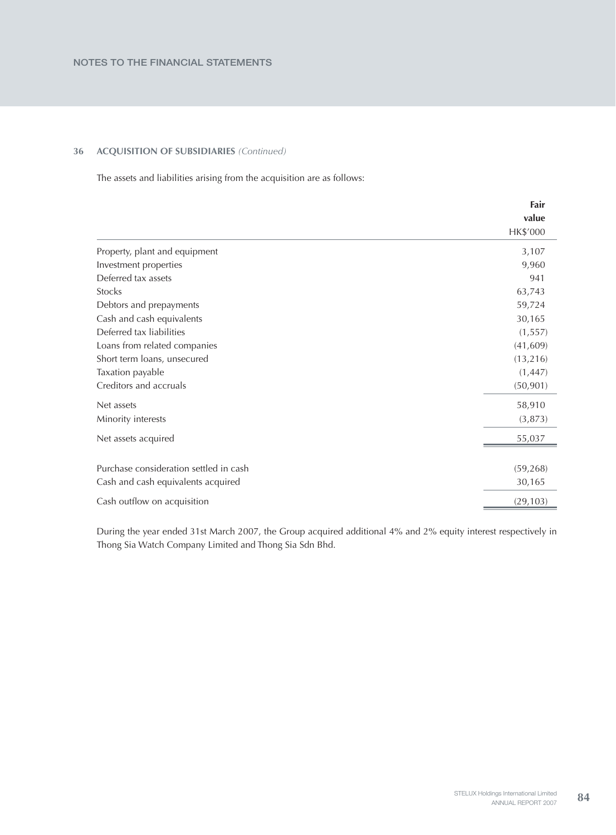## **36 ACQUISITION OF SUBSIDIARIES** *(Continued)*

The assets and liabilities arising from the acquisition are as follows:

|                                        | Fair      |
|----------------------------------------|-----------|
|                                        | value     |
|                                        | HK\$'000  |
| Property, plant and equipment          | 3,107     |
| Investment properties                  | 9,960     |
| Deferred tax assets                    | 941       |
| <b>Stocks</b>                          | 63,743    |
| Debtors and prepayments                | 59,724    |
| Cash and cash equivalents              | 30,165    |
| Deferred tax liabilities               | (1, 557)  |
| Loans from related companies           | (41, 609) |
| Short term loans, unsecured            | (13,216)  |
| Taxation payable                       | (1, 447)  |
| Creditors and accruals                 | (50, 901) |
| Net assets                             | 58,910    |
| Minority interests                     | (3, 873)  |
| Net assets acquired                    | 55,037    |
|                                        |           |
| Purchase consideration settled in cash | (59, 268) |
| Cash and cash equivalents acquired     | 30,165    |
| Cash outflow on acquisition            | (29, 103) |

During the year ended 31st March 2007, the Group acquired additional 4% and 2% equity interest respectively in Thong Sia Watch Company Limited and Thong Sia Sdn Bhd.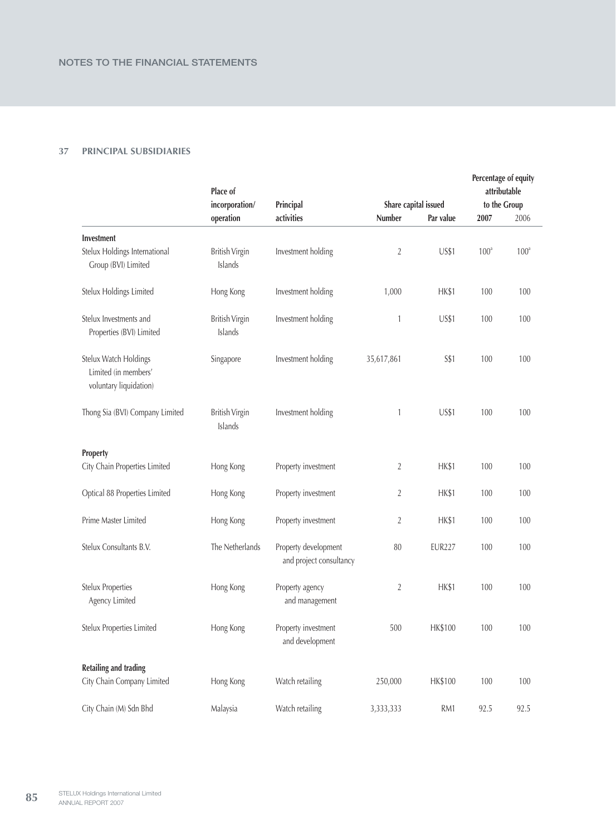## **37 PRINCIPAL SUBSIDIARIES**

|                                                                         | Place of                         |                                                 |                |                      |                  | Percentage of equity<br>attributable |
|-------------------------------------------------------------------------|----------------------------------|-------------------------------------------------|----------------|----------------------|------------------|--------------------------------------|
|                                                                         | incorporation/<br>Principal      |                                                 |                | Share capital issued |                  | to the Group                         |
|                                                                         | operation                        | activities                                      | <b>Number</b>  | Par value            | 2007             | 2006                                 |
| Investment                                                              |                                  |                                                 |                |                      |                  |                                      |
| Stelux Holdings International<br>Group (BVI) Limited                    | <b>British Virgin</b><br>Islands | Investment holding                              | $\overline{2}$ | <b>US\$1</b>         | 100 <sup>a</sup> | 100 <sup>a</sup>                     |
| Stelux Holdings Limited                                                 | Hong Kong                        | Investment holding                              | 1,000          | <b>HK\$1</b>         | 100              | 100                                  |
| Stelux Investments and<br>Properties (BVI) Limited                      | <b>British Virgin</b><br>Islands | Investment holding                              | $\mathbf{1}$   | <b>US\$1</b>         | 100              | 100                                  |
| Stelux Watch Holdings<br>Limited (in members'<br>voluntary liquidation) | Singapore                        | Investment holding                              | 35,617,861     | S\$1                 | 100              | 100                                  |
| Thong Sia (BVI) Company Limited                                         | <b>British Virgin</b><br>Islands | Investment holding                              | $\mathbf{1}$   | <b>US\$1</b>         | 100              | 100                                  |
| Property                                                                |                                  |                                                 |                |                      |                  |                                      |
| City Chain Properties Limited                                           | Hong Kong                        | Property investment                             | $\overline{2}$ | HK\$1                | 100              | 100                                  |
| Optical 88 Properties Limited                                           | Hong Kong                        | Property investment                             | 2              | HK\$1                | 100              | 100                                  |
| Prime Master Limited                                                    | Hong Kong                        | Property investment                             | $\overline{2}$ | <b>HK\$1</b>         | 100              | 100                                  |
| Stelux Consultants B.V.                                                 | The Netherlands                  | Property development<br>and project consultancy | 80             | <b>EUR227</b>        | 100              | 100                                  |
| <b>Stelux Properties</b><br>Agency Limited                              | Hong Kong                        | Property agency<br>and management               | 2              | <b>HK\$1</b>         | 100              | 100                                  |
| Stelux Properties Limited                                               | Hong Kong                        | Property investment<br>and development          | 500            | <b>HK\$100</b>       | 100              | 100                                  |
| <b>Retailing and trading</b>                                            |                                  |                                                 |                |                      |                  |                                      |
| City Chain Company Limited                                              | Hong Kong                        | Watch retailing                                 | 250,000        | <b>HK\$100</b>       | 100              | 100                                  |
| City Chain (M) Sdn Bhd                                                  | Malaysia                         | Watch retailing                                 | 3,333,333      | RM1                  | 92.5             | 92.5                                 |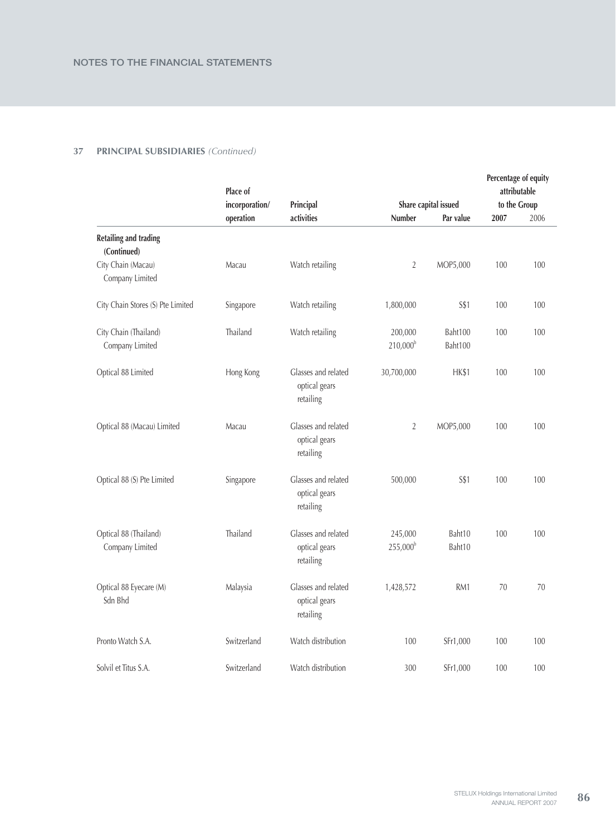## **37 PRINCIPAL SUBSIDIARIES** *(Continued)*

|                                             | Place of                    |                                                   |                              |                      | Percentage of equity<br>attributable |              |
|---------------------------------------------|-----------------------------|---------------------------------------------------|------------------------------|----------------------|--------------------------------------|--------------|
|                                             | incorporation/<br>Principal |                                                   |                              | Share capital issued |                                      | to the Group |
|                                             | operation                   | activities                                        | <b>Number</b>                | Par value            | 2007                                 | 2006         |
| <b>Retailing and trading</b><br>(Continued) |                             |                                                   |                              |                      |                                      |              |
| City Chain (Macau)<br>Company Limited       | Macau                       | Watch retailing                                   | $\sqrt{2}$                   | MOP5,000             | 100                                  | 100          |
| City Chain Stores (S) Pte Limited           | Singapore                   | Watch retailing                                   | 1,800,000                    | S\$1                 | 100                                  | 100          |
| City Chain (Thailand)<br>Company Limited    | Thailand                    | Watch retailing                                   | 200,000<br>$210,000^{\rm b}$ | Baht100<br>Baht100   | 100                                  | 100          |
| Optical 88 Limited                          | Hong Kong                   | Glasses and related<br>optical gears<br>retailing | 30,700,000                   | HK\$1                | 100                                  | 100          |
| Optical 88 (Macau) Limited                  | Macau                       | Glasses and related<br>optical gears<br>retailing | $2\,$                        | MOP5,000             | 100                                  | 100          |
| Optical 88 (S) Pte Limited                  | Singapore                   | Glasses and related<br>optical gears<br>retailing | 500,000                      | S\$1                 | 100                                  | 100          |
| Optical 88 (Thailand)<br>Company Limited    | Thailand                    | Glasses and related<br>optical gears<br>retailing | 245,000<br>$255,000^{\rm b}$ | Baht10<br>Baht10     | 100                                  | 100          |
| Optical 88 Eyecare (M)<br>Sdn Bhd           | Malaysia                    | Glasses and related<br>optical gears<br>retailing | 1,428,572                    | RM1                  | 70                                   | 70           |
| Pronto Watch S.A.                           | Switzerland                 | Watch distribution                                | 100                          | SFr1,000             | 100                                  | 100          |
| Solvil et Titus S.A.                        | Switzerland                 | Watch distribution                                | 300                          | SFr1,000             | 100                                  | 100          |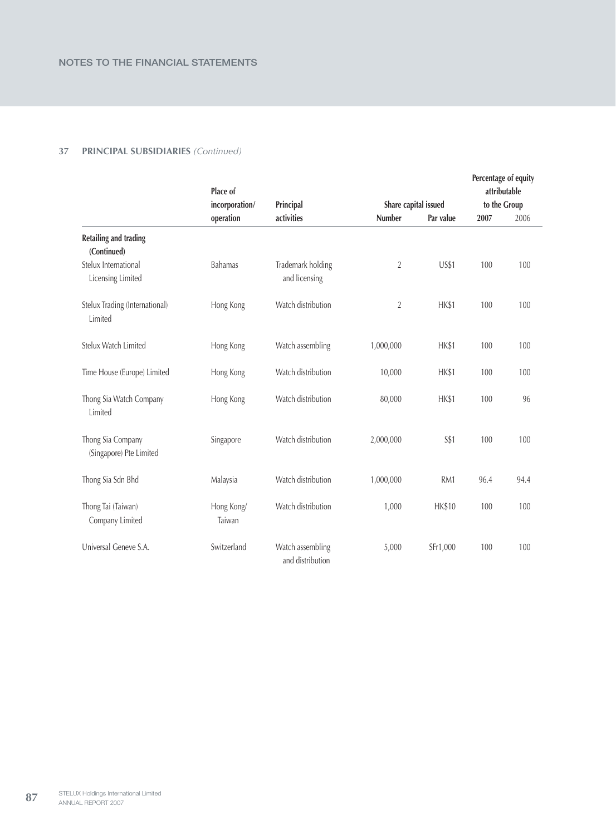## **37 PRINCIPAL SUBSIDIARIES** *(Continued)*

|                                              | Place of             |                                      |                      |               | Percentage of equity<br>attributable |              |
|----------------------------------------------|----------------------|--------------------------------------|----------------------|---------------|--------------------------------------|--------------|
|                                              | incorporation/       | Principal                            | Share capital issued |               |                                      | to the Group |
|                                              | operation            | activities                           | <b>Number</b>        | Par value     | 2007                                 | 2006         |
| <b>Retailing and trading</b><br>(Continued)  |                      |                                      |                      |               |                                      |              |
| Stelux International<br>Licensing Limited    | <b>Bahamas</b>       | Trademark holding<br>and licensing   | 2                    | <b>US\$1</b>  | 100                                  | 100          |
| Stelux Trading (International)<br>Limited    | Hong Kong            | Watch distribution                   | $\overline{2}$       | HK\$1         | 100                                  | 100          |
| Stelux Watch Limited                         | Hong Kong            | Watch assembling                     | 1,000,000            | <b>HK\$1</b>  | 100                                  | 100          |
| Time House (Europe) Limited                  | Hong Kong            | Watch distribution                   | 10,000               | <b>HK\$1</b>  | 100                                  | 100          |
| Thong Sia Watch Company<br>Limited           | Hong Kong            | Watch distribution                   | 80,000               | <b>HK\$1</b>  | 100                                  | 96           |
| Thong Sia Company<br>(Singapore) Pte Limited | Singapore            | Watch distribution                   | 2,000,000            | S\$1          | 100                                  | 100          |
| Thong Sia Sdn Bhd                            | Malaysia             | Watch distribution                   | 1,000,000            | RM1           | 96.4                                 | 94.4         |
| Thong Tai (Taiwan)<br>Company Limited        | Hong Kong/<br>Taiwan | Watch distribution                   | 1,000                | <b>HK\$10</b> | 100                                  | 100          |
| Universal Geneve S.A.                        | Switzerland          | Watch assembling<br>and distribution | 5,000                | SFr1,000      | 100                                  | 100          |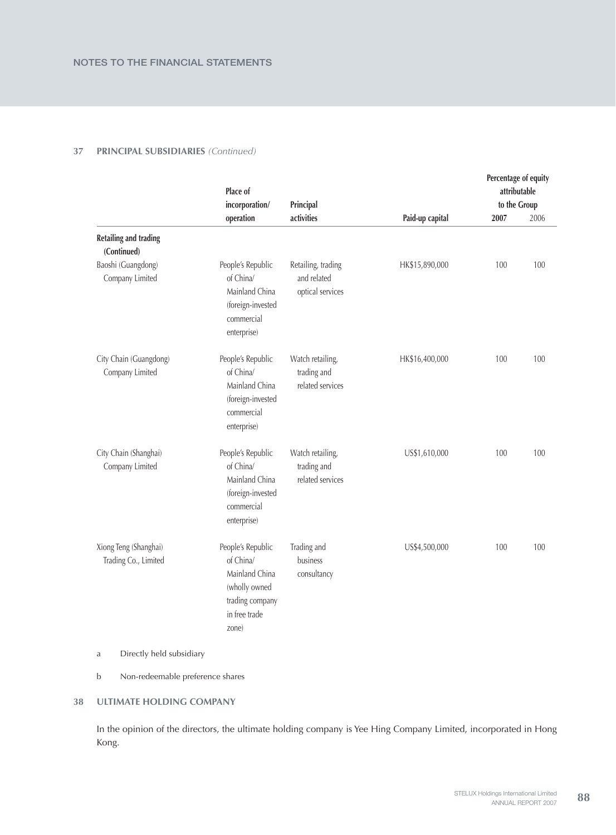## **37 PRINCIPAL SUBSIDIARIES** *(Continued)*

|                                               | Place of<br>incorporation/                                                                                     | Principal                                             |                 |      | Percentage of equity<br>attributable<br>to the Group |
|-----------------------------------------------|----------------------------------------------------------------------------------------------------------------|-------------------------------------------------------|-----------------|------|------------------------------------------------------|
|                                               | operation                                                                                                      | activities                                            | Paid-up capital | 2007 | 2006                                                 |
| <b>Retailing and trading</b><br>(Continued)   |                                                                                                                |                                                       |                 |      |                                                      |
| Baoshi (Guangdong)<br>Company Limited         | People's Republic<br>of China/<br>Mainland China<br>(foreign-invested<br>commercial<br>enterprise)             | Retailing, trading<br>and related<br>optical services | HK\$15,890,000  | 100  | 100                                                  |
| City Chain (Guangdong)<br>Company Limited     | People's Republic<br>of China/<br>Mainland China<br>(foreign-invested<br>commercial<br>enterprise)             | Watch retailing,<br>trading and<br>related services   | HK\$16,400,000  | 100  | 100                                                  |
| City Chain (Shanghai)<br>Company Limited      | People's Republic<br>of China/<br>Mainland China<br>(foreign-invested<br>commercial<br>enterprise)             | Watch retailing,<br>trading and<br>related services   | US\$1,610,000   | 100  | 100                                                  |
| Xiong Teng (Shanghai)<br>Trading Co., Limited | People's Republic<br>of China/<br>Mainland China<br>(wholly owned<br>trading company<br>in free trade<br>zone) | Trading and<br>business<br>consultancy                | US\$4,500,000   | 100  | 100                                                  |

#### a Directly held subsidiary

## b Non-redeemable preference shares

## **38 ULTIMATE HOLDING COMPANY**

In the opinion of the directors, the ultimate holding company is Yee Hing Company Limited, incorporated in Hong Kong.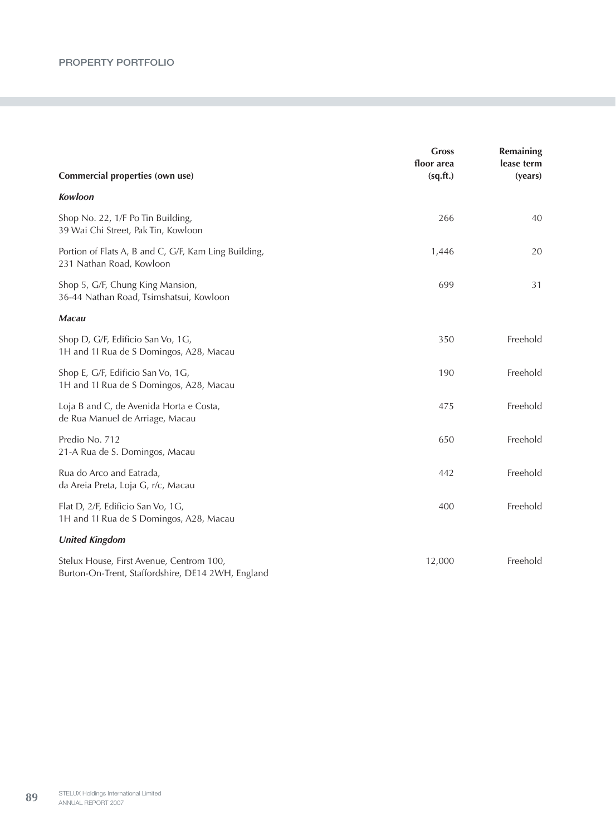| Commercial properties (own use)                                                               | Gross<br>floor area<br>(sq.fit.) | Remaining<br>lease term<br>(years) |
|-----------------------------------------------------------------------------------------------|----------------------------------|------------------------------------|
| Kowloon                                                                                       |                                  |                                    |
| Shop No. 22, 1/F Po Tin Building,<br>39 Wai Chi Street, Pak Tin, Kowloon                      | 266                              | 40                                 |
| Portion of Flats A, B and C, G/F, Kam Ling Building,<br>231 Nathan Road, Kowloon              | 1,446                            | 20                                 |
| Shop 5, G/F, Chung King Mansion,<br>36-44 Nathan Road, Tsimshatsui, Kowloon                   | 699                              | 31                                 |
| <b>Macau</b>                                                                                  |                                  |                                    |
| Shop D, G/F, Edificio San Vo, 1G,<br>1H and 1I Rua de S Domingos, A28, Macau                  | 350                              | Freehold                           |
| Shop E, G/F, Edificio San Vo, 1G,<br>1H and 1I Rua de S Domingos, A28, Macau                  | 190                              | Freehold                           |
| Loja B and C, de Avenida Horta e Costa,<br>de Rua Manuel de Arriage, Macau                    | 475                              | Freehold                           |
| Predio No. 712<br>21-A Rua de S. Domingos, Macau                                              | 650                              | Freehold                           |
| Rua do Arco and Eatrada,<br>da Areia Preta, Loja G, r/c, Macau                                | 442                              | Freehold                           |
| Flat D, 2/F, Edificio San Vo, 1G,<br>1H and 1I Rua de S Domingos, A28, Macau                  | 400                              | Freehold                           |
| <b>United Kingdom</b>                                                                         |                                  |                                    |
| Stelux House, First Avenue, Centrom 100,<br>Burton-On-Trent, Staffordshire, DE14 2WH, England | 12,000                           | Freehold                           |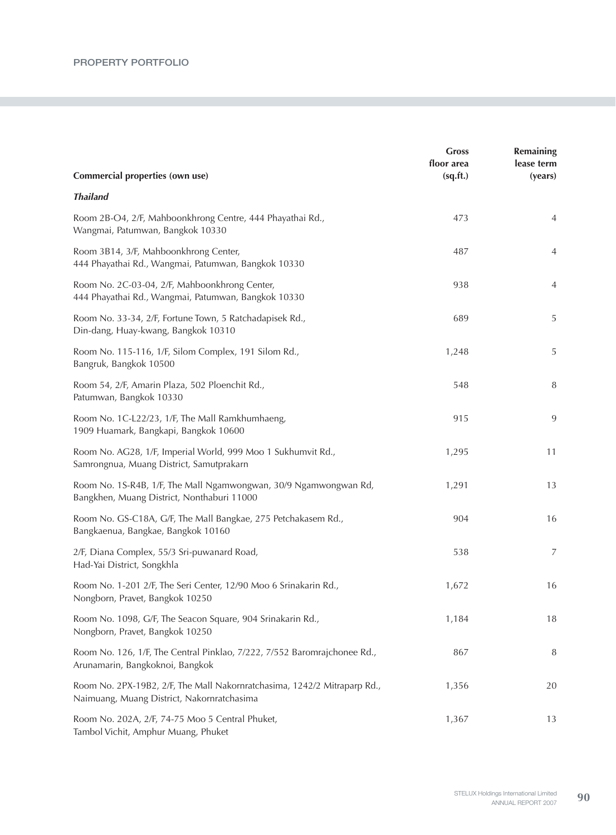|                                                                                                                        | <b>Gross</b><br>floor area | <b>Remaining</b><br>lease term |
|------------------------------------------------------------------------------------------------------------------------|----------------------------|--------------------------------|
| Commercial properties (own use)                                                                                        | (sq.fit.)                  | (years)                        |
| <b>Thailand</b>                                                                                                        |                            |                                |
| Room 2B-O4, 2/F, Mahboonkhrong Centre, 444 Phayathai Rd.,<br>Wangmai, Patumwan, Bangkok 10330                          | 473                        | 4                              |
| Room 3B14, 3/F, Mahboonkhrong Center,<br>444 Phayathai Rd., Wangmai, Patumwan, Bangkok 10330                           | 487                        | 4                              |
| Room No. 2C-03-04, 2/F, Mahboonkhrong Center,<br>444 Phayathai Rd., Wangmai, Patumwan, Bangkok 10330                   | 938                        | 4                              |
| Room No. 33-34, 2/F, Fortune Town, 5 Ratchadapisek Rd.,<br>Din-dang, Huay-kwang, Bangkok 10310                         | 689                        | 5                              |
| Room No. 115-116, 1/F, Silom Complex, 191 Silom Rd.,<br>Bangruk, Bangkok 10500                                         | 1,248                      | 5                              |
| Room 54, 2/F, Amarin Plaza, 502 Ploenchit Rd.,<br>Patumwan, Bangkok 10330                                              | 548                        | 8                              |
| Room No. 1C-L22/23, 1/F, The Mall Ramkhumhaeng,<br>1909 Huamark, Bangkapi, Bangkok 10600                               | 915                        | 9                              |
| Room No. AG28, 1/F, Imperial World, 999 Moo 1 Sukhumvit Rd.,<br>Samrongnua, Muang District, Samutprakarn               | 1,295                      | 11                             |
| Room No. 1S-R4B, 1/F, The Mall Ngamwongwan, 30/9 Ngamwongwan Rd,<br>Bangkhen, Muang District, Nonthaburi 11000         | 1,291                      | 13                             |
| Room No. GS-C18A, G/F, The Mall Bangkae, 275 Petchakasem Rd.,<br>Bangkaenua, Bangkae, Bangkok 10160                    | 904                        | 16                             |
| 2/F, Diana Complex, 55/3 Sri-puwanard Road,<br>Had-Yai District, Songkhla                                              | 538                        | $\overline{7}$                 |
| Room No. 1-201 2/F, The Seri Center, 12/90 Moo 6 Srinakarin Rd.,<br>Nongborn, Pravet, Bangkok 10250                    | 1,672                      | 16                             |
| Room No. 1098, G/F, The Seacon Square, 904 Srinakarin Rd.,<br>Nongborn, Pravet, Bangkok 10250                          | 1,184                      | 18                             |
| Room No. 126, 1/F, The Central Pinklao, 7/222, 7/552 Baromrajchonee Rd.,<br>Arunamarin, Bangkoknoi, Bangkok            | 867                        | 8                              |
| Room No. 2PX-19B2, 2/F, The Mall Nakornratchasima, 1242/2 Mitraparp Rd.,<br>Naimuang, Muang District, Nakornratchasima | 1,356                      | 20                             |
| Room No. 202A, 2/F, 74-75 Moo 5 Central Phuket,<br>Tambol Vichit, Amphur Muang, Phuket                                 | 1,367                      | 13                             |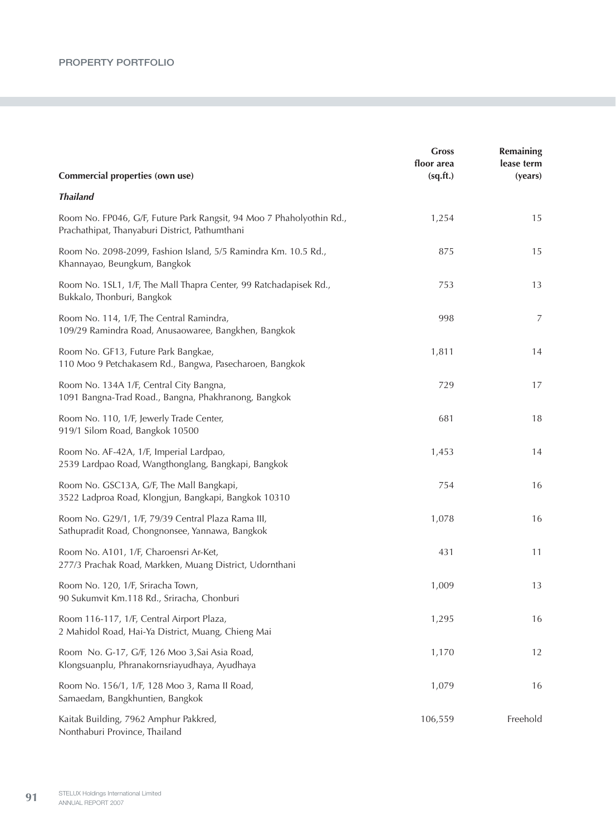| Commercial properties (own use)                                                                                        | <b>Gross</b><br>floor area<br>(sq.fit.) | <b>Remaining</b><br>lease term<br>(years) |
|------------------------------------------------------------------------------------------------------------------------|-----------------------------------------|-------------------------------------------|
| <b>Thailand</b>                                                                                                        |                                         |                                           |
| Room No. FP046, G/F, Future Park Rangsit, 94 Moo 7 Phaholyothin Rd.,<br>Prachathipat, Thanyaburi District, Pathumthani | 1,254                                   | 15                                        |
| Room No. 2098-2099, Fashion Island, 5/5 Ramindra Km. 10.5 Rd.,<br>Khannayao, Beungkum, Bangkok                         | 875                                     | 15                                        |
| Room No. 1SL1, 1/F, The Mall Thapra Center, 99 Ratchadapisek Rd.,<br>Bukkalo, Thonburi, Bangkok                        | 753                                     | 13                                        |
| Room No. 114, 1/F, The Central Ramindra,<br>109/29 Ramindra Road, Anusaowaree, Bangkhen, Bangkok                       | 998                                     | 7                                         |
| Room No. GF13, Future Park Bangkae,<br>110 Moo 9 Petchakasem Rd., Bangwa, Pasecharoen, Bangkok                         | 1,811                                   | 14                                        |
| Room No. 134A 1/F, Central City Bangna,<br>1091 Bangna-Trad Road., Bangna, Phakhranong, Bangkok                        | 729                                     | 17                                        |
| Room No. 110, 1/F, Jewerly Trade Center,<br>919/1 Silom Road, Bangkok 10500                                            | 681                                     | 18                                        |
| Room No. AF-42A, 1/F, Imperial Lardpao,<br>2539 Lardpao Road, Wangthonglang, Bangkapi, Bangkok                         | 1,453                                   | 14                                        |
| Room No. GSC13A, G/F, The Mall Bangkapi,<br>3522 Ladproa Road, Klongjun, Bangkapi, Bangkok 10310                       | 754                                     | 16                                        |
| Room No. G29/1, 1/F, 79/39 Central Plaza Rama III,<br>Sathupradit Road, Chongnonsee, Yannawa, Bangkok                  | 1,078                                   | 16                                        |
| Room No. A101, 1/F, Charoensri Ar-Ket,<br>277/3 Prachak Road, Markken, Muang District, Udornthani                      | 431                                     | 11                                        |
| Room No. 120, 1/F, Sriracha Town,<br>90 Sukumvit Km.118 Rd., Sriracha, Chonburi                                        | 1,009                                   | 13                                        |
| Room 116-117, 1/F, Central Airport Plaza,<br>2 Mahidol Road, Hai-Ya District, Muang, Chieng Mai                        | 1,295                                   | 16                                        |
| Room No. G-17, G/F, 126 Moo 3, Sai Asia Road,<br>Klongsuanplu, Phranakornsriayudhaya, Ayudhaya                         | 1,170                                   | 12                                        |
| Room No. 156/1, 1/F, 128 Moo 3, Rama II Road,<br>Samaedam, Bangkhuntien, Bangkok                                       | 1,079                                   | 16                                        |
| Kaitak Building, 7962 Amphur Pakkred,<br>Nonthaburi Province, Thailand                                                 | 106,559                                 | Freehold                                  |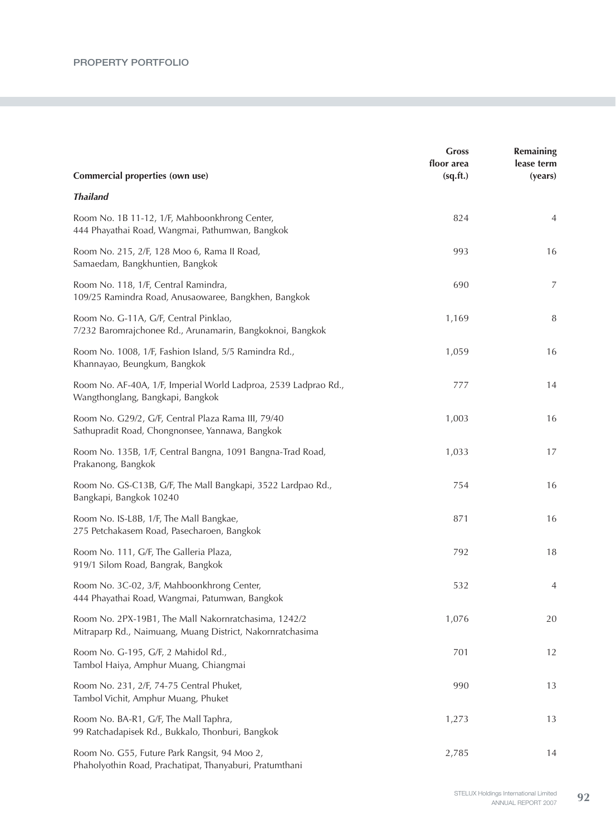| Commercial properties (own use)                                                                                   | <b>Gross</b><br>floor area<br>(sq.fit.) | <b>Remaining</b><br>lease term<br>(years) |
|-------------------------------------------------------------------------------------------------------------------|-----------------------------------------|-------------------------------------------|
| <b>Thailand</b>                                                                                                   |                                         |                                           |
| Room No. 1B 11-12, 1/F, Mahboonkhrong Center,<br>444 Phayathai Road, Wangmai, Pathumwan, Bangkok                  | 824                                     | 4                                         |
| Room No. 215, 2/F, 128 Moo 6, Rama II Road,<br>Samaedam, Bangkhuntien, Bangkok                                    | 993                                     | 16                                        |
| Room No. 118, 1/F, Central Ramindra,<br>109/25 Ramindra Road, Anusaowaree, Bangkhen, Bangkok                      | 690                                     | 7                                         |
| Room No. G-11A, G/F, Central Pinklao,<br>7/232 Baromrajchonee Rd., Arunamarin, Bangkoknoi, Bangkok                | 1,169                                   | 8                                         |
| Room No. 1008, 1/F, Fashion Island, 5/5 Ramindra Rd.,<br>Khannayao, Beungkum, Bangkok                             | 1,059                                   | 16                                        |
| Room No. AF-40A, 1/F, Imperial World Ladproa, 2539 Ladprao Rd.,<br>Wangthonglang, Bangkapi, Bangkok               | 777                                     | 14                                        |
| Room No. G29/2, G/F, Central Plaza Rama III, 79/40<br>Sathupradit Road, Chongnonsee, Yannawa, Bangkok             | 1,003                                   | 16                                        |
| Room No. 135B, 1/F, Central Bangna, 1091 Bangna-Trad Road,<br>Prakanong, Bangkok                                  | 1,033                                   | 17                                        |
| Room No. GS-C13B, G/F, The Mall Bangkapi, 3522 Lardpao Rd.,<br>Bangkapi, Bangkok 10240                            | 754                                     | 16                                        |
| Room No. IS-L8B, 1/F, The Mall Bangkae,<br>275 Petchakasem Road, Pasecharoen, Bangkok                             | 871                                     | 16                                        |
| Room No. 111, G/F, The Galleria Plaza,<br>919/1 Silom Road, Bangrak, Bangkok                                      | 792                                     | 18                                        |
| Room No. 3C-02, 3/F, Mahboonkhrong Center,<br>444 Phayathai Road, Wangmai, Patumwan, Bangkok                      | 532                                     | 4                                         |
| Room No. 2PX-19B1, The Mall Nakornratchasima, 1242/2<br>Mitraparp Rd., Naimuang, Muang District, Nakornratchasima | 1,076                                   | 20                                        |
| Room No. G-195, G/F, 2 Mahidol Rd.,<br>Tambol Haiya, Amphur Muang, Chiangmai                                      | 701                                     | 12                                        |
| Room No. 231, 2/F, 74-75 Central Phuket,<br>Tambol Vichit, Amphur Muang, Phuket                                   | 990                                     | 13                                        |
| Room No. BA-R1, G/F, The Mall Taphra,<br>99 Ratchadapisek Rd., Bukkalo, Thonburi, Bangkok                         | 1,273                                   | 13                                        |
| Room No. G55, Future Park Rangsit, 94 Moo 2,<br>Phaholyothin Road, Prachatipat, Thanyaburi, Pratumthani           | 2,785                                   | 14                                        |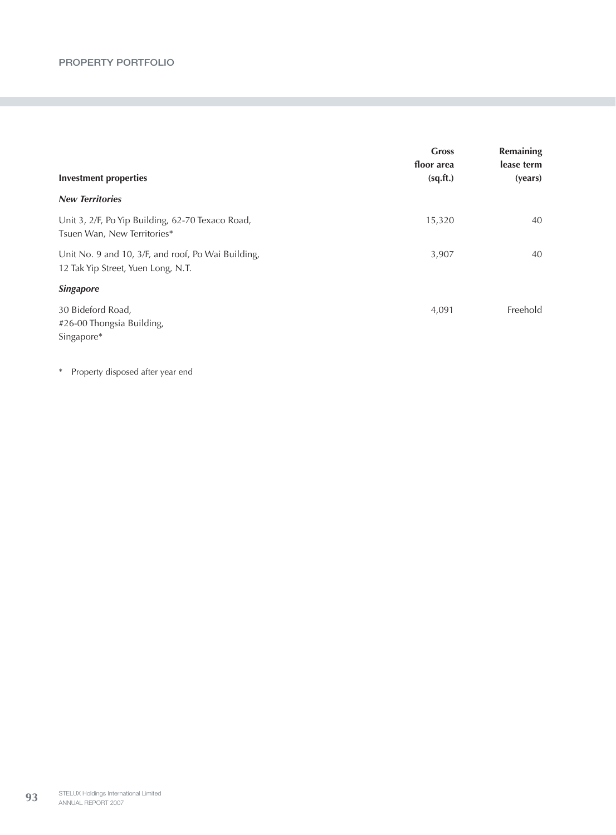|                                                                                          | <b>Gross</b><br>floor area | <b>Remaining</b><br>lease term |
|------------------------------------------------------------------------------------------|----------------------------|--------------------------------|
| <b>Investment properties</b>                                                             | (sq.fit.)                  | (years)                        |
| <b>New Territories</b>                                                                   |                            |                                |
| Unit 3, 2/F, Po Yip Building, 62-70 Texaco Road,<br>Tsuen Wan, New Territories*          | 15,320                     | 40                             |
| Unit No. 9 and 10, 3/F, and roof, Po Wai Building,<br>12 Tak Yip Street, Yuen Long, N.T. | 3,907                      | 40                             |
| <b>Singapore</b>                                                                         |                            |                                |
| 30 Bideford Road,<br>#26-00 Thongsia Building,<br>Singapore*                             | 4,091                      | Freehold                       |

\* Property disposed after year end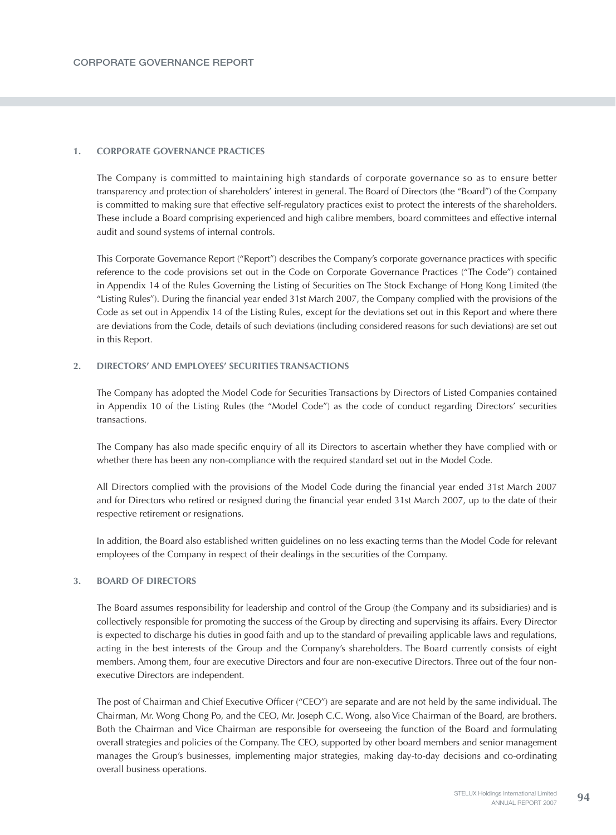## **1. CORPORATE GOVERNANCE PRACTICES**

The Company is committed to maintaining high standards of corporate governance so as to ensure better transparency and protection of shareholders' interest in general. The Board of Directors (the "Board") of the Company is committed to making sure that effective self-regulatory practices exist to protect the interests of the shareholders. These include a Board comprising experienced and high calibre members, board committees and effective internal audit and sound systems of internal controls.

This Corporate Governance Report ("Report") describes the Company's corporate governance practices with specific reference to the code provisions set out in the Code on Corporate Governance Practices ("The Code") contained in Appendix 14 of the Rules Governing the Listing of Securities on The Stock Exchange of Hong Kong Limited (the "Listing Rules"). During the financial year ended 31st March 2007, the Company complied with the provisions of the Code as set out in Appendix 14 of the Listing Rules, except for the deviations set out in this Report and where there are deviations from the Code, details of such deviations (including considered reasons for such deviations) are set out in this Report.

## **2. DIRECTORS' AND EMPLOYEES' SECURITIES TRANSACTIONS**

The Company has adopted the Model Code for Securities Transactions by Directors of Listed Companies contained in Appendix 10 of the Listing Rules (the "Model Code") as the code of conduct regarding Directors' securities transactions.

The Company has also made specific enquiry of all its Directors to ascertain whether they have complied with or whether there has been any non-compliance with the required standard set out in the Model Code.

All Directors complied with the provisions of the Model Code during the financial year ended 31st March 2007 and for Directors who retired or resigned during the financial year ended 31st March 2007, up to the date of their respective retirement or resignations.

In addition, the Board also established written guidelines on no less exacting terms than the Model Code for relevant employees of the Company in respect of their dealings in the securities of the Company.

## **3. BOARD OF DIRECTORS**

The Board assumes responsibility for leadership and control of the Group (the Company and its subsidiaries) and is collectively responsible for promoting the success of the Group by directing and supervising its affairs. Every Director is expected to discharge his duties in good faith and up to the standard of prevailing applicable laws and regulations, acting in the best interests of the Group and the Company's shareholders. The Board currently consists of eight members. Among them, four are executive Directors and four are non-executive Directors. Three out of the four nonexecutive Directors are independent.

The post of Chairman and Chief Executive Officer ("CEO") are separate and are not held by the same individual. The Chairman, Mr. Wong Chong Po, and the CEO, Mr. Joseph C.C. Wong, also Vice Chairman of the Board, are brothers. Both the Chairman and Vice Chairman are responsible for overseeing the function of the Board and formulating overall strategies and policies of the Company. The CEO, supported by other board members and senior management manages the Group's businesses, implementing major strategies, making day-to-day decisions and co-ordinating overall business operations.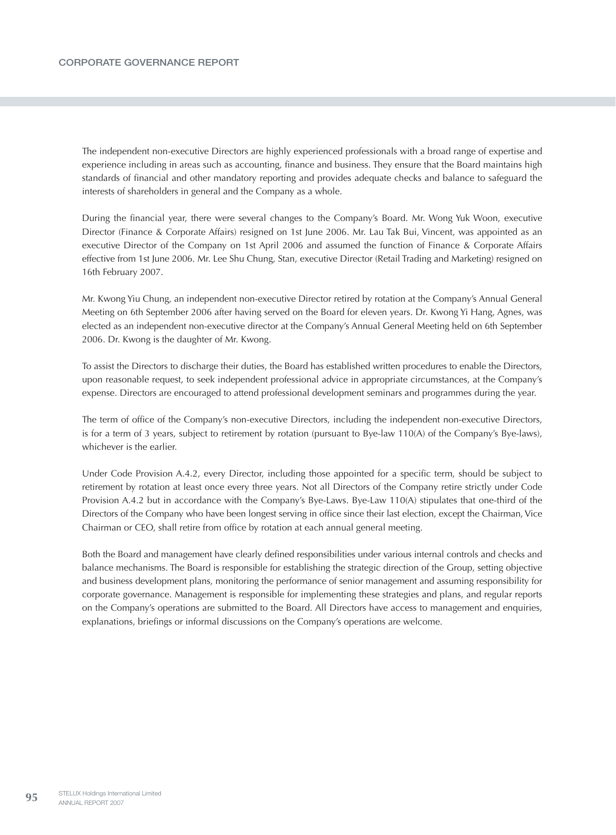The independent non-executive Directors are highly experienced professionals with a broad range of expertise and experience including in areas such as accounting, finance and business. They ensure that the Board maintains high standards of financial and other mandatory reporting and provides adequate checks and balance to safeguard the interests of shareholders in general and the Company as a whole.

During the financial year, there were several changes to the Company's Board. Mr. Wong Yuk Woon, executive Director (Finance & Corporate Affairs) resigned on 1st June 2006. Mr. Lau Tak Bui, Vincent, was appointed as an executive Director of the Company on 1st April 2006 and assumed the function of Finance & Corporate Affairs effective from 1st June 2006. Mr. Lee Shu Chung, Stan, executive Director (Retail Trading and Marketing) resigned on 16th February 2007.

Mr. Kwong Yiu Chung, an independent non-executive Director retired by rotation at the Company's Annual General Meeting on 6th September 2006 after having served on the Board for eleven years. Dr. Kwong Yi Hang, Agnes, was elected as an independent non-executive director at the Company's Annual General Meeting held on 6th September 2006. Dr. Kwong is the daughter of Mr. Kwong.

To assist the Directors to discharge their duties, the Board has established written procedures to enable the Directors, upon reasonable request, to seek independent professional advice in appropriate circumstances, at the Company's expense. Directors are encouraged to attend professional development seminars and programmes during the year.

The term of office of the Company's non-executive Directors, including the independent non-executive Directors, is for a term of 3 years, subject to retirement by rotation (pursuant to Bye-law 110(A) of the Company's Bye-laws), whichever is the earlier.

Under Code Provision A.4.2, every Director, including those appointed for a specific term, should be subject to retirement by rotation at least once every three years. Not all Directors of the Company retire strictly under Code Provision A.4.2 but in accordance with the Company's Bye-Laws. Bye-Law 110(A) stipulates that one-third of the Directors of the Company who have been longest serving in office since their last election, except the Chairman, Vice Chairman or CEO, shall retire from office by rotation at each annual general meeting.

Both the Board and management have clearly defined responsibilities under various internal controls and checks and balance mechanisms. The Board is responsible for establishing the strategic direction of the Group, setting objective and business development plans, monitoring the performance of senior management and assuming responsibility for corporate governance. Management is responsible for implementing these strategies and plans, and regular reports on the Company's operations are submitted to the Board. All Directors have access to management and enquiries, explanations, briefings or informal discussions on the Company's operations are welcome.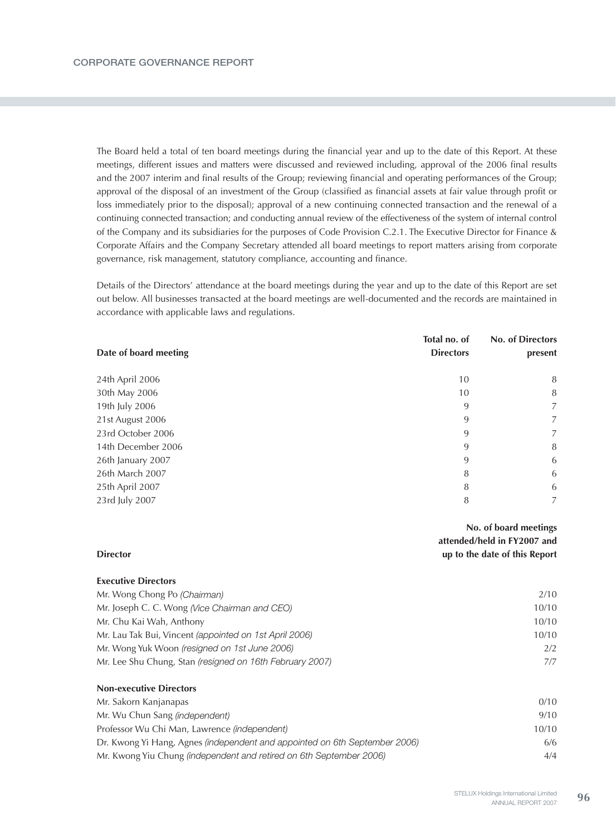The Board held a total of ten board meetings during the financial year and up to the date of this Report. At these meetings, different issues and matters were discussed and reviewed including, approval of the 2006 final results and the 2007 interim and final results of the Group; reviewing financial and operating performances of the Group; approval of the disposal of an investment of the Group (classified as financial assets at fair value through profit or loss immediately prior to the disposal); approval of a new continuing connected transaction and the renewal of a continuing connected transaction; and conducting annual review of the effectiveness of the system of internal control of the Company and its subsidiaries for the purposes of Code Provision C.2.1. The Executive Director for Finance & Corporate Affairs and the Company Secretary attended all board meetings to report matters arising from corporate governance, risk management, statutory compliance, accounting and finance.

Details of the Directors' attendance at the board meetings during the year and up to the date of this Report are set out below. All businesses transacted at the board meetings are well-documented and the records are maintained in accordance with applicable laws and regulations.

| Date of board meeting | Total no. of<br><b>Directors</b> | <b>No. of Directors</b><br>present |
|-----------------------|----------------------------------|------------------------------------|
| 24th April 2006       | 10                               | 8                                  |
| 30th May 2006         | 10                               | 8                                  |
| 19th July 2006        | 9                                | 7                                  |
| 21st August 2006      | 9                                | 7                                  |
| 23rd October 2006     | 9                                | 7                                  |
| 14th December 2006    | 9                                | 8                                  |
| 26th January 2007     | 9                                | 6                                  |
| 26th March 2007       | 8                                | 6                                  |
| 25th April 2007       | 8                                | 6                                  |
| 23rd July 2007        | 8                                | 7                                  |

|                 | No. of board meetings         |
|-----------------|-------------------------------|
|                 | attended/held in FY2007 and   |
| <b>Director</b> | up to the date of this Report |

| <b>Executive Directors</b> |
|----------------------------|
|                            |

| Mr. Wong Chong Po (Chairman)                             | 2/10  |
|----------------------------------------------------------|-------|
| Mr. Joseph C. C. Wong (Vice Chairman and CEO)            | 10/10 |
| Mr. Chu Kai Wah, Anthony                                 | 10/10 |
| Mr. Lau Tak Bui, Vincent (appointed on 1st April 2006)   | 10/10 |
| Mr. Wong Yuk Woon (resigned on 1st June 2006)            | 2/2   |
| Mr. Lee Shu Chung, Stan (resigned on 16th February 2007) | 7/7   |
|                                                          |       |

| <b>Non-executive Directors</b>                                             |       |
|----------------------------------------------------------------------------|-------|
| Mr. Sakorn Kanjanapas                                                      | 0/10  |
| Mr. Wu Chun Sang (independent)                                             | 9/10  |
| Professor Wu Chi Man, Lawrence <i>(independent)</i>                        | 10/10 |
| Dr. Kwong Yi Hang, Agnes (independent and appointed on 6th September 2006) | 6/6   |
| Mr. Kwong Yiu Chung (independent and retired on 6th September 2006)        | 4/4   |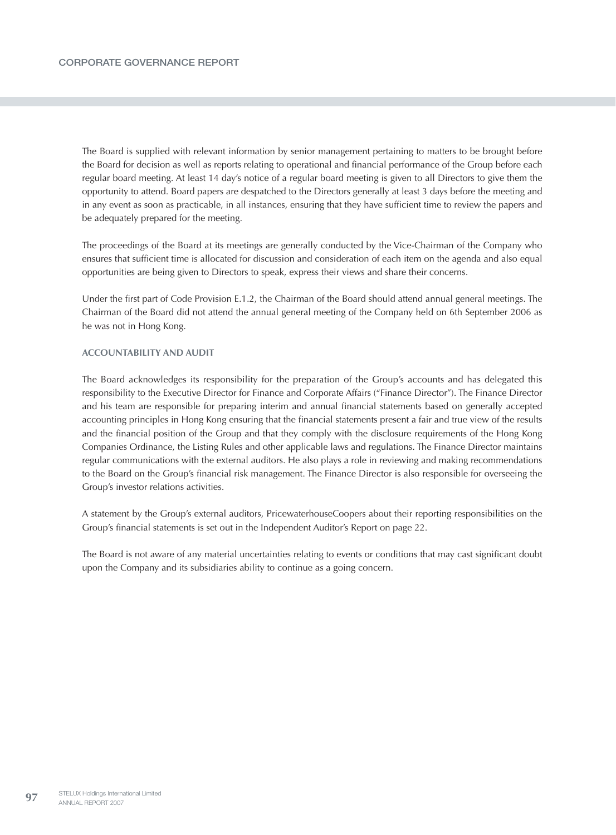The Board is supplied with relevant information by senior management pertaining to matters to be brought before the Board for decision as well as reports relating to operational and financial performance of the Group before each regular board meeting. At least 14 day's notice of a regular board meeting is given to all Directors to give them the opportunity to attend. Board papers are despatched to the Directors generally at least 3 days before the meeting and in any event as soon as practicable, in all instances, ensuring that they have sufficient time to review the papers and be adequately prepared for the meeting.

The proceedings of the Board at its meetings are generally conducted by the Vice-Chairman of the Company who ensures that sufficient time is allocated for discussion and consideration of each item on the agenda and also equal opportunities are being given to Directors to speak, express their views and share their concerns.

Under the first part of Code Provision E.1.2, the Chairman of the Board should attend annual general meetings. The Chairman of the Board did not attend the annual general meeting of the Company held on 6th September 2006 as he was not in Hong Kong.

#### **ACCOUNTABILITY AND AUDIT**

The Board acknowledges its responsibility for the preparation of the Group's accounts and has delegated this responsibility to the Executive Director for Finance and Corporate Affairs ("Finance Director"). The Finance Director and his team are responsible for preparing interim and annual financial statements based on generally accepted accounting principles in Hong Kong ensuring that the financial statements present a fair and true view of the results and the financial position of the Group and that they comply with the disclosure requirements of the Hong Kong Companies Ordinance, the Listing Rules and other applicable laws and regulations. The Finance Director maintains regular communications with the external auditors. He also plays a role in reviewing and making recommendations to the Board on the Group's financial risk management. The Finance Director is also responsible for overseeing the Group's investor relations activities.

A statement by the Group's external auditors, PricewaterhouseCoopers about their reporting responsibilities on the Group's financial statements is set out in the Independent Auditor's Report on page 22.

The Board is not aware of any material uncertainties relating to events or conditions that may cast significant doubt upon the Company and its subsidiaries ability to continue as a going concern.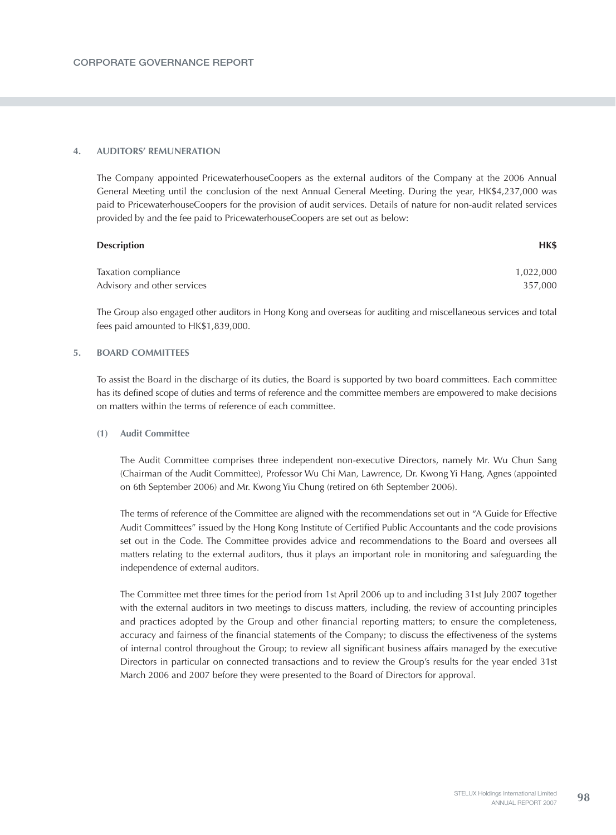#### **4. AUDITORS' REMUNERATION**

The Company appointed PricewaterhouseCoopers as the external auditors of the Company at the 2006 Annual General Meeting until the conclusion of the next Annual General Meeting. During the year, HK\$4,237,000 was paid to PricewaterhouseCoopers for the provision of audit services. Details of nature for non-audit related services provided by and the fee paid to PricewaterhouseCoopers are set out as below:

| <b>Description</b>          | HK\$      |
|-----------------------------|-----------|
| Taxation compliance         | 1,022,000 |
| Advisory and other services | 357,000   |

The Group also engaged other auditors in Hong Kong and overseas for auditing and miscellaneous services and total fees paid amounted to HK\$1,839,000.

#### **5. BOARD COMMITTEES**

To assist the Board in the discharge of its duties, the Board is supported by two board committees. Each committee has its defined scope of duties and terms of reference and the committee members are empowered to make decisions on matters within the terms of reference of each committee.

#### **(1) Audit Committee**

The Audit Committee comprises three independent non-executive Directors, namely Mr. Wu Chun Sang (Chairman of the Audit Committee), Professor Wu Chi Man, Lawrence, Dr. Kwong Yi Hang, Agnes (appointed on 6th September 2006) and Mr. Kwong Yiu Chung (retired on 6th September 2006).

The terms of reference of the Committee are aligned with the recommendations set out in "A Guide for Effective Audit Committees" issued by the Hong Kong Institute of Certified Public Accountants and the code provisions set out in the Code. The Committee provides advice and recommendations to the Board and oversees all matters relating to the external auditors, thus it plays an important role in monitoring and safeguarding the independence of external auditors.

The Committee met three times for the period from 1st April 2006 up to and including 31st July 2007 together with the external auditors in two meetings to discuss matters, including, the review of accounting principles and practices adopted by the Group and other financial reporting matters; to ensure the completeness, accuracy and fairness of the financial statements of the Company; to discuss the effectiveness of the systems of internal control throughout the Group; to review all significant business affairs managed by the executive Directors in particular on connected transactions and to review the Group's results for the year ended 31st March 2006 and 2007 before they were presented to the Board of Directors for approval.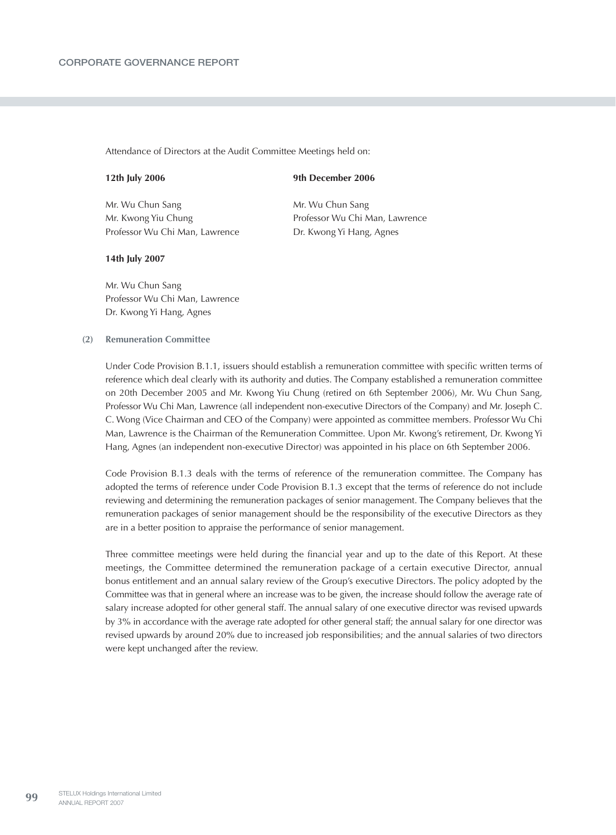Attendance of Directors at the Audit Committee Meetings held on:

#### **12th July 2006 9th December 2006**

Mr. Wu Chun Sang Mr. Wu Chun Sang Mr. Kwong Yiu Chung **Professor Wu Chi Man**, Lawrence Professor Wu Chi Man, Lawrence Dr. Kwong Yi Hang, Agnes

#### **14th July 2007**

Mr. Wu Chun Sang Professor Wu Chi Man, Lawrence Dr. Kwong Yi Hang, Agnes

#### **(2) Remuneration Committee**

Under Code Provision B.1.1, issuers should establish a remuneration committee with specific written terms of reference which deal clearly with its authority and duties. The Company established a remuneration committee on 20th December 2005 and Mr. Kwong Yiu Chung (retired on 6th September 2006), Mr. Wu Chun Sang, Professor Wu Chi Man, Lawrence (all independent non-executive Directors of the Company) and Mr. Joseph C. C. Wong (Vice Chairman and CEO of the Company) were appointed as committee members. Professor Wu Chi Man, Lawrence is the Chairman of the Remuneration Committee. Upon Mr. Kwong's retirement, Dr. Kwong Yi Hang, Agnes (an independent non-executive Director) was appointed in his place on 6th September 2006.

Code Provision B.1.3 deals with the terms of reference of the remuneration committee. The Company has adopted the terms of reference under Code Provision B.1.3 except that the terms of reference do not include reviewing and determining the remuneration packages of senior management. The Company believes that the remuneration packages of senior management should be the responsibility of the executive Directors as they are in a better position to appraise the performance of senior management.

Three committee meetings were held during the financial year and up to the date of this Report. At these meetings, the Committee determined the remuneration package of a certain executive Director, annual bonus entitlement and an annual salary review of the Group's executive Directors. The policy adopted by the Committee was that in general where an increase was to be given, the increase should follow the average rate of salary increase adopted for other general staff. The annual salary of one executive director was revised upwards by 3% in accordance with the average rate adopted for other general staff; the annual salary for one director was revised upwards by around 20% due to increased job responsibilities; and the annual salaries of two directors were kept unchanged after the review.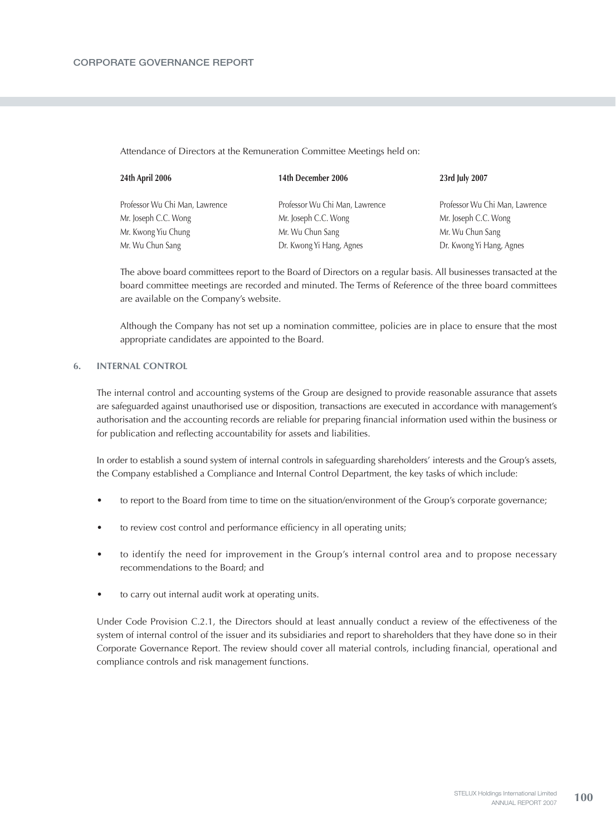Attendance of Directors at the Remuneration Committee Meetings held on:

| 24th April 2006                | 14th December 2006                                                                                              | 23rd July 2007                 |
|--------------------------------|-----------------------------------------------------------------------------------------------------------------|--------------------------------|
| Professor Wu Chi Man, Lawrence | Professor Wu Chi Man, Lawrence                                                                                  | Professor Wu Chi Man, Lawrence |
| Mr. Joseph C.C. Wong           | Mr. Joseph C.C. Wong                                                                                            | Mr. Joseph C.C. Wong           |
| Mr. Kwong Yiu Chung            | Mr. Wu Chun Sang                                                                                                | Mr. Wu Chun Sang               |
| Mr. Wu Chun Sang               | Dr. Kwong Yi Hang, Agnes                                                                                        | Dr. Kwong Yi Hang, Agnes       |
|                                |                                                                                                                 |                                |
|                                | and the state of the state of the state of the state of the state of the state of the state of the state of the |                                |

The above board committees report to the Board of Directors on a regular basis. All businesses transacted at the board committee meetings are recorded and minuted. The Terms of Reference of the three board committees are available on the Company's website.

Although the Company has not set up a nomination committee, policies are in place to ensure that the most appropriate candidates are appointed to the Board.

#### **6. INTERNAL CONTROL**

The internal control and accounting systems of the Group are designed to provide reasonable assurance that assets are safeguarded against unauthorised use or disposition, transactions are executed in accordance with management's authorisation and the accounting records are reliable for preparing financial information used within the business or for publication and reflecting accountability for assets and liabilities.

In order to establish a sound system of internal controls in safeguarding shareholders' interests and the Group's assets, the Company established a Compliance and Internal Control Department, the key tasks of which include:

- to report to the Board from time to time on the situation/environment of the Group's corporate governance;
- to review cost control and performance efficiency in all operating units;
- to identify the need for improvement in the Group's internal control area and to propose necessary recommendations to the Board; and
- to carry out internal audit work at operating units.

Under Code Provision C.2.1, the Directors should at least annually conduct a review of the effectiveness of the system of internal control of the issuer and its subsidiaries and report to shareholders that they have done so in their Corporate Governance Report. The review should cover all material controls, including financial, operational and compliance controls and risk management functions.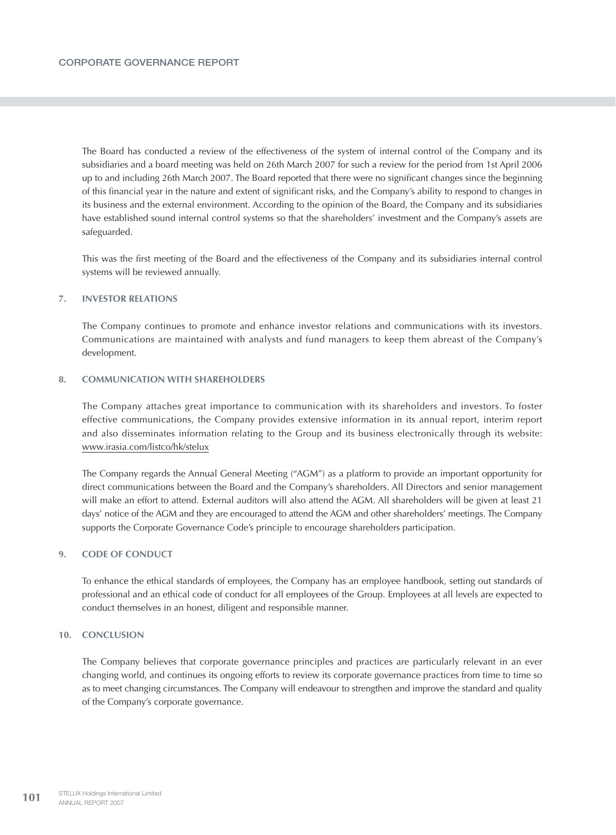The Board has conducted a review of the effectiveness of the system of internal control of the Company and its subsidiaries and a board meeting was held on 26th March 2007 for such a review for the period from 1st April 2006 up to and including 26th March 2007. The Board reported that there were no significant changes since the beginning of this financial year in the nature and extent of significant risks, and the Company's ability to respond to changes in its business and the external environment. According to the opinion of the Board, the Company and its subsidiaries have established sound internal control systems so that the shareholders' investment and the Company's assets are safeguarded.

This was the first meeting of the Board and the effectiveness of the Company and its subsidiaries internal control systems will be reviewed annually.

## **7. INVESTOR RELATIONS**

The Company continues to promote and enhance investor relations and communications with its investors. Communications are maintained with analysts and fund managers to keep them abreast of the Company's development.

## **8. COMMUNICATION WITH SHAREHOLDERS**

The Company attaches great importance to communication with its shareholders and investors. To foster effective communications, the Company provides extensive information in its annual report, interim report and also disseminates information relating to the Group and its business electronically through its website: www.irasia.com/listco/hk/stelux

The Company regards the Annual General Meeting ("AGM") as a platform to provide an important opportunity for direct communications between the Board and the Company's shareholders. All Directors and senior management will make an effort to attend. External auditors will also attend the AGM. All shareholders will be given at least 21 days' notice of the AGM and they are encouraged to attend the AGM and other shareholders' meetings. The Company supports the Corporate Governance Code's principle to encourage shareholders participation.

## **9. CODE OF CONDUCT**

To enhance the ethical standards of employees, the Company has an employee handbook, setting out standards of professional and an ethical code of conduct for all employees of the Group. Employees at all levels are expected to conduct themselves in an honest, diligent and responsible manner.

#### **10. CONCLUSION**

The Company believes that corporate governance principles and practices are particularly relevant in an ever changing world, and continues its ongoing efforts to review its corporate governance practices from time to time so as to meet changing circumstances. The Company will endeavour to strengthen and improve the standard and quality of the Company's corporate governance.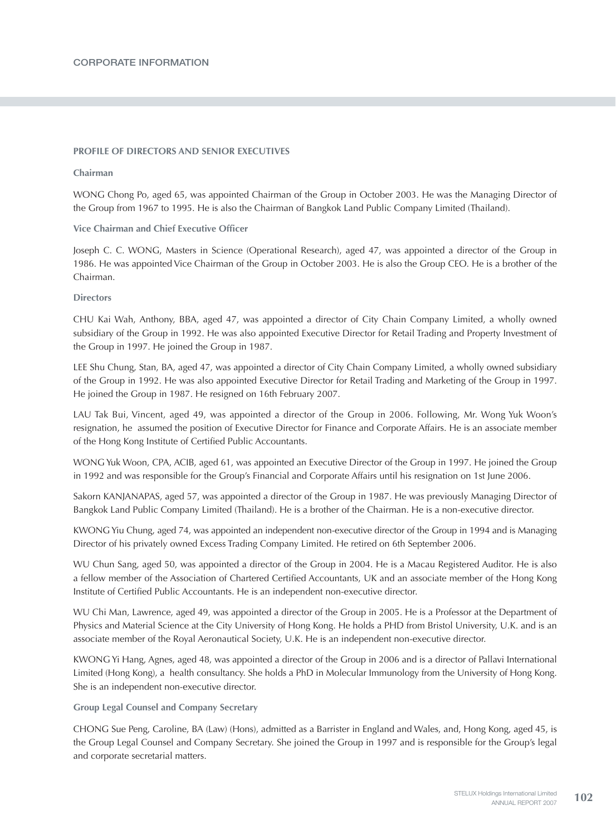#### **PROFILE OF DIRECTORS AND SENIOR EXECUTIVES**

#### **Chairman**

WONG Chong Po, aged 65, was appointed Chairman of the Group in October 2003. He was the Managing Director of the Group from 1967 to 1995. He is also the Chairman of Bangkok Land Public Company Limited (Thailand).

#### **Vice Chairman and Chief Executive Officer**

Joseph C. C. WONG, Masters in Science (Operational Research), aged 47, was appointed a director of the Group in 1986. He was appointed Vice Chairman of the Group in October 2003. He is also the Group CEO. He is a brother of the Chairman.

#### **Directors**

CHU Kai Wah, Anthony, BBA, aged 47, was appointed a director of City Chain Company Limited, a wholly owned subsidiary of the Group in 1992. He was also appointed Executive Director for Retail Trading and Property Investment of the Group in 1997. He joined the Group in 1987.

LEE Shu Chung, Stan, BA, aged 47, was appointed a director of City Chain Company Limited, a wholly owned subsidiary of the Group in 1992. He was also appointed Executive Director for Retail Trading and Marketing of the Group in 1997. He joined the Group in 1987. He resigned on 16th February 2007.

LAU Tak Bui, Vincent, aged 49, was appointed a director of the Group in 2006. Following, Mr. Wong Yuk Woon's resignation, he assumed the position of Executive Director for Finance and Corporate Affairs. He is an associate member of the Hong Kong Institute of Certified Public Accountants.

WONG Yuk Woon, CPA, ACIB, aged 61, was appointed an Executive Director of the Group in 1997. He joined the Group in 1992 and was responsible for the Group's Financial and Corporate Affairs until his resignation on 1st June 2006.

Sakorn KANJANAPAS, aged 57, was appointed a director of the Group in 1987. He was previously Managing Director of Bangkok Land Public Company Limited (Thailand). He is a brother of the Chairman. He is a non-executive director.

KWONG Yiu Chung, aged 74, was appointed an independent non-executive director of the Group in 1994 and is Managing Director of his privately owned Excess Trading Company Limited. He retired on 6th September 2006.

WU Chun Sang, aged 50, was appointed a director of the Group in 2004. He is a Macau Registered Auditor. He is also a fellow member of the Association of Chartered Certified Accountants, UK and an associate member of the Hong Kong Institute of Certified Public Accountants. He is an independent non-executive director.

WU Chi Man, Lawrence, aged 49, was appointed a director of the Group in 2005. He is a Professor at the Department of Physics and Material Science at the City University of Hong Kong. He holds a PHD from Bristol University, U.K. and is an associate member of the Royal Aeronautical Society, U.K. He is an independent non-executive director.

KWONG Yi Hang, Agnes, aged 48, was appointed a director of the Group in 2006 and is a director of Pallavi International Limited (Hong Kong), a health consultancy. She holds a PhD in Molecular Immunology from the University of Hong Kong. She is an independent non-executive director.

**Group Legal Counsel and Company Secretary** 

CHONG Sue Peng, Caroline, BA (Law) (Hons), admitted as a Barrister in England and Wales, and, Hong Kong, aged 45, is the Group Legal Counsel and Company Secretary. She joined the Group in 1997 and is responsible for the Group's legal and corporate secretarial matters.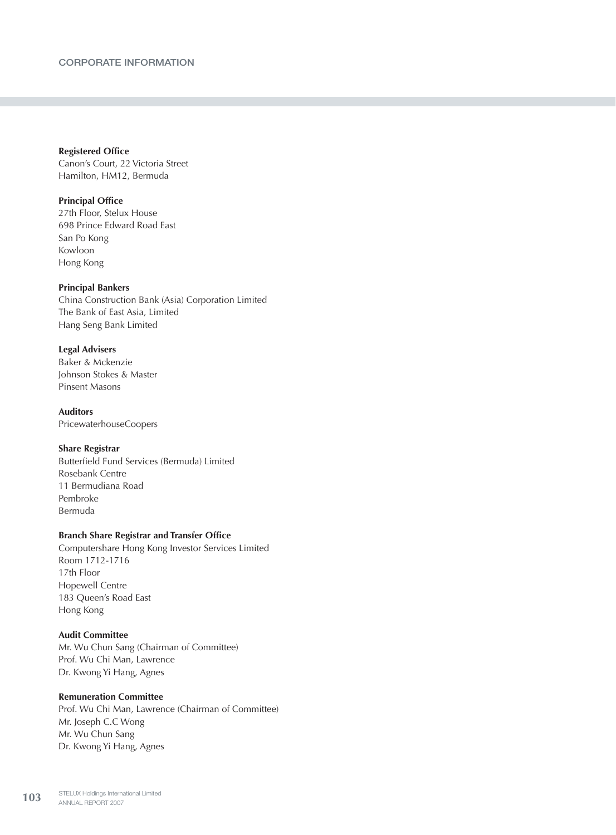## **Registered Office**

Canon's Court, 22 Victoria Street Hamilton, HM12, Bermuda

## **Principal Office**

27th Floor, Stelux House 698 Prince Edward Road East San Po Kong Kowloon Hong Kong

## **Principal Bankers**

China Construction Bank (Asia) Corporation Limited The Bank of East Asia, Limited Hang Seng Bank Limited

## **Legal Advisers**

Baker & Mckenzie Johnson Stokes & Master Pinsent Masons

# **Auditors**

PricewaterhouseCoopers

## **Share Registrar**

Butterfield Fund Services (Bermuda) Limited Rosebank Centre 11 Bermudiana Road Pembroke Bermuda

## **Branch Share Registrar and Transfer Office**

Computershare Hong Kong Investor Services Limited Room 1712-1716 17th Floor Hopewell Centre 183 Queen's Road East Hong Kong

## **Audit Committee**

Mr. Wu Chun Sang (Chairman of Committee) Prof. Wu Chi Man, Lawrence Dr. Kwong Yi Hang, Agnes

## **Remuneration Committee**

Prof. Wu Chi Man, Lawrence (Chairman of Committee) Mr. Joseph C.C Wong Mr. Wu Chun Sang Dr. Kwong Yi Hang, Agnes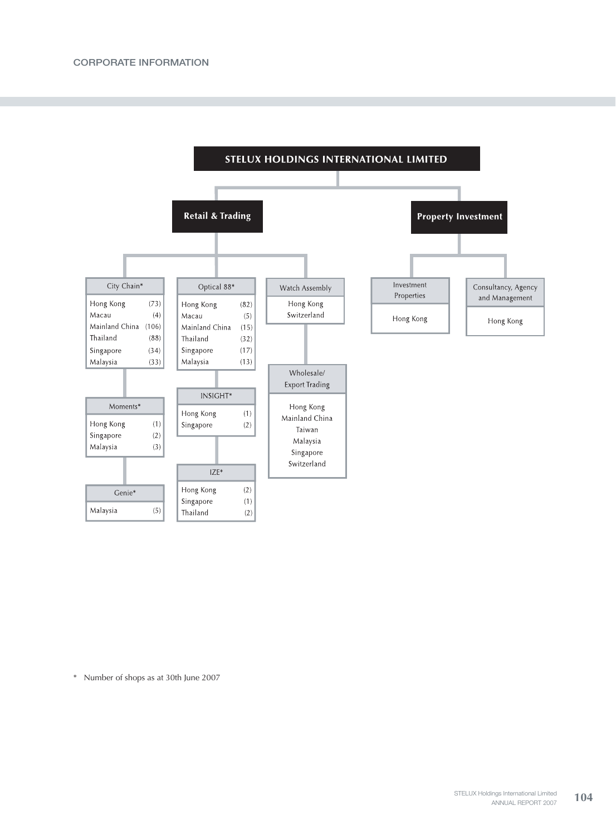

\* Number of shops as at 30th June 2007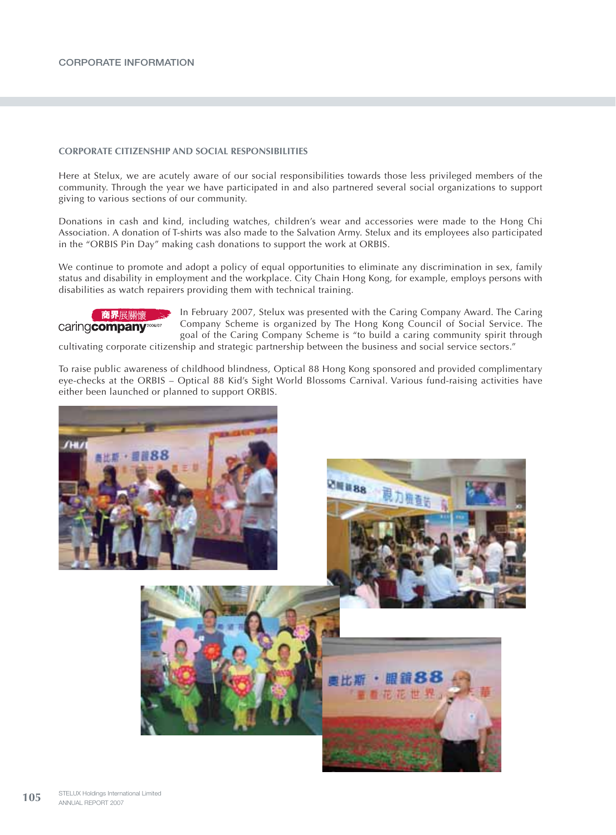## **CORPORATE CITIZENSHIP AND SOCIAL RESPONSIBILITIES**

Here at Stelux, we are acutely aware of our social responsibilities towards those less privileged members of the community. Through the year we have participated in and also partnered several social organizations to support giving to various sections of our community.

Donations in cash and kind, including watches, children's wear and accessories were made to the Hong Chi Association. A donation of T-shirts was also made to the Salvation Army. Stelux and its employees also participated in the "ORBIS Pin Day" making cash donations to support the work at ORBIS.

We continue to promote and adopt a policy of equal opportunities to eliminate any discrimination in sex, family status and disability in employment and the workplace. City Chain Hong Kong, for example, employs persons with disabilities as watch repairers providing them with technical training.



In February 2007, Stelux was presented with the Caring Company Award. The Caring Company Scheme is organized by The Hong Kong Council of Social Service. The goal of the Caring Company Scheme is "to build a caring community spirit through cultivating corporate citizenship and strategic partnership between the business and social service sectors."

To raise public awareness of childhood blindness, Optical 88 Hong Kong sponsored and provided complimentary eye-checks at the ORBIS – Optical 88 Kid's Sight World Blossoms Carnival. Various fund-raising activities have either been launched or planned to support ORBIS.

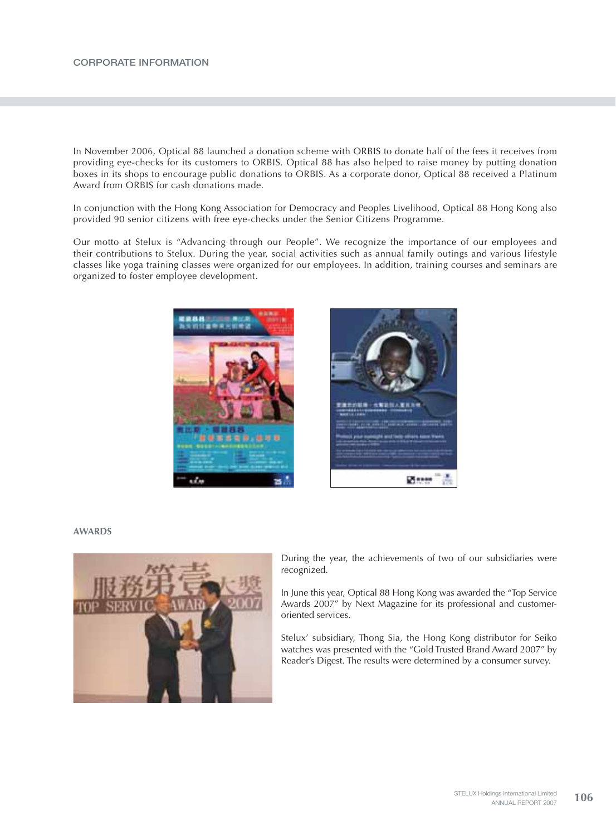In November 2006, Optical 88 launched a donation scheme with ORBIS to donate half of the fees it receives from providing eye-checks for its customers to ORBIS. Optical 88 has also helped to raise money by putting donation boxes in its shops to encourage public donations to ORBIS. As a corporate donor, Optical 88 received a Platinum Award from ORBIS for cash donations made.

In conjunction with the Hong Kong Association for Democracy and Peoples Livelihood, Optical 88 Hong Kong also provided 90 senior citizens with free eye-checks under the Senior Citizens Programme.

Our motto at Stelux is "Advancing through our People". We recognize the importance of our employees and their contributions to Stelux. During the year, social activities such as annual family outings and various lifestyle classes like yoga training classes were organized for our employees. In addition, training courses and seminars are organized to foster employee development.





#### **AWARDS**



During the year, the achievements of two of our subsidiaries were recognized.

In June this year, Optical 88 Hong Kong was awarded the "Top Service Awards 2007" by Next Magazine for its professional and customeroriented services.

Stelux' subsidiary, Thong Sia, the Hong Kong distributor for Seiko watches was presented with the "Gold Trusted Brand Award 2007" by Reader's Digest. The results were determined by a consumer survey.